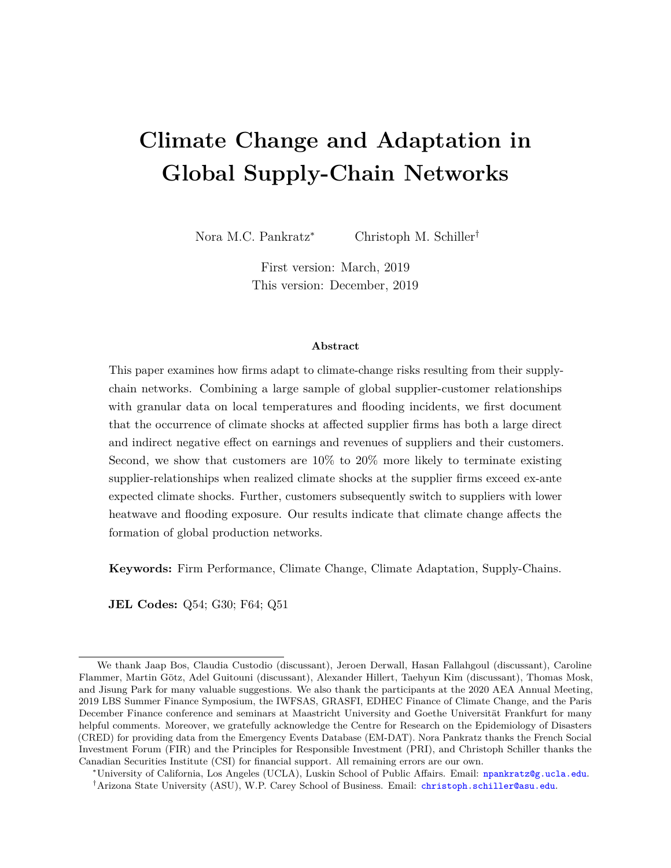# **Climate Change and Adaptation in Global Supply-Chain Networks**

Nora M.C. Pankratz<sup>∗</sup> Christoph M. Schiller†

First version: March, 2019 This version: December, 2019

#### **Abstract**

This paper examines how firms adapt to climate-change risks resulting from their supplychain networks. Combining a large sample of global supplier-customer relationships with granular data on local temperatures and flooding incidents, we first document that the occurrence of climate shocks at affected supplier firms has both a large direct and indirect negative effect on earnings and revenues of suppliers and their customers. Second, we show that customers are 10% to 20% more likely to terminate existing supplier-relationships when realized climate shocks at the supplier firms exceed ex-ante expected climate shocks. Further, customers subsequently switch to suppliers with lower heatwave and flooding exposure. Our results indicate that climate change affects the formation of global production networks.

**Keywords:** Firm Performance, Climate Change, Climate Adaptation, Supply-Chains.

**JEL Codes:** Q54; G30; F64; Q51

We thank Jaap Bos, Claudia Custodio (discussant), Jeroen Derwall, Hasan Fallahgoul (discussant), Caroline Flammer, Martin Götz, Adel Guitouni (discussant), Alexander Hillert, Taehyun Kim (discussant), Thomas Mosk, and Jisung Park for many valuable suggestions. We also thank the participants at the 2020 AEA Annual Meeting, 2019 LBS Summer Finance Symposium, the IWFSAS, GRASFI, EDHEC Finance of Climate Change, and the Paris December Finance conference and seminars at Maastricht University and Goethe Universität Frankfurt for many helpful comments. Moreover, we gratefully acknowledge the Centre for Research on the Epidemiology of Disasters (CRED) for providing data from the Emergency Events Database (EM-DAT). Nora Pankratz thanks the French Social Investment Forum (FIR) and the Principles for Responsible Investment (PRI), and Christoph Schiller thanks the Canadian Securities Institute (CSI) for financial support. All remaining errors are our own.

<sup>∗</sup>University of California, Los Angeles (UCLA), Luskin School of Public Affairs. Email: [npankratz@g.ucla.edu](mailto:npankratz@g.ucla.edu). †Arizona State University (ASU), W.P. Carey School of Business. Email: [christoph.schiller@asu.edu](mailto:christoph.schiller@asu.edu).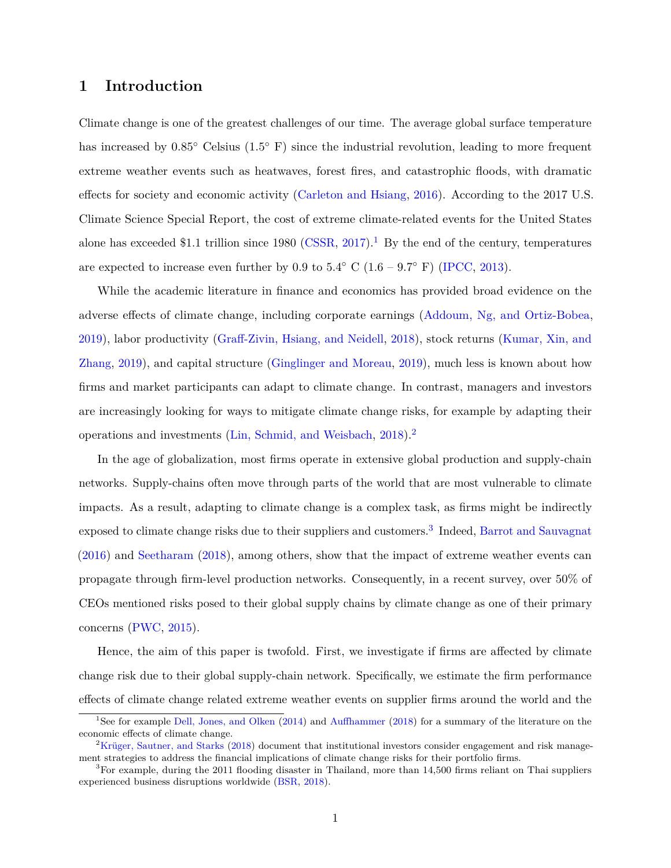### **1 Introduction**

Climate change is one of the greatest challenges of our time. The average global surface temperature has increased by 0.85◦ Celsius (1.5◦ F) since the industrial revolution, leading to more frequent extreme weather events such as heatwaves, forest fires, and catastrophic floods, with dramatic effects for society and economic activity [\(Carleton and Hsiang,](#page-30-0) [2016\)](#page-30-0). According to the 2017 U.S. Climate Science Special Report, the cost of extreme climate-related events for the United States alone has exceeded \$1.1 trillion since 1980 [\(CSSR,](#page-30-1) [2017\)](#page-30-1).<sup>[1](#page-1-0)</sup> By the end of the century, temperatures are expected to increase even further by 0.9 to  $5.4°$  C ( $1.6 - 9.7°$  F) [\(IPCC,](#page-31-0) [2013\)](#page-31-0).

While the academic literature in finance and economics has provided broad evidence on the adverse effects of climate change, including corporate earnings [\(Addoum, Ng, and Ortiz-Bobea,](#page-30-2) [2019\)](#page-30-2), labor productivity [\(Graff-Zivin, Hsiang, and Neidell,](#page-31-1) [2018\)](#page-31-1), stock returns [\(Kumar, Xin, and](#page-31-2) [Zhang,](#page-31-2) [2019\)](#page-31-2), and capital structure [\(Ginglinger and Moreau,](#page-31-3) [2019\)](#page-31-3), much less is known about how firms and market participants can adapt to climate change. In contrast, managers and investors are increasingly looking for ways to mitigate climate change risks, for example by adapting their operations and investments [\(Lin, Schmid, and Weisbach,](#page-31-4) [2018\)](#page-31-4).[2](#page-1-1)

In the age of globalization, most firms operate in extensive global production and supply-chain networks. Supply-chains often move through parts of the world that are most vulnerable to climate impacts. As a result, adapting to climate change is a complex task, as firms might be indirectly exposed to climate change risks due to their suppliers and customers.<sup>[3](#page-1-2)</sup> Indeed, [Barrot and Sauvagnat](#page-30-3) [\(2016\)](#page-30-3) and [Seetharam](#page-32-0) [\(2018\)](#page-32-0), among others, show that the impact of extreme weather events can propagate through firm-level production networks. Consequently, in a recent survey, over 50% of CEOs mentioned risks posed to their global supply chains by climate change as one of their primary concerns [\(PWC,](#page-31-5) [2015\)](#page-31-5).

Hence, the aim of this paper is twofold. First, we investigate if firms are affected by climate change risk due to their global supply-chain network. Specifically, we estimate the firm performance effects of climate change related extreme weather events on supplier firms around the world and the

<span id="page-1-0"></span><sup>&</sup>lt;sup>1</sup>See for example [Dell, Jones, and Olken](#page-31-6) [\(2014\)](#page-31-6) and [Auffhammer](#page-30-4) [\(2018\)](#page-30-4) for a summary of the literature on the economic effects of climate change.

<span id="page-1-1"></span> ${}^{2}$ Krüger, Sautner, and Starks [\(2018\)](#page-31-7) document that institutional investors consider engagement and risk management strategies to address the financial implications of climate change risks for their portfolio firms.

<span id="page-1-2"></span> ${}^{3}$  For example, during the 2011 flooding disaster in Thailand, more than 14,500 firms reliant on Thai suppliers experienced business disruptions worldwide [\(BSR,](#page-30-5) [2018\)](#page-30-5).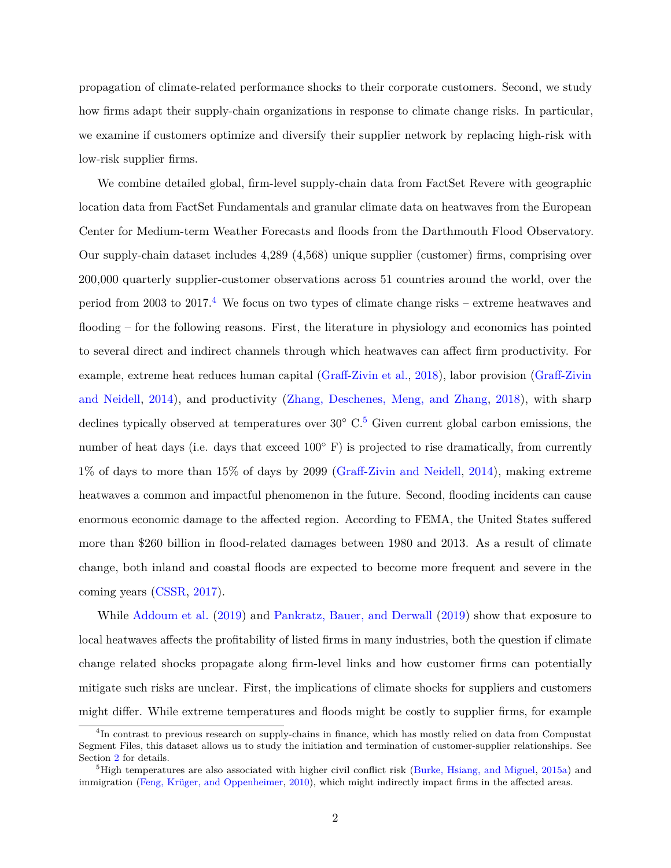propagation of climate-related performance shocks to their corporate customers. Second, we study how firms adapt their supply-chain organizations in response to climate change risks. In particular, we examine if customers optimize and diversify their supplier network by replacing high-risk with low-risk supplier firms.

We combine detailed global, firm-level supply-chain data from FactSet Revere with geographic location data from FactSet Fundamentals and granular climate data on heatwaves from the European Center for Medium-term Weather Forecasts and floods from the Darthmouth Flood Observatory. Our supply-chain dataset includes 4,289 (4,568) unique supplier (customer) firms, comprising over 200,000 quarterly supplier-customer observations across 51 countries around the world, over the period from 2003 to 2017.<sup>[4](#page-2-0)</sup> We focus on two types of climate change risks – extreme heatwaves and flooding – for the following reasons. First, the literature in physiology and economics has pointed to several direct and indirect channels through which heatwaves can affect firm productivity. For example, extreme heat reduces human capital [\(Graff-Zivin et al.,](#page-31-1) [2018\)](#page-31-1), labor provision [\(Graff-Zivin](#page-31-8) [and Neidell,](#page-31-8) [2014\)](#page-31-8), and productivity [\(Zhang, Deschenes, Meng, and Zhang,](#page-32-1) [2018\)](#page-32-1), with sharp declines typically observed at temperatures over  $30°$  C.<sup>[5](#page-2-1)</sup> Given current global carbon emissions, the number of heat days (i.e. days that exceed 100◦ F) is projected to rise dramatically, from currently 1% of days to more than 15% of days by 2099 [\(Graff-Zivin and Neidell,](#page-31-8) [2014\)](#page-31-8), making extreme heatwaves a common and impactful phenomenon in the future. Second, flooding incidents can cause enormous economic damage to the affected region. According to FEMA, the United States suffered more than \$260 billion in flood-related damages between 1980 and 2013. As a result of climate change, both inland and coastal floods are expected to become more frequent and severe in the coming years [\(CSSR,](#page-30-1) [2017\)](#page-30-1).

While [Addoum et al.](#page-30-2) [\(2019\)](#page-30-2) and [Pankratz, Bauer, and Derwall](#page-31-9) [\(2019\)](#page-31-9) show that exposure to local heatwaves affects the profitability of listed firms in many industries, both the question if climate change related shocks propagate along firm-level links and how customer firms can potentially mitigate such risks are unclear. First, the implications of climate shocks for suppliers and customers might differ. While extreme temperatures and floods might be costly to supplier firms, for example

<span id="page-2-0"></span><sup>&</sup>lt;sup>4</sup>In contrast to previous research on supply-chains in finance, which has mostly relied on data from Compustat Segment Files, this dataset allows us to study the initiation and termination of customer-supplier relationships. See Section [2](#page-6-0) for details.

<span id="page-2-1"></span> ${}^{5}$ High temperatures are also associated with higher civil conflict risk [\(Burke, Hsiang, and Miguel,](#page-30-6) [2015a\)](#page-30-6) and immigration (Feng, Krüger, and Oppenheimer, [2010\)](#page-31-10), which might indirectly impact firms in the affected areas.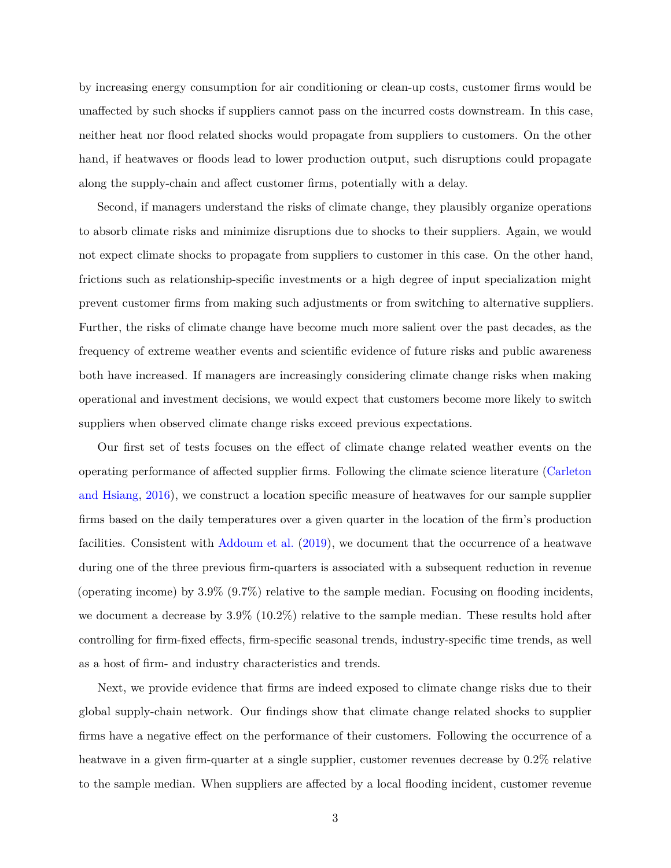by increasing energy consumption for air conditioning or clean-up costs, customer firms would be unaffected by such shocks if suppliers cannot pass on the incurred costs downstream. In this case, neither heat nor flood related shocks would propagate from suppliers to customers. On the other hand, if heatwaves or floods lead to lower production output, such disruptions could propagate along the supply-chain and affect customer firms, potentially with a delay.

Second, if managers understand the risks of climate change, they plausibly organize operations to absorb climate risks and minimize disruptions due to shocks to their suppliers. Again, we would not expect climate shocks to propagate from suppliers to customer in this case. On the other hand, frictions such as relationship-specific investments or a high degree of input specialization might prevent customer firms from making such adjustments or from switching to alternative suppliers. Further, the risks of climate change have become much more salient over the past decades, as the frequency of extreme weather events and scientific evidence of future risks and public awareness both have increased. If managers are increasingly considering climate change risks when making operational and investment decisions, we would expect that customers become more likely to switch suppliers when observed climate change risks exceed previous expectations.

Our first set of tests focuses on the effect of climate change related weather events on the operating performance of affected supplier firms. Following the climate science literature [\(Carleton](#page-30-0) [and Hsiang,](#page-30-0) [2016\)](#page-30-0), we construct a location specific measure of heatwaves for our sample supplier firms based on the daily temperatures over a given quarter in the location of the firm's production facilities. Consistent with [Addoum et al.](#page-30-2) [\(2019\)](#page-30-2), we document that the occurrence of a heatwave during one of the three previous firm-quarters is associated with a subsequent reduction in revenue (operating income) by  $3.9\%$   $(9.7\%)$  relative to the sample median. Focusing on flooding incidents, we document a decrease by 3.9% (10.2%) relative to the sample median. These results hold after controlling for firm-fixed effects, firm-specific seasonal trends, industry-specific time trends, as well as a host of firm- and industry characteristics and trends.

Next, we provide evidence that firms are indeed exposed to climate change risks due to their global supply-chain network. Our findings show that climate change related shocks to supplier firms have a negative effect on the performance of their customers. Following the occurrence of a heatwave in a given firm-quarter at a single supplier, customer revenues decrease by 0.2% relative to the sample median. When suppliers are affected by a local flooding incident, customer revenue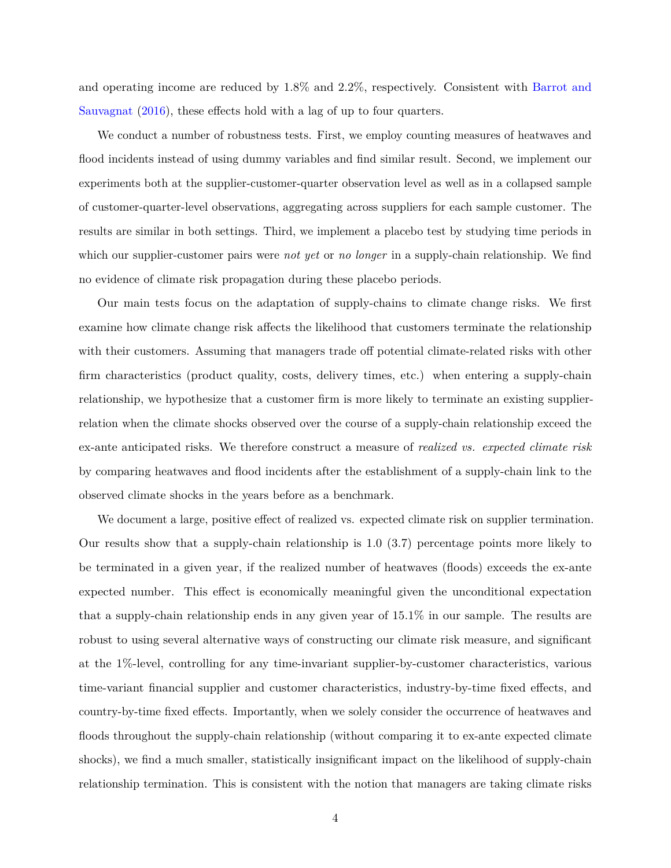and operating income are reduced by 1.8% and 2.2%, respectively. Consistent with [Barrot and](#page-30-3) [Sauvagnat](#page-30-3) [\(2016\)](#page-30-3), these effects hold with a lag of up to four quarters.

We conduct a number of robustness tests. First, we employ counting measures of heatwaves and flood incidents instead of using dummy variables and find similar result. Second, we implement our experiments both at the supplier-customer-quarter observation level as well as in a collapsed sample of customer-quarter-level observations, aggregating across suppliers for each sample customer. The results are similar in both settings. Third, we implement a placebo test by studying time periods in which our supplier-customer pairs were *not yet* or *no longer* in a supply-chain relationship. We find no evidence of climate risk propagation during these placebo periods.

Our main tests focus on the adaptation of supply-chains to climate change risks. We first examine how climate change risk affects the likelihood that customers terminate the relationship with their customers. Assuming that managers trade off potential climate-related risks with other firm characteristics (product quality, costs, delivery times, etc.) when entering a supply-chain relationship, we hypothesize that a customer firm is more likely to terminate an existing supplierrelation when the climate shocks observed over the course of a supply-chain relationship exceed the ex-ante anticipated risks. We therefore construct a measure of *realized vs. expected climate risk* by comparing heatwaves and flood incidents after the establishment of a supply-chain link to the observed climate shocks in the years before as a benchmark.

We document a large, positive effect of realized vs. expected climate risk on supplier termination. Our results show that a supply-chain relationship is 1.0 (3.7) percentage points more likely to be terminated in a given year, if the realized number of heatwaves (floods) exceeds the ex-ante expected number. This effect is economically meaningful given the unconditional expectation that a supply-chain relationship ends in any given year of 15.1% in our sample. The results are robust to using several alternative ways of constructing our climate risk measure, and significant at the 1%-level, controlling for any time-invariant supplier-by-customer characteristics, various time-variant financial supplier and customer characteristics, industry-by-time fixed effects, and country-by-time fixed effects. Importantly, when we solely consider the occurrence of heatwaves and floods throughout the supply-chain relationship (without comparing it to ex-ante expected climate shocks), we find a much smaller, statistically insignificant impact on the likelihood of supply-chain relationship termination. This is consistent with the notion that managers are taking climate risks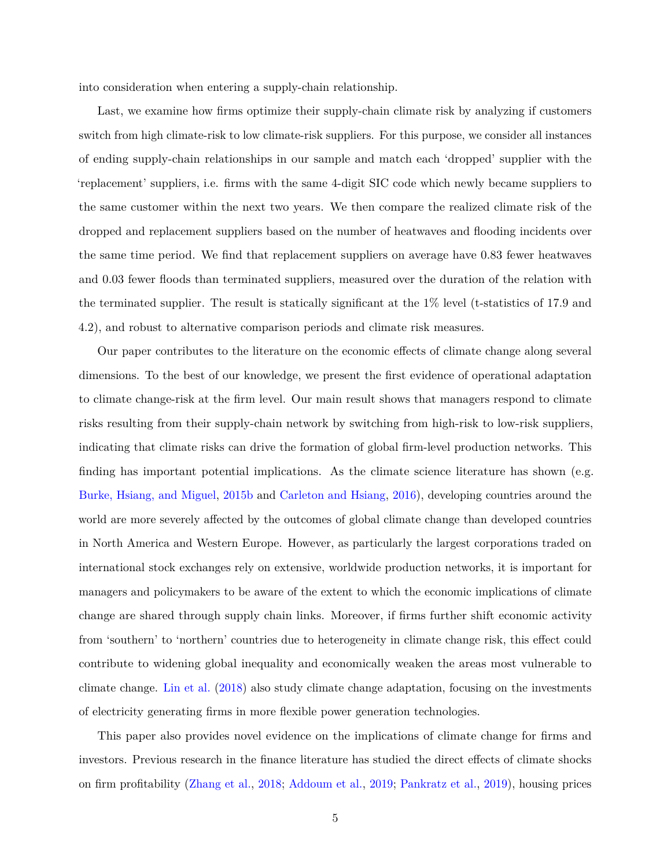into consideration when entering a supply-chain relationship.

Last, we examine how firms optimize their supply-chain climate risk by analyzing if customers switch from high climate-risk to low climate-risk suppliers. For this purpose, we consider all instances of ending supply-chain relationships in our sample and match each 'dropped' supplier with the 'replacement' suppliers, i.e. firms with the same 4-digit SIC code which newly became suppliers to the same customer within the next two years. We then compare the realized climate risk of the dropped and replacement suppliers based on the number of heatwaves and flooding incidents over the same time period. We find that replacement suppliers on average have 0.83 fewer heatwaves and 0.03 fewer floods than terminated suppliers, measured over the duration of the relation with the terminated supplier. The result is statically significant at the 1% level (t-statistics of 17.9 and 4.2), and robust to alternative comparison periods and climate risk measures.

Our paper contributes to the literature on the economic effects of climate change along several dimensions. To the best of our knowledge, we present the first evidence of operational adaptation to climate change-risk at the firm level. Our main result shows that managers respond to climate risks resulting from their supply-chain network by switching from high-risk to low-risk suppliers, indicating that climate risks can drive the formation of global firm-level production networks. This finding has important potential implications. As the climate science literature has shown (e.g. [Burke, Hsiang, and Miguel,](#page-30-7) [2015b](#page-30-7) and [Carleton and Hsiang,](#page-30-0) [2016\)](#page-30-0), developing countries around the world are more severely affected by the outcomes of global climate change than developed countries in North America and Western Europe. However, as particularly the largest corporations traded on international stock exchanges rely on extensive, worldwide production networks, it is important for managers and policymakers to be aware of the extent to which the economic implications of climate change are shared through supply chain links. Moreover, if firms further shift economic activity from 'southern' to 'northern' countries due to heterogeneity in climate change risk, this effect could contribute to widening global inequality and economically weaken the areas most vulnerable to climate change. [Lin et al.](#page-31-4) [\(2018\)](#page-31-4) also study climate change adaptation, focusing on the investments of electricity generating firms in more flexible power generation technologies.

This paper also provides novel evidence on the implications of climate change for firms and investors. Previous research in the finance literature has studied the direct effects of climate shocks on firm profitability [\(Zhang et al.,](#page-32-1) [2018;](#page-32-1) [Addoum et al.,](#page-30-2) [2019;](#page-30-2) [Pankratz et al.,](#page-31-9) [2019\)](#page-31-9), housing prices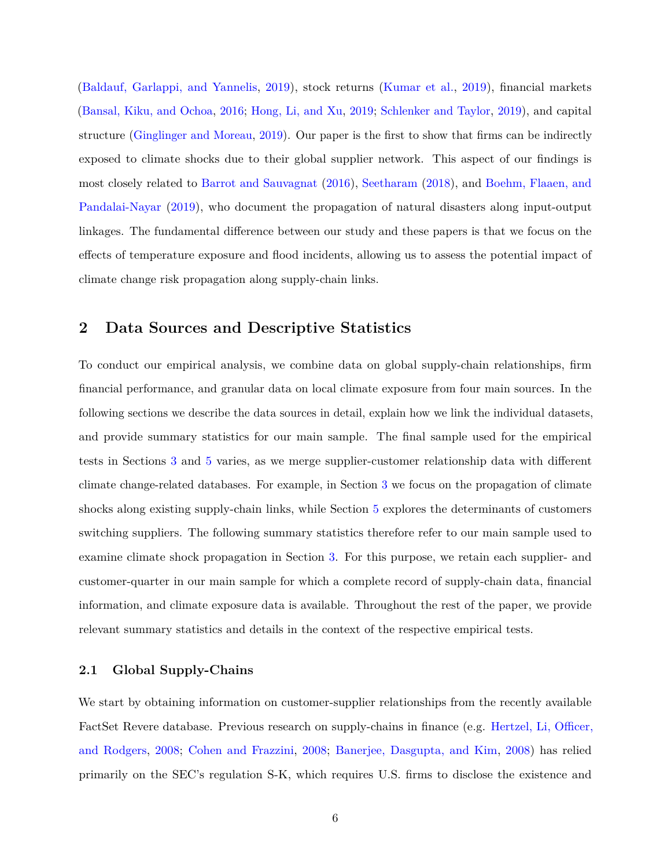[\(Baldauf, Garlappi, and Yannelis,](#page-30-8) [2019\)](#page-30-8), stock returns [\(Kumar et al.,](#page-31-2) [2019\)](#page-31-2), financial markets [\(Bansal, Kiku, and Ochoa,](#page-30-9) [2016;](#page-30-9) [Hong, Li, and Xu,](#page-31-11) [2019;](#page-31-11) [Schlenker and Taylor,](#page-31-12) [2019\)](#page-31-12), and capital structure [\(Ginglinger and Moreau,](#page-31-3) [2019\)](#page-31-3). Our paper is the first to show that firms can be indirectly exposed to climate shocks due to their global supplier network. This aspect of our findings is most closely related to [Barrot and Sauvagnat](#page-30-3) [\(2016\)](#page-30-3), [Seetharam](#page-32-0) [\(2018\)](#page-32-0), and [Boehm, Flaaen, and](#page-30-10) [Pandalai-Nayar](#page-30-10) [\(2019\)](#page-30-10), who document the propagation of natural disasters along input-output linkages. The fundamental difference between our study and these papers is that we focus on the effects of temperature exposure and flood incidents, allowing us to assess the potential impact of climate change risk propagation along supply-chain links.

### <span id="page-6-0"></span>**2 Data Sources and Descriptive Statistics**

To conduct our empirical analysis, we combine data on global supply-chain relationships, firm financial performance, and granular data on local climate exposure from four main sources. In the following sections we describe the data sources in detail, explain how we link the individual datasets, and provide summary statistics for our main sample. The final sample used for the empirical tests in Sections [3](#page-13-0) and [5](#page-22-0) varies, as we merge supplier-customer relationship data with different climate change-related databases. For example, in Section [3](#page-13-0) we focus on the propagation of climate shocks along existing supply-chain links, while Section [5](#page-22-0) explores the determinants of customers switching suppliers. The following summary statistics therefore refer to our main sample used to examine climate shock propagation in Section [3.](#page-13-0) For this purpose, we retain each supplier- and customer-quarter in our main sample for which a complete record of supply-chain data, financial information, and climate exposure data is available. Throughout the rest of the paper, we provide relevant summary statistics and details in the context of the respective empirical tests.

#### **2.1 Global Supply-Chains**

We start by obtaining information on customer-supplier relationships from the recently available FactSet Revere database. Previous research on supply-chains in finance (e.g. [Hertzel, Li, Officer,](#page-31-13) [and Rodgers,](#page-31-13) [2008;](#page-31-13) [Cohen and Frazzini,](#page-30-11) [2008;](#page-30-11) [Banerjee, Dasgupta, and Kim,](#page-30-12) [2008\)](#page-30-12) has relied primarily on the SEC's regulation S-K, which requires U.S. firms to disclose the existence and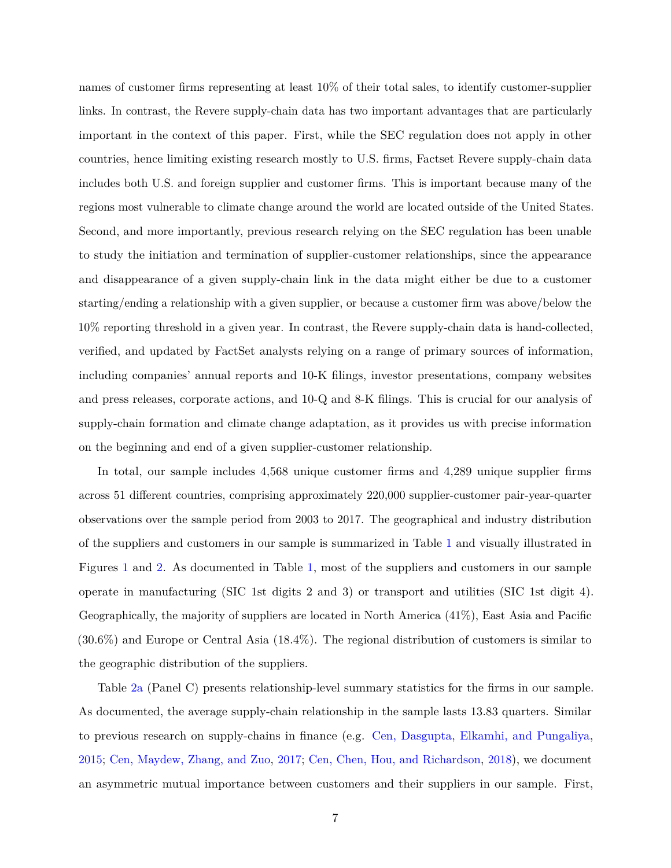names of customer firms representing at least 10% of their total sales, to identify customer-supplier links. In contrast, the Revere supply-chain data has two important advantages that are particularly important in the context of this paper. First, while the SEC regulation does not apply in other countries, hence limiting existing research mostly to U.S. firms, Factset Revere supply-chain data includes both U.S. and foreign supplier and customer firms. This is important because many of the regions most vulnerable to climate change around the world are located outside of the United States. Second, and more importantly, previous research relying on the SEC regulation has been unable to study the initiation and termination of supplier-customer relationships, since the appearance and disappearance of a given supply-chain link in the data might either be due to a customer starting/ending a relationship with a given supplier, or because a customer firm was above/below the 10% reporting threshold in a given year. In contrast, the Revere supply-chain data is hand-collected, verified, and updated by FactSet analysts relying on a range of primary sources of information, including companies' annual reports and 10-K filings, investor presentations, company websites and press releases, corporate actions, and 10-Q and 8-K filings. This is crucial for our analysis of supply-chain formation and climate change adaptation, as it provides us with precise information on the beginning and end of a given supplier-customer relationship.

In total, our sample includes 4,568 unique customer firms and 4,289 unique supplier firms across 51 different countries, comprising approximately 220,000 supplier-customer pair-year-quarter observations over the sample period from 2003 to 2017. The geographical and industry distribution of the suppliers and customers in our sample is summarized in Table [1](#page-37-0) and visually illustrated in Figures [1](#page-33-0) and [2.](#page-34-0) As documented in Table [1,](#page-37-0) most of the suppliers and customers in our sample operate in manufacturing (SIC 1st digits 2 and 3) or transport and utilities (SIC 1st digit 4). Geographically, the majority of suppliers are located in North America (41%), East Asia and Pacific (30.6%) and Europe or Central Asia (18.4%). The regional distribution of customers is similar to the geographic distribution of the suppliers.

Table [2a](#page-38-0) (Panel C) presents relationship-level summary statistics for the firms in our sample. As documented, the average supply-chain relationship in the sample lasts 13.83 quarters. Similar to previous research on supply-chains in finance (e.g. [Cen, Dasgupta, Elkamhi, and Pungaliya,](#page-30-13) [2015;](#page-30-13) [Cen, Maydew, Zhang, and Zuo,](#page-30-14) [2017;](#page-30-14) [Cen, Chen, Hou, and Richardson,](#page-30-15) [2018\)](#page-30-15), we document an asymmetric mutual importance between customers and their suppliers in our sample. First,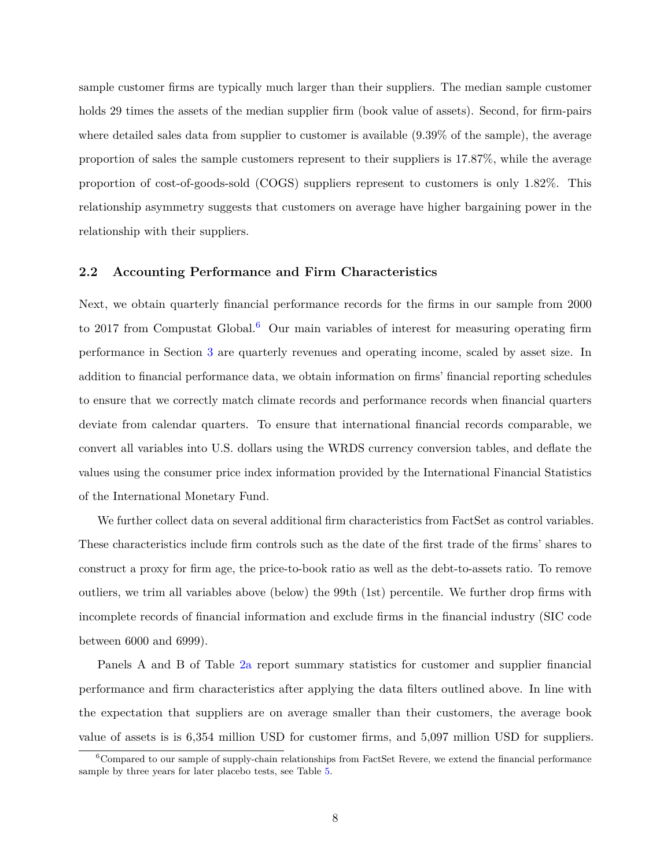sample customer firms are typically much larger than their suppliers. The median sample customer holds 29 times the assets of the median supplier firm (book value of assets). Second, for firm-pairs where detailed sales data from supplier to customer is available (9.39% of the sample), the average proportion of sales the sample customers represent to their suppliers is 17.87%, while the average proportion of cost-of-goods-sold (COGS) suppliers represent to customers is only 1.82%. This relationship asymmetry suggests that customers on average have higher bargaining power in the relationship with their suppliers.

#### **2.2 Accounting Performance and Firm Characteristics**

Next, we obtain quarterly financial performance records for the firms in our sample from 2000 to 2017 from Compustat Global.<sup>[6](#page-8-0)</sup> Our main variables of interest for measuring operating firm performance in Section [3](#page-13-0) are quarterly revenues and operating income, scaled by asset size. In addition to financial performance data, we obtain information on firms' financial reporting schedules to ensure that we correctly match climate records and performance records when financial quarters deviate from calendar quarters. To ensure that international financial records comparable, we convert all variables into U.S. dollars using the WRDS currency conversion tables, and deflate the values using the consumer price index information provided by the International Financial Statistics of the International Monetary Fund.

We further collect data on several additional firm characteristics from FactSet as control variables. These characteristics include firm controls such as the date of the first trade of the firms' shares to construct a proxy for firm age, the price-to-book ratio as well as the debt-to-assets ratio. To remove outliers, we trim all variables above (below) the 99th (1st) percentile. We further drop firms with incomplete records of financial information and exclude firms in the financial industry (SIC code between 6000 and 6999).

Panels A and B of Table [2a](#page-38-0) report summary statistics for customer and supplier financial performance and firm characteristics after applying the data filters outlined above. In line with the expectation that suppliers are on average smaller than their customers, the average book value of assets is is 6,354 million USD for customer firms, and 5,097 million USD for suppliers.

<span id="page-8-0"></span><sup>&</sup>lt;sup>6</sup>Compared to our sample of supply-chain relationships from FactSet Revere, we extend the financial performance sample by three years for later placebo tests, see Table [5.](#page-43-0)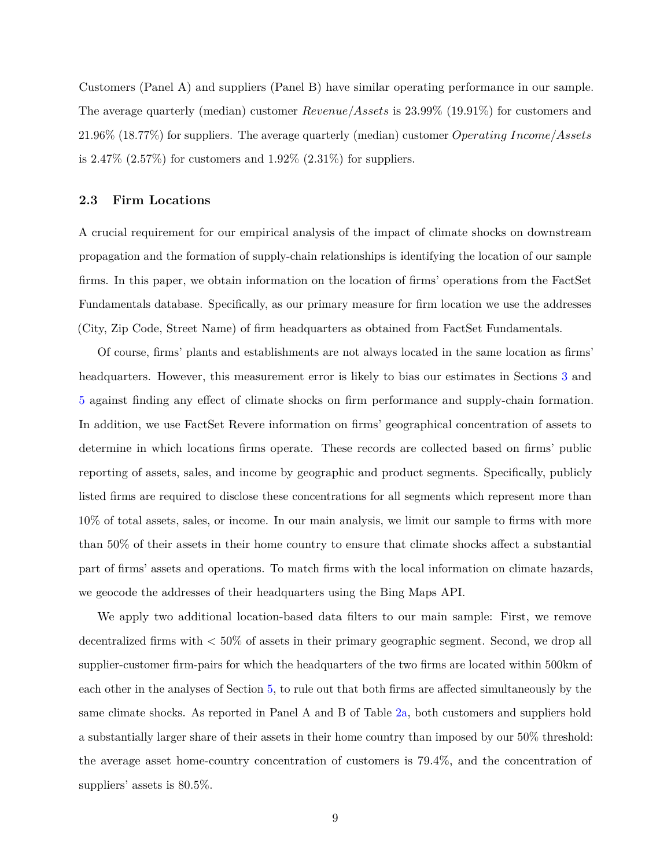Customers (Panel A) and suppliers (Panel B) have similar operating performance in our sample. The average quarterly (median) customer *Revenue/Assets* is 23.99% (19.91%) for customers and 21.96% (18.77%) for suppliers. The average quarterly (median) customer *Operating Income/Assets* is  $2.47\%$  ( $2.57\%$ ) for customers and  $1.92\%$  ( $2.31\%$ ) for suppliers.

#### **2.3 Firm Locations**

A crucial requirement for our empirical analysis of the impact of climate shocks on downstream propagation and the formation of supply-chain relationships is identifying the location of our sample firms. In this paper, we obtain information on the location of firms' operations from the FactSet Fundamentals database. Specifically, as our primary measure for firm location we use the addresses (City, Zip Code, Street Name) of firm headquarters as obtained from FactSet Fundamentals.

Of course, firms' plants and establishments are not always located in the same location as firms' headquarters. However, this measurement error is likely to bias our estimates in Sections [3](#page-13-0) and [5](#page-22-0) against finding any effect of climate shocks on firm performance and supply-chain formation. In addition, we use FactSet Revere information on firms' geographical concentration of assets to determine in which locations firms operate. These records are collected based on firms' public reporting of assets, sales, and income by geographic and product segments. Specifically, publicly listed firms are required to disclose these concentrations for all segments which represent more than 10% of total assets, sales, or income. In our main analysis, we limit our sample to firms with more than 50% of their assets in their home country to ensure that climate shocks affect a substantial part of firms' assets and operations. To match firms with the local information on climate hazards, we geocode the addresses of their headquarters using the Bing Maps API.

We apply two additional location-based data filters to our main sample: First, we remove decentralized firms with *<* 50% of assets in their primary geographic segment. Second, we drop all supplier-customer firm-pairs for which the headquarters of the two firms are located within 500km of each other in the analyses of Section [5,](#page-22-0) to rule out that both firms are affected simultaneously by the same climate shocks. As reported in Panel A and B of Table [2a,](#page-38-0) both customers and suppliers hold a substantially larger share of their assets in their home country than imposed by our 50% threshold: the average asset home-country concentration of customers is 79.4%, and the concentration of suppliers' assets is 80.5%.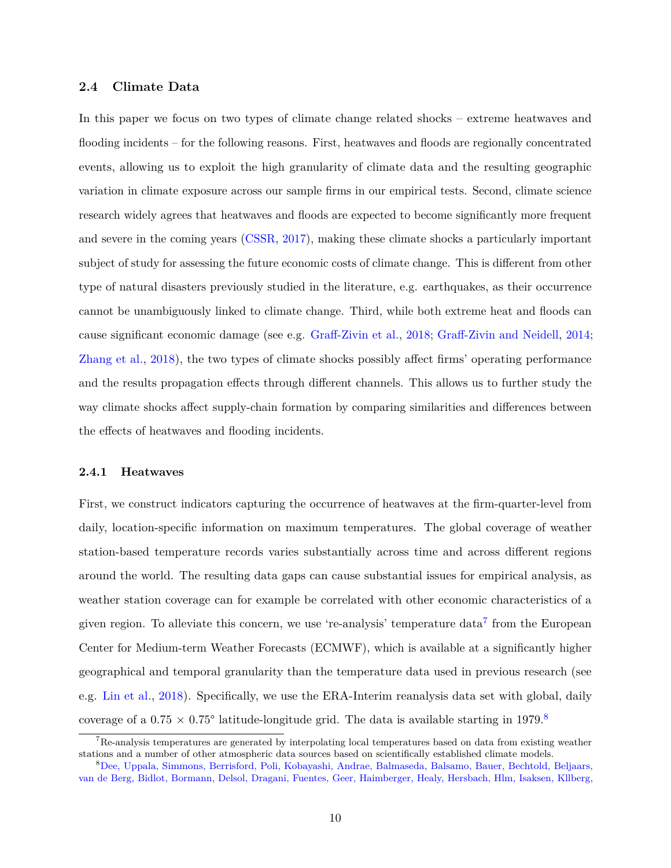#### **2.4 Climate Data**

In this paper we focus on two types of climate change related shocks – extreme heatwaves and flooding incidents – for the following reasons. First, heatwaves and floods are regionally concentrated events, allowing us to exploit the high granularity of climate data and the resulting geographic variation in climate exposure across our sample firms in our empirical tests. Second, climate science research widely agrees that heatwaves and floods are expected to become significantly more frequent and severe in the coming years [\(CSSR,](#page-30-1) [2017\)](#page-30-1), making these climate shocks a particularly important subject of study for assessing the future economic costs of climate change. This is different from other type of natural disasters previously studied in the literature, e.g. earthquakes, as their occurrence cannot be unambiguously linked to climate change. Third, while both extreme heat and floods can cause significant economic damage (see e.g. [Graff-Zivin et al.,](#page-31-1) [2018;](#page-31-1) [Graff-Zivin and Neidell,](#page-31-8) [2014;](#page-31-8) [Zhang et al.,](#page-32-1) [2018\)](#page-32-1), the two types of climate shocks possibly affect firms' operating performance and the results propagation effects through different channels. This allows us to further study the way climate shocks affect supply-chain formation by comparing similarities and differences between the effects of heatwaves and flooding incidents.

#### <span id="page-10-2"></span>**2.4.1 Heatwaves**

First, we construct indicators capturing the occurrence of heatwaves at the firm-quarter-level from daily, location-specific information on maximum temperatures. The global coverage of weather station-based temperature records varies substantially across time and across different regions around the world. The resulting data gaps can cause substantial issues for empirical analysis, as weather station coverage can for example be correlated with other economic characteristics of a given region. To alleviate this concern, we use 're-analysis' temperature data<sup>[7](#page-10-0)</sup> from the European Center for Medium-term Weather Forecasts (ECMWF), which is available at a significantly higher geographical and temporal granularity than the temperature data used in previous research (see e.g. [Lin et al.,](#page-31-4) [2018\)](#page-31-4). Specifically, we use the ERA-Interim reanalysis data set with global, daily coverage of a  $0.75 \times 0.75^{\circ}$  latitude-longitude grid. The data is available starting in 1979.<sup>[8](#page-10-1)</sup>

<span id="page-10-0"></span><sup>&</sup>lt;sup>7</sup>Re-analysis temperatures are generated by interpolating local temperatures based on data from existing weather stations and a number of other atmospheric data sources based on scientifically established climate models.

<span id="page-10-1"></span><sup>8</sup>[Dee, Uppala, Simmons, Berrisford, Poli, Kobayashi, Andrae, Balmaseda, Balsamo, Bauer, Bechtold, Beljaars,](#page-30-16) [van de Berg, Bidlot, Bormann, Delsol, Dragani, Fuentes, Geer, Haimberger, Healy, Hersbach, Hlm, Isaksen, Kllberg,](#page-30-16)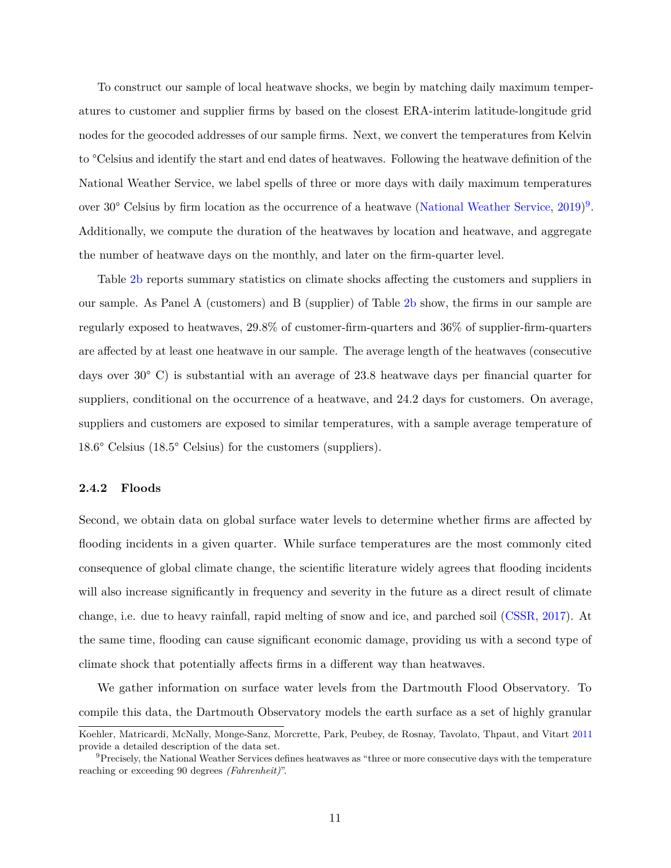[To construct our sample of local heatwave shocks, we begin by matching daily maximum temper](#page-30-16)[atures to customer and supplier firms by based on the closest ERA-interim latitude-longitude grid](#page-30-16) [nodes for the geocoded addresses of our sample firms. Next, we convert the temperatures from Kelvin](#page-30-16) to [°Celsius and identify the start and end dates of heatwaves. Following the heatwave definition of the](#page-30-16) [National Weather Service, we label spells of three or more days with daily maximum temperatures](#page-30-16) over 30<sup>°</sup> [Celsius by firm location as the occurrence of a heatwave \(National Weather Service,](#page-30-16) [2019\)](#page-31-14)<sup>[9](#page-11-0)</sup>. [Additionally, we compute the duration of the heatwaves by location and heatwave, and aggregate](#page-30-16) [the number of heatwave days on the monthly, and later on the firm-quarter level.](#page-30-16)

Table [2b](#page-39-0) [reports summary statistics on climate shocks affecting the customers and suppliers in](#page-30-16) [our sample. As Panel A \(customers\) and B \(supplier\) of Table](#page-30-16) [2b](#page-39-0) show, the firms in our sample are [regularly exposed to heatwaves, 29.8% of customer-firm-quarters and 36% of supplier-firm-quarters](#page-30-16) [are affected by at least one heatwave in our sample. The average length of the heatwaves \(consecutive](#page-30-16) days over 30° [C\) is substantial with an average of 23.8 heatwave days per financial quarter for](#page-30-16) [suppliers, conditional on the occurrence of a heatwave, and 24.2 days for customers. On average,](#page-30-16) [suppliers and customers are exposed to similar temperatures, with a sample average temperature of](#page-30-16) 18.6° Celsius (18.5° [Celsius\) for the customers \(suppliers\).](#page-30-16)

#### **[2.4.2 Floods](#page-30-16)**

[Second, we obtain data on global surface water levels to determine whether firms are affected by](#page-30-16) [flooding incidents in a given quarter. While surface temperatures are the most commonly cited](#page-30-16) [consequence of global climate change, the scientific literature widely agrees that flooding incidents](#page-30-16) [will also increase significantly in frequency and severity in the future as a direct result of climate](#page-30-16) [change, i.e. due to heavy rainfall, rapid melting of snow and ice, and parched soil \(CSSR,](#page-30-16) [2017\)](#page-30-1). At [the same time, flooding can cause significant economic damage, providing us with a second type of](#page-30-16) [climate shock that potentially affects firms in a different way than heatwaves.](#page-30-16)

[We gather information on surface water levels from the Dartmouth Flood Observatory. To](#page-30-16) [compile this data, the Dartmouth Observatory models the earth surface as a set of highly granular](#page-30-16)

[Koehler, Matricardi, McNally, Monge-Sanz, Morcrette, Park, Peubey, de Rosnay, Tavolato, Thpaut, and Vitart](#page-30-16) [2011](#page-30-16) provide a detailed description of the data set.

<span id="page-11-0"></span> $9$ Precisely, the National Weather Services defines heatwaves as "three or more consecutive days with the temperature reaching or exceeding 90 degrees *(Fahrenheit)*".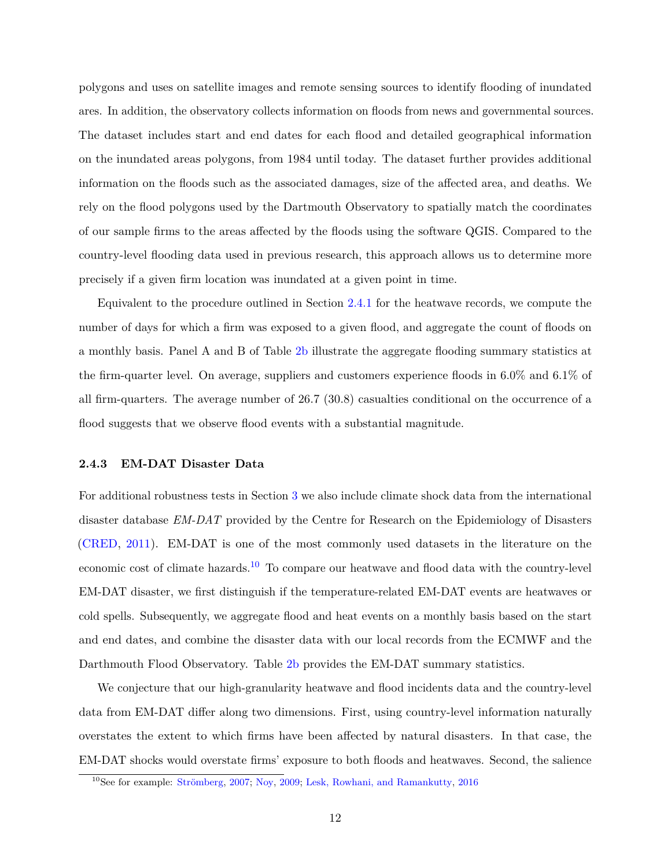polygons and uses on satellite images and remote sensing sources to identify flooding of inundated ares. In addition, the observatory collects information on floods from news and governmental sources. The dataset includes start and end dates for each flood and detailed geographical information on the inundated areas polygons, from 1984 until today. The dataset further provides additional information on the floods such as the associated damages, size of the affected area, and deaths. We rely on the flood polygons used by the Dartmouth Observatory to spatially match the coordinates of our sample firms to the areas affected by the floods using the software QGIS. Compared to the country-level flooding data used in previous research, this approach allows us to determine more precisely if a given firm location was inundated at a given point in time.

Equivalent to the procedure outlined in Section [2.4.1](#page-10-2) for the heatwave records, we compute the number of days for which a firm was exposed to a given flood, and aggregate the count of floods on a monthly basis. Panel A and B of Table [2b](#page-39-0) illustrate the aggregate flooding summary statistics at the firm-quarter level. On average, suppliers and customers experience floods in 6.0% and 6.1% of all firm-quarters. The average number of 26.7 (30.8) casualties conditional on the occurrence of a flood suggests that we observe flood events with a substantial magnitude.

#### <span id="page-12-1"></span>**2.4.3 EM-DAT Disaster Data**

For additional robustness tests in Section [3](#page-13-0) we also include climate shock data from the international disaster database *EM-DAT* provided by the Centre for Research on the Epidemiology of Disasters [\(CRED,](#page-30-17) [2011\)](#page-30-17). EM-DAT is one of the most commonly used datasets in the literature on the economic cost of climate hazards.<sup>[10](#page-12-0)</sup> To compare our heatwave and flood data with the country-level EM-DAT disaster, we first distinguish if the temperature-related EM-DAT events are heatwaves or cold spells. Subsequently, we aggregate flood and heat events on a monthly basis based on the start and end dates, and combine the disaster data with our local records from the ECMWF and the Darthmouth Flood Observatory. Table [2b](#page-39-0) provides the EM-DAT summary statistics.

We conjecture that our high-granularity heatwave and flood incidents data and the country-level data from EM-DAT differ along two dimensions. First, using country-level information naturally overstates the extent to which firms have been affected by natural disasters. In that case, the EM-DAT shocks would overstate firms' exposure to both floods and heatwaves. Second, the salience

<span id="page-12-0"></span> $10$ See for example: Strömberg, [2007;](#page-32-2) [Noy,](#page-31-15) [2009;](#page-31-15) [Lesk, Rowhani, and Ramankutty,](#page-31-16) [2016](#page-31-16)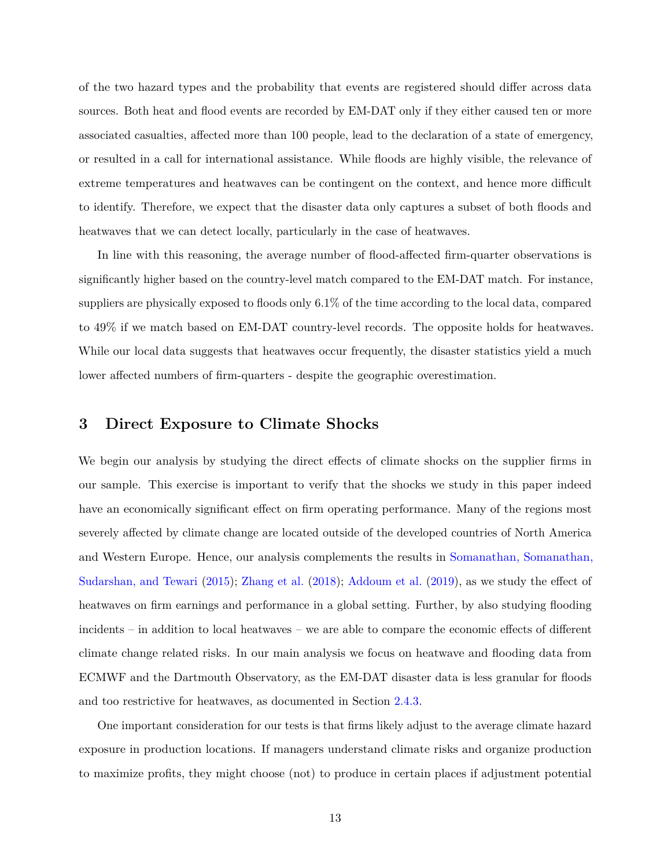of the two hazard types and the probability that events are registered should differ across data sources. Both heat and flood events are recorded by EM-DAT only if they either caused ten or more associated casualties, affected more than 100 people, lead to the declaration of a state of emergency, or resulted in a call for international assistance. While floods are highly visible, the relevance of extreme temperatures and heatwaves can be contingent on the context, and hence more difficult to identify. Therefore, we expect that the disaster data only captures a subset of both floods and heatwaves that we can detect locally, particularly in the case of heatwaves.

In line with this reasoning, the average number of flood-affected firm-quarter observations is significantly higher based on the country-level match compared to the EM-DAT match. For instance, suppliers are physically exposed to floods only 6.1% of the time according to the local data, compared to 49% if we match based on EM-DAT country-level records. The opposite holds for heatwaves. While our local data suggests that heatwaves occur frequently, the disaster statistics yield a much lower affected numbers of firm-quarters - despite the geographic overestimation.

### <span id="page-13-0"></span>**3 Direct Exposure to Climate Shocks**

We begin our analysis by studying the direct effects of climate shocks on the supplier firms in our sample. This exercise is important to verify that the shocks we study in this paper indeed have an economically significant effect on firm operating performance. Many of the regions most severely affected by climate change are located outside of the developed countries of North America and Western Europe. Hence, our analysis complements the results in [Somanathan, Somanathan,](#page-32-3) [Sudarshan, and Tewari](#page-32-3) [\(2015\)](#page-32-3); [Zhang et al.](#page-32-1) [\(2018\)](#page-32-1); [Addoum et al.](#page-30-2) [\(2019\)](#page-30-2), as we study the effect of heatwaves on firm earnings and performance in a global setting. Further, by also studying flooding incidents – in addition to local heatwaves – we are able to compare the economic effects of different climate change related risks. In our main analysis we focus on heatwave and flooding data from ECMWF and the Dartmouth Observatory, as the EM-DAT disaster data is less granular for floods and too restrictive for heatwaves, as documented in Section [2.4.3.](#page-12-1)

One important consideration for our tests is that firms likely adjust to the average climate hazard exposure in production locations. If managers understand climate risks and organize production to maximize profits, they might choose (not) to produce in certain places if adjustment potential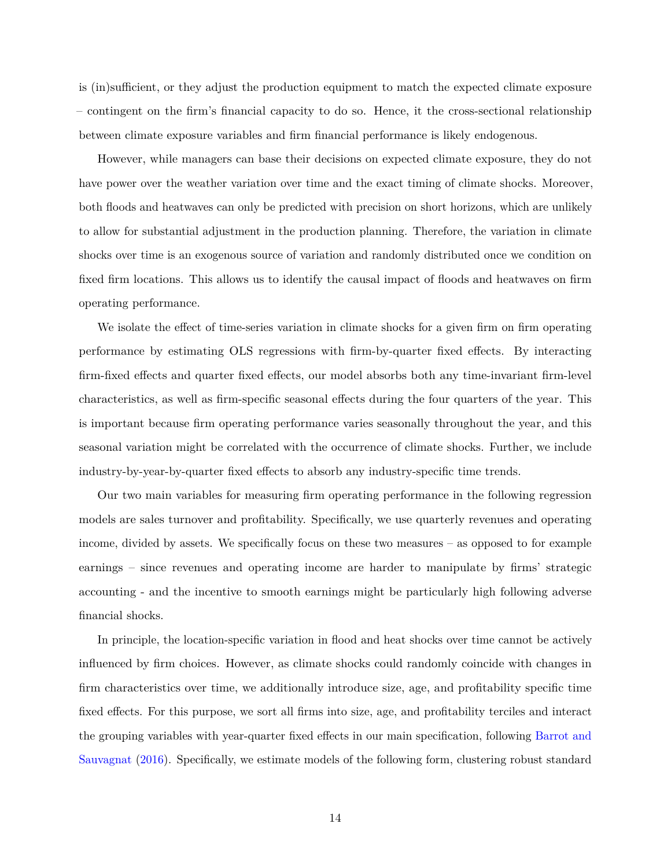is (in)sufficient, or they adjust the production equipment to match the expected climate exposure – contingent on the firm's financial capacity to do so. Hence, it the cross-sectional relationship between climate exposure variables and firm financial performance is likely endogenous.

However, while managers can base their decisions on expected climate exposure, they do not have power over the weather variation over time and the exact timing of climate shocks. Moreover, both floods and heatwaves can only be predicted with precision on short horizons, which are unlikely to allow for substantial adjustment in the production planning. Therefore, the variation in climate shocks over time is an exogenous source of variation and randomly distributed once we condition on fixed firm locations. This allows us to identify the causal impact of floods and heatwaves on firm operating performance.

We isolate the effect of time-series variation in climate shocks for a given firm on firm operating performance by estimating OLS regressions with firm-by-quarter fixed effects. By interacting firm-fixed effects and quarter fixed effects, our model absorbs both any time-invariant firm-level characteristics, as well as firm-specific seasonal effects during the four quarters of the year. This is important because firm operating performance varies seasonally throughout the year, and this seasonal variation might be correlated with the occurrence of climate shocks. Further, we include industry-by-year-by-quarter fixed effects to absorb any industry-specific time trends.

Our two main variables for measuring firm operating performance in the following regression models are sales turnover and profitability. Specifically, we use quarterly revenues and operating income, divided by assets. We specifically focus on these two measures – as opposed to for example earnings – since revenues and operating income are harder to manipulate by firms' strategic accounting - and the incentive to smooth earnings might be particularly high following adverse financial shocks.

In principle, the location-specific variation in flood and heat shocks over time cannot be actively influenced by firm choices. However, as climate shocks could randomly coincide with changes in firm characteristics over time, we additionally introduce size, age, and profitability specific time fixed effects. For this purpose, we sort all firms into size, age, and profitability terciles and interact the grouping variables with year-quarter fixed effects in our main specification, following [Barrot and](#page-30-3) [Sauvagnat](#page-30-3) [\(2016\)](#page-30-3). Specifically, we estimate models of the following form, clustering robust standard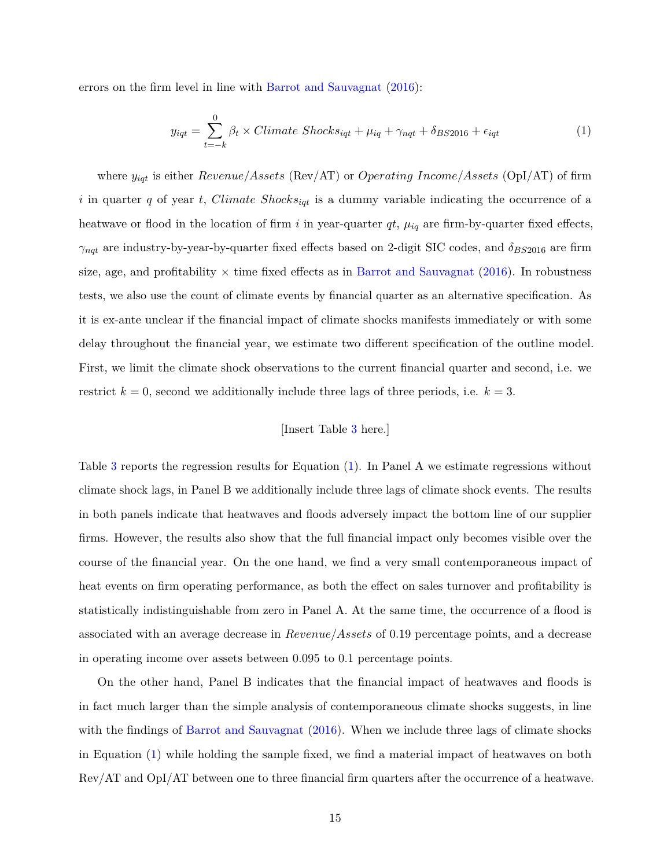errors on the firm level in line with [Barrot and Sauvagnat](#page-30-3) [\(2016\)](#page-30-3):

<span id="page-15-0"></span>
$$
y_{iqt} = \sum_{t=-k}^{0} \beta_t \times Climate \ Shocks_{iqt} + \mu_{iq} + \gamma_{nqt} + \delta_{BS2016} + \epsilon_{iqt}
$$
 (1)

where *yiqt* is either *Revenue/Assets* (Rev/AT) or *Operating Income/Assets* (OpI/AT) of firm *i* in quarter *q* of year *t*, *Climate Shocksiqt* is a dummy variable indicating the occurrence of a heatwave or flood in the location of firm *i* in year-quarter  $qt$ ,  $\mu_{iq}$  are firm-by-quarter fixed effects,  $\gamma_{nqt}$  are industry-by-year-by-quarter fixed effects based on 2-digit SIC codes, and  $\delta_{BS2016}$  are firm size, age, and profitability  $\times$  time fixed effects as in [Barrot and Sauvagnat](#page-30-3) [\(2016\)](#page-30-3). In robustness tests, we also use the count of climate events by financial quarter as an alternative specification. As it is ex-ante unclear if the financial impact of climate shocks manifests immediately or with some delay throughout the financial year, we estimate two different specification of the outline model. First, we limit the climate shock observations to the current financial quarter and second, i.e. we restrict  $k = 0$ , second we additionally include three lags of three periods, i.e.  $k = 3$ .

### [Insert Table [3](#page-40-0) here.]

Table [3](#page-40-0) reports the regression results for Equation [\(1\)](#page-15-0). In Panel A we estimate regressions without climate shock lags, in Panel B we additionally include three lags of climate shock events. The results in both panels indicate that heatwaves and floods adversely impact the bottom line of our supplier firms. However, the results also show that the full financial impact only becomes visible over the course of the financial year. On the one hand, we find a very small contemporaneous impact of heat events on firm operating performance, as both the effect on sales turnover and profitability is statistically indistinguishable from zero in Panel A. At the same time, the occurrence of a flood is associated with an average decrease in *Revenue/Assets* of 0.19 percentage points, and a decrease in operating income over assets between 0.095 to 0.1 percentage points.

On the other hand, Panel B indicates that the financial impact of heatwaves and floods is in fact much larger than the simple analysis of contemporaneous climate shocks suggests, in line with the findings of [Barrot and Sauvagnat](#page-30-3) [\(2016\)](#page-30-3). When we include three lags of climate shocks in Equation [\(1\)](#page-15-0) while holding the sample fixed, we find a material impact of heatwaves on both Rev/AT and OpI/AT between one to three financial firm quarters after the occurrence of a heatwave.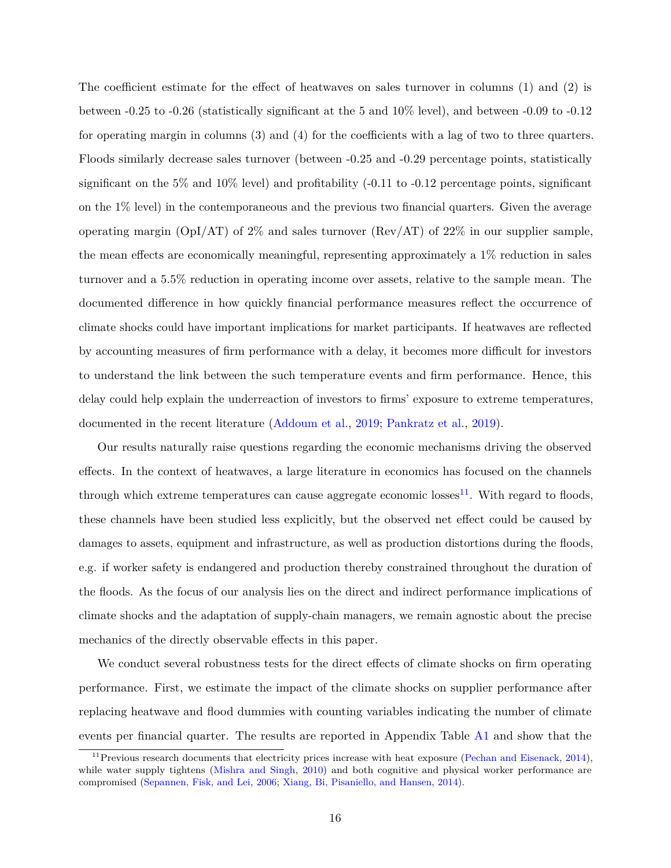The coefficient estimate for the effect of heatwaves on sales turnover in columns (1) and (2) is between -0.25 to -0.26 (statistically significant at the 5 and 10% level), and between -0.09 to -0.12 for operating margin in columns (3) and (4) for the coefficients with a lag of two to three quarters. Floods similarly decrease sales turnover (between -0.25 and -0.29 percentage points, statistically significant on the  $5\%$  and  $10\%$  level) and profitability (-0.11 to -0.12 percentage points, significant on the 1% level) in the contemporaneous and the previous two financial quarters. Given the average operating margin (OpI/AT) of 2\% and sales turnover (Rev/AT) of 22\% in our supplier sample, the mean effects are economically meaningful, representing approximately a 1% reduction in sales turnover and a 5.5% reduction in operating income over assets, relative to the sample mean. The documented difference in how quickly financial performance measures reflect the occurrence of climate shocks could have important implications for market participants. If heatwaves are reflected by accounting measures of firm performance with a delay, it becomes more difficult for investors to understand the link between the such temperature events and firm performance. Hence, this delay could help explain the underreaction of investors to firms' exposure to extreme temperatures, documented in the recent literature [\(Addoum et al.,](#page-30-2) [2019;](#page-30-2) [Pankratz et al.,](#page-31-9) [2019\)](#page-31-9).

Our results naturally raise questions regarding the economic mechanisms driving the observed effects. In the context of heatwaves, a large literature in economics has focused on the channels through which extreme temperatures can cause aggregate economic losses<sup>[11](#page-16-0)</sup>. With regard to floods, these channels have been studied less explicitly, but the observed net effect could be caused by damages to assets, equipment and infrastructure, as well as production distortions during the floods, e.g. if worker safety is endangered and production thereby constrained throughout the duration of the floods. As the focus of our analysis lies on the direct and indirect performance implications of climate shocks and the adaptation of supply-chain managers, we remain agnostic about the precise mechanics of the directly observable effects in this paper.

We conduct several robustness tests for the direct effects of climate shocks on firm operating performance. First, we estimate the impact of the climate shocks on supplier performance after replacing heatwave and flood dummies with counting variables indicating the number of climate events per financial quarter. The results are reported in Appendix Table [A1](#page-48-0) and show that the

<span id="page-16-0"></span><sup>&</sup>lt;sup>11</sup> Previous research documents that electricity prices increase with heat exposure [\(Pechan and Eisenack,](#page-31-17) [2014\)](#page-31-17), while water supply tightens [\(Mishra and Singh,](#page-31-18) [2010\)](#page-31-18) and both cognitive and physical worker performance are compromised [\(Sepannen, Fisk, and Lei,](#page-32-4) [2006;](#page-32-4) [Xiang, Bi, Pisaniello, and Hansen,](#page-32-5) [2014\)](#page-32-5).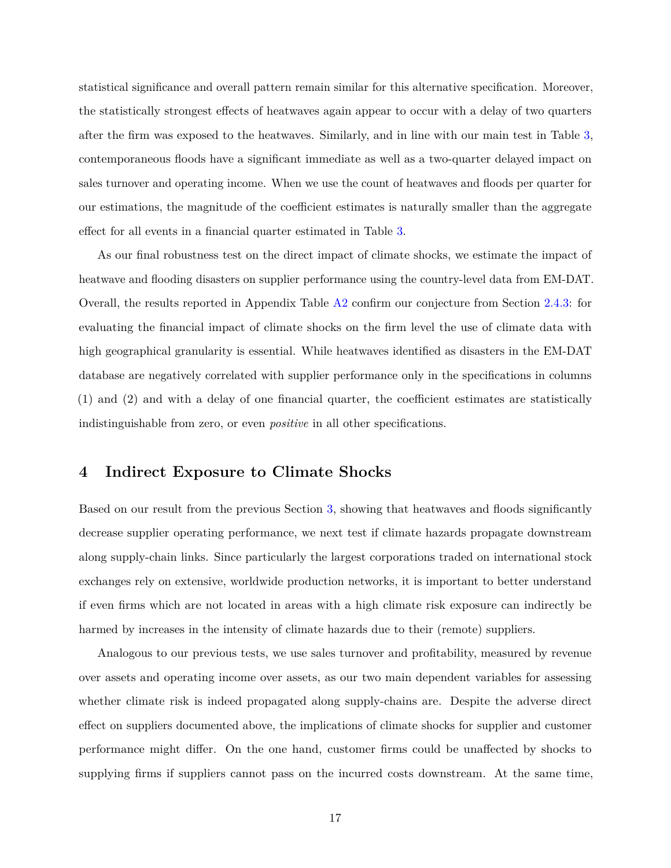statistical significance and overall pattern remain similar for this alternative specification. Moreover, the statistically strongest effects of heatwaves again appear to occur with a delay of two quarters after the firm was exposed to the heatwaves. Similarly, and in line with our main test in Table [3,](#page-40-0) contemporaneous floods have a significant immediate as well as a two-quarter delayed impact on sales turnover and operating income. When we use the count of heatwaves and floods per quarter for our estimations, the magnitude of the coefficient estimates is naturally smaller than the aggregate effect for all events in a financial quarter estimated in Table [3.](#page-40-0)

As our final robustness test on the direct impact of climate shocks, we estimate the impact of heatwave and flooding disasters on supplier performance using the country-level data from EM-DAT. Overall, the results reported in Appendix Table [A2](#page-49-0) confirm our conjecture from Section [2.4.3:](#page-12-1) for evaluating the financial impact of climate shocks on the firm level the use of climate data with high geographical granularity is essential. While heatwaves identified as disasters in the EM-DAT database are negatively correlated with supplier performance only in the specifications in columns (1) and (2) and with a delay of one financial quarter, the coefficient estimates are statistically indistinguishable from zero, or even *positive* in all other specifications.

### <span id="page-17-0"></span>**4 Indirect Exposure to Climate Shocks**

Based on our result from the previous Section [3,](#page-13-0) showing that heatwaves and floods significantly decrease supplier operating performance, we next test if climate hazards propagate downstream along supply-chain links. Since particularly the largest corporations traded on international stock exchanges rely on extensive, worldwide production networks, it is important to better understand if even firms which are not located in areas with a high climate risk exposure can indirectly be harmed by increases in the intensity of climate hazards due to their (remote) suppliers.

Analogous to our previous tests, we use sales turnover and profitability, measured by revenue over assets and operating income over assets, as our two main dependent variables for assessing whether climate risk is indeed propagated along supply-chains are. Despite the adverse direct effect on suppliers documented above, the implications of climate shocks for supplier and customer performance might differ. On the one hand, customer firms could be unaffected by shocks to supplying firms if suppliers cannot pass on the incurred costs downstream. At the same time,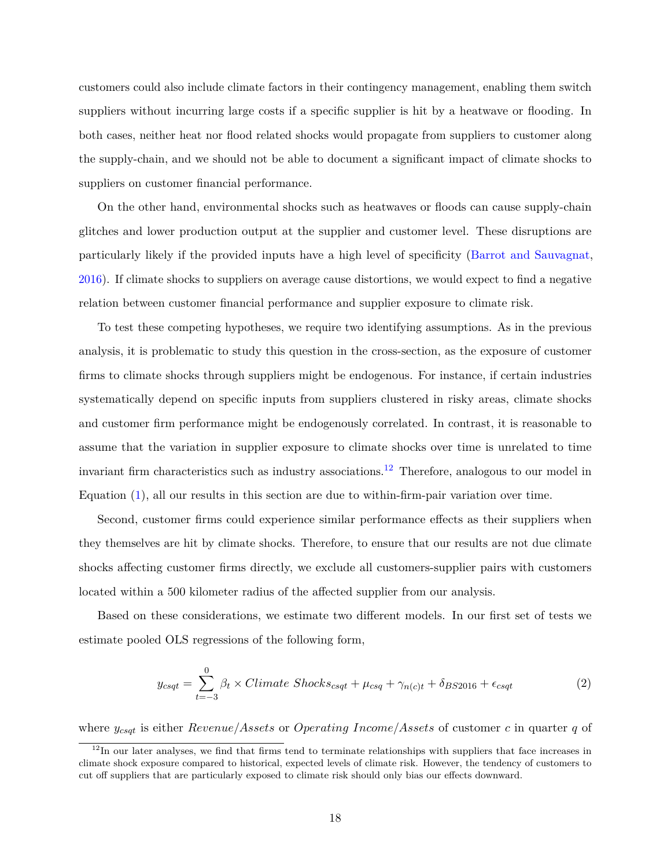customers could also include climate factors in their contingency management, enabling them switch suppliers without incurring large costs if a specific supplier is hit by a heatwave or flooding. In both cases, neither heat nor flood related shocks would propagate from suppliers to customer along the supply-chain, and we should not be able to document a significant impact of climate shocks to suppliers on customer financial performance.

On the other hand, environmental shocks such as heatwaves or floods can cause supply-chain glitches and lower production output at the supplier and customer level. These disruptions are particularly likely if the provided inputs have a high level of specificity [\(Barrot and Sauvagnat,](#page-30-3) [2016\)](#page-30-3). If climate shocks to suppliers on average cause distortions, we would expect to find a negative relation between customer financial performance and supplier exposure to climate risk.

To test these competing hypotheses, we require two identifying assumptions. As in the previous analysis, it is problematic to study this question in the cross-section, as the exposure of customer firms to climate shocks through suppliers might be endogenous. For instance, if certain industries systematically depend on specific inputs from suppliers clustered in risky areas, climate shocks and customer firm performance might be endogenously correlated. In contrast, it is reasonable to assume that the variation in supplier exposure to climate shocks over time is unrelated to time invariant firm characteristics such as industry associations.<sup>[12](#page-18-0)</sup> Therefore, analogous to our model in Equation [\(1\)](#page-15-0), all our results in this section are due to within-firm-pair variation over time.

Second, customer firms could experience similar performance effects as their suppliers when they themselves are hit by climate shocks. Therefore, to ensure that our results are not due climate shocks affecting customer firms directly, we exclude all customers-supplier pairs with customers located within a 500 kilometer radius of the affected supplier from our analysis.

Based on these considerations, we estimate two different models. In our first set of tests we estimate pooled OLS regressions of the following form,

<span id="page-18-1"></span>
$$
y_{csqt} = \sum_{t=-3}^{0} \beta_t \times Climate \; Shocks_{csqt} + \mu_{csq} + \gamma_{n(c)t} + \delta_{BS2016} + \epsilon_{csqt} \tag{2}
$$

where *ycsqt* is either *Revenue/Assets* or *Operating Income/Assets* of customer *c* in quarter *q* of

<span id="page-18-0"></span> $12$ In our later analyses, we find that firms tend to terminate relationships with suppliers that face increases in climate shock exposure compared to historical, expected levels of climate risk. However, the tendency of customers to cut off suppliers that are particularly exposed to climate risk should only bias our effects downward.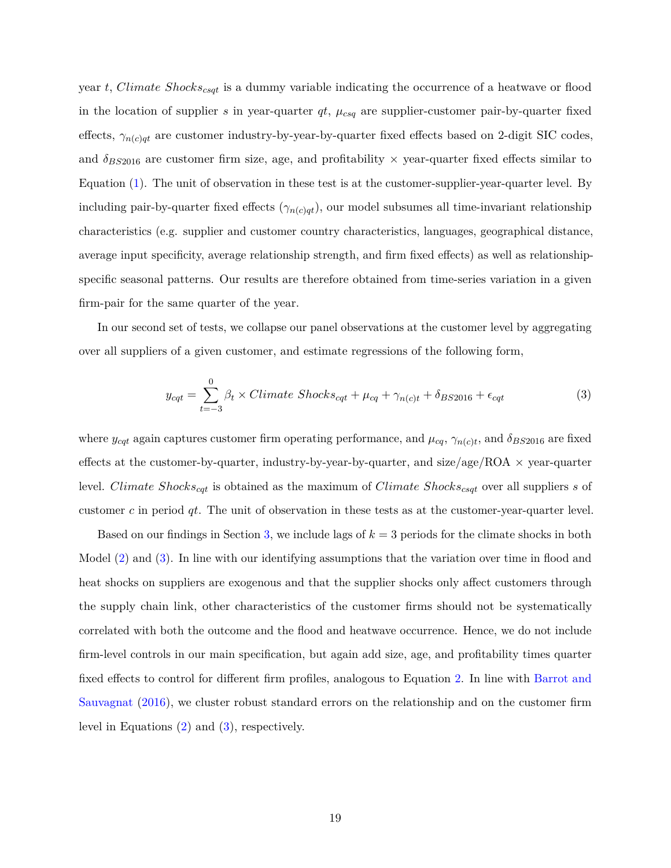year *t*, *Climate Shockscsqt* is a dummy variable indicating the occurrence of a heatwave or flood in the location of supplier *s* in year-quarter  $qt$ ,  $\mu_{csq}$  are supplier-customer pair-by-quarter fixed effects,  $\gamma_{n(c)qt}$  are customer industry-by-year-by-quarter fixed effects based on 2-digit SIC codes, and  $\delta_{BS2016}$  are customer firm size, age, and profitability  $\times$  year-quarter fixed effects similar to Equation [\(1\)](#page-15-0). The unit of observation in these test is at the customer-supplier-year-quarter level. By including pair-by-quarter fixed effects  $(\gamma_{n(c)qt})$ , our model subsumes all time-invariant relationship characteristics (e.g. supplier and customer country characteristics, languages, geographical distance, average input specificity, average relationship strength, and firm fixed effects) as well as relationshipspecific seasonal patterns. Our results are therefore obtained from time-series variation in a given firm-pair for the same quarter of the year.

In our second set of tests, we collapse our panel observations at the customer level by aggregating over all suppliers of a given customer, and estimate regressions of the following form,

<span id="page-19-0"></span>
$$
y_{cqt} = \sum_{t=-3}^{0} \beta_t \times Climate \; Shocks_{cqt} + \mu_{cq} + \gamma_{n(c)t} + \delta_{BS2016} + \epsilon_{cqt} \tag{3}
$$

where  $y_{cqt}$  again captures customer firm operating performance, and  $\mu_{cq}$ ,  $\gamma_{n(c)t}$ , and  $\delta_{BS2016}$  are fixed effects at the customer-by-quarter, industry-by-year-by-quarter, and size/age/ROA  $\times$  year-quarter level. *Climate Shockscqt* is obtained as the maximum of *Climate Shockscsqt* over all suppliers *s* of customer *c* in period *qt*. The unit of observation in these tests as at the customer-year-quarter level.

Based on our findings in Section [3,](#page-13-0) we include lags of *k* = 3 periods for the climate shocks in both Model [\(2\)](#page-18-1) and [\(3\)](#page-19-0). In line with our identifying assumptions that the variation over time in flood and heat shocks on suppliers are exogenous and that the supplier shocks only affect customers through the supply chain link, other characteristics of the customer firms should not be systematically correlated with both the outcome and the flood and heatwave occurrence. Hence, we do not include firm-level controls in our main specification, but again add size, age, and profitability times quarter fixed effects to control for different firm profiles, analogous to Equation [2.](#page-18-1) In line with [Barrot and](#page-30-3) [Sauvagnat](#page-30-3) [\(2016\)](#page-30-3), we cluster robust standard errors on the relationship and on the customer firm level in Equations [\(2\)](#page-18-1) and [\(3\)](#page-19-0), respectively.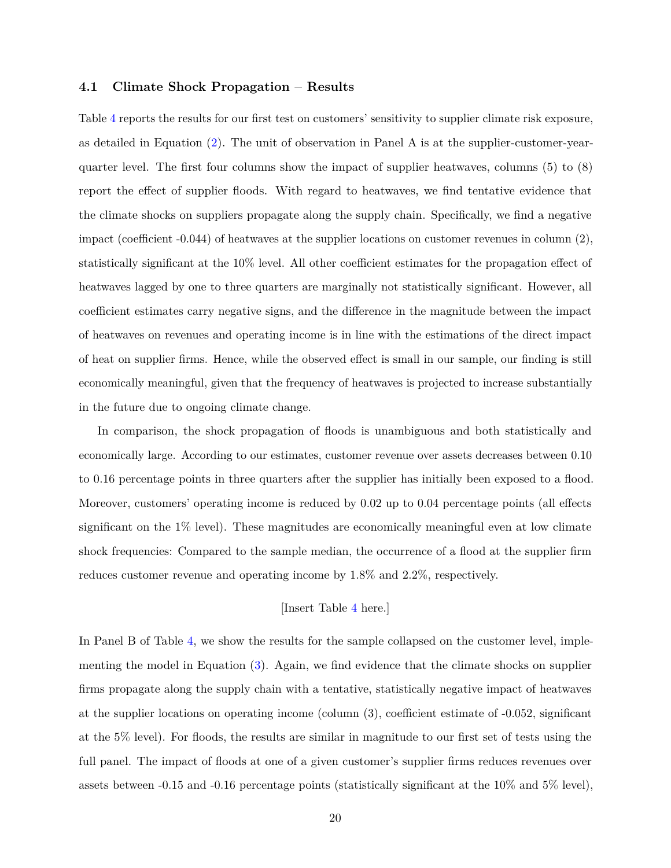#### <span id="page-20-0"></span>**4.1 Climate Shock Propagation – Results**

Table [4](#page-41-0) reports the results for our first test on customers' sensitivity to supplier climate risk exposure, as detailed in Equation [\(2\)](#page-18-1). The unit of observation in Panel A is at the supplier-customer-yearquarter level. The first four columns show the impact of supplier heatwaves, columns (5) to (8) report the effect of supplier floods. With regard to heatwaves, we find tentative evidence that the climate shocks on suppliers propagate along the supply chain. Specifically, we find a negative impact (coefficient  $-0.044$ ) of heatwaves at the supplier locations on customer revenues in column  $(2)$ , statistically significant at the 10% level. All other coefficient estimates for the propagation effect of heatwaves lagged by one to three quarters are marginally not statistically significant. However, all coefficient estimates carry negative signs, and the difference in the magnitude between the impact of heatwaves on revenues and operating income is in line with the estimations of the direct impact of heat on supplier firms. Hence, while the observed effect is small in our sample, our finding is still economically meaningful, given that the frequency of heatwaves is projected to increase substantially in the future due to ongoing climate change.

In comparison, the shock propagation of floods is unambiguous and both statistically and economically large. According to our estimates, customer revenue over assets decreases between 0.10 to 0.16 percentage points in three quarters after the supplier has initially been exposed to a flood. Moreover, customers' operating income is reduced by 0.02 up to 0.04 percentage points (all effects significant on the 1% level). These magnitudes are economically meaningful even at low climate shock frequencies: Compared to the sample median, the occurrence of a flood at the supplier firm reduces customer revenue and operating income by 1.8% and 2.2%, respectively.

### [Insert Table [4](#page-41-0) here.]

In Panel B of Table [4,](#page-41-0) we show the results for the sample collapsed on the customer level, implementing the model in Equation  $(3)$ . Again, we find evidence that the climate shocks on supplier firms propagate along the supply chain with a tentative, statistically negative impact of heatwaves at the supplier locations on operating income (column (3), coefficient estimate of -0.052, significant at the 5% level). For floods, the results are similar in magnitude to our first set of tests using the full panel. The impact of floods at one of a given customer's supplier firms reduces revenues over assets between -0.15 and -0.16 percentage points (statistically significant at the 10% and 5% level),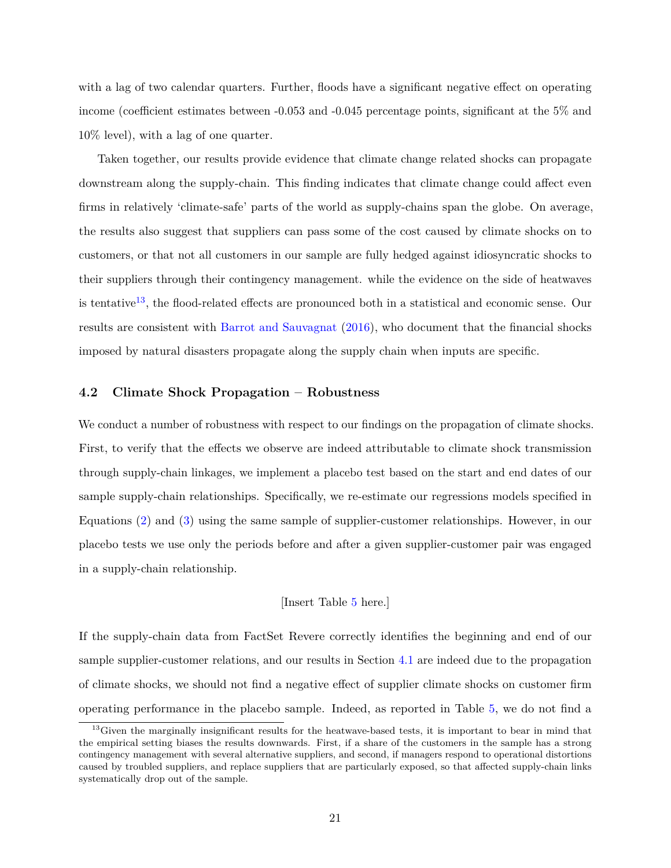with a lag of two calendar quarters. Further, floods have a significant negative effect on operating income (coefficient estimates between -0.053 and -0.045 percentage points, significant at the 5% and 10% level), with a lag of one quarter.

Taken together, our results provide evidence that climate change related shocks can propagate downstream along the supply-chain. This finding indicates that climate change could affect even firms in relatively 'climate-safe' parts of the world as supply-chains span the globe. On average, the results also suggest that suppliers can pass some of the cost caused by climate shocks on to customers, or that not all customers in our sample are fully hedged against idiosyncratic shocks to their suppliers through their contingency management. while the evidence on the side of heatwaves is tentative<sup>[13](#page-21-0)</sup>, the flood-related effects are pronounced both in a statistical and economic sense. Our results are consistent with [Barrot and Sauvagnat](#page-30-3) [\(2016\)](#page-30-3), who document that the financial shocks imposed by natural disasters propagate along the supply chain when inputs are specific.

#### **4.2 Climate Shock Propagation – Robustness**

We conduct a number of robustness with respect to our findings on the propagation of climate shocks. First, to verify that the effects we observe are indeed attributable to climate shock transmission through supply-chain linkages, we implement a placebo test based on the start and end dates of our sample supply-chain relationships. Specifically, we re-estimate our regressions models specified in Equations [\(2\)](#page-18-1) and [\(3\)](#page-19-0) using the same sample of supplier-customer relationships. However, in our placebo tests we use only the periods before and after a given supplier-customer pair was engaged in a supply-chain relationship.

#### [Insert Table [5](#page-43-0) here.]

If the supply-chain data from FactSet Revere correctly identifies the beginning and end of our sample supplier-customer relations, and our results in Section [4.1](#page-20-0) are indeed due to the propagation of climate shocks, we should not find a negative effect of supplier climate shocks on customer firm operating performance in the placebo sample. Indeed, as reported in Table [5,](#page-43-0) we do not find a

<span id="page-21-0"></span><sup>&</sup>lt;sup>13</sup>Given the marginally insignificant results for the heatwave-based tests, it is important to bear in mind that the empirical setting biases the results downwards. First, if a share of the customers in the sample has a strong contingency management with several alternative suppliers, and second, if managers respond to operational distortions caused by troubled suppliers, and replace suppliers that are particularly exposed, so that affected supply-chain links systematically drop out of the sample.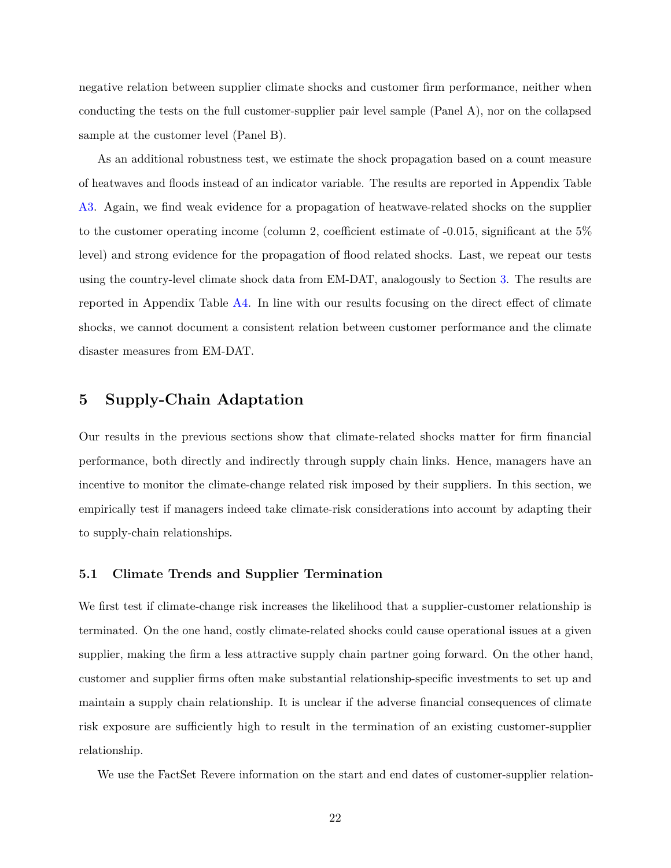negative relation between supplier climate shocks and customer firm performance, neither when conducting the tests on the full customer-supplier pair level sample (Panel A), nor on the collapsed sample at the customer level (Panel B).

As an additional robustness test, we estimate the shock propagation based on a count measure of heatwaves and floods instead of an indicator variable. The results are reported in Appendix Table [A3.](#page-50-0) Again, we find weak evidence for a propagation of heatwave-related shocks on the supplier to the customer operating income (column 2, coefficient estimate of -0.015, significant at the 5% level) and strong evidence for the propagation of flood related shocks. Last, we repeat our tests using the country-level climate shock data from EM-DAT, analogously to Section [3.](#page-13-0) The results are reported in Appendix Table [A4.](#page-51-0) In line with our results focusing on the direct effect of climate shocks, we cannot document a consistent relation between customer performance and the climate disaster measures from EM-DAT.

### <span id="page-22-0"></span>**5 Supply-Chain Adaptation**

Our results in the previous sections show that climate-related shocks matter for firm financial performance, both directly and indirectly through supply chain links. Hence, managers have an incentive to monitor the climate-change related risk imposed by their suppliers. In this section, we empirically test if managers indeed take climate-risk considerations into account by adapting their to supply-chain relationships.

#### **5.1 Climate Trends and Supplier Termination**

We first test if climate-change risk increases the likelihood that a supplier-customer relationship is terminated. On the one hand, costly climate-related shocks could cause operational issues at a given supplier, making the firm a less attractive supply chain partner going forward. On the other hand, customer and supplier firms often make substantial relationship-specific investments to set up and maintain a supply chain relationship. It is unclear if the adverse financial consequences of climate risk exposure are sufficiently high to result in the termination of an existing customer-supplier relationship.

We use the FactSet Revere information on the start and end dates of customer-supplier relation-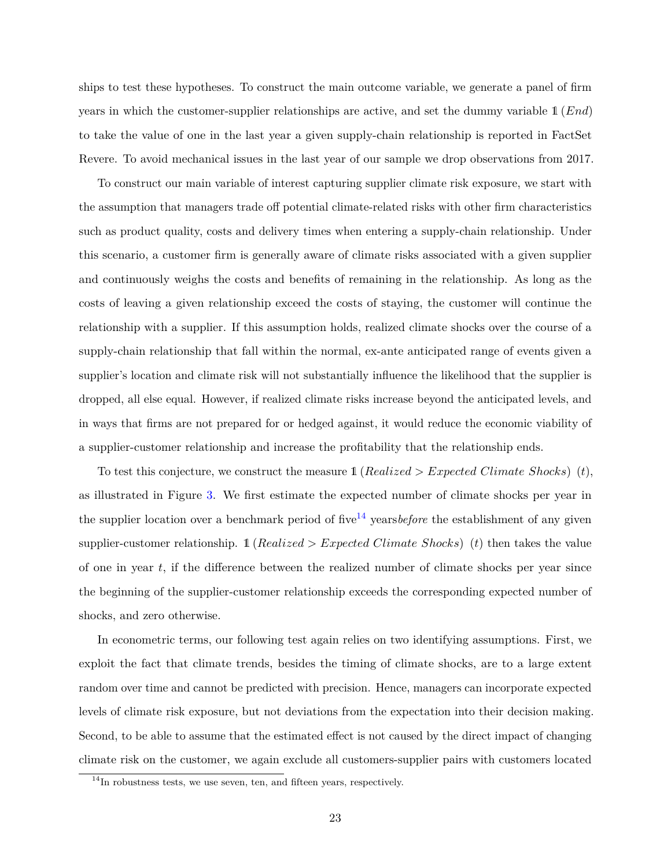ships to test these hypotheses. To construct the main outcome variable, we generate a panel of firm years in which the customer-supplier relationships are active, and set the dummy variable 1 (*End*) to take the value of one in the last year a given supply-chain relationship is reported in FactSet Revere. To avoid mechanical issues in the last year of our sample we drop observations from 2017.

To construct our main variable of interest capturing supplier climate risk exposure, we start with the assumption that managers trade off potential climate-related risks with other firm characteristics such as product quality, costs and delivery times when entering a supply-chain relationship. Under this scenario, a customer firm is generally aware of climate risks associated with a given supplier and continuously weighs the costs and benefits of remaining in the relationship. As long as the costs of leaving a given relationship exceed the costs of staying, the customer will continue the relationship with a supplier. If this assumption holds, realized climate shocks over the course of a supply-chain relationship that fall within the normal, ex-ante anticipated range of events given a supplier's location and climate risk will not substantially influence the likelihood that the supplier is dropped, all else equal. However, if realized climate risks increase beyond the anticipated levels, and in ways that firms are not prepared for or hedged against, it would reduce the economic viability of a supplier-customer relationship and increase the profitability that the relationship ends.

To test this conjecture, we construct the measure 1 (*Realized > Expected Climate Shocks*) (*t*), as illustrated in Figure [3.](#page-35-0) We first estimate the expected number of climate shocks per year in the supplier location over a benchmark period of five<sup>[14](#page-23-0)</sup> years *before* the establishment of any given supplier-customer relationship. 1 (*Realized > Expected Climate Shocks*) (*t*) then takes the value of one in year *t*, if the difference between the realized number of climate shocks per year since the beginning of the supplier-customer relationship exceeds the corresponding expected number of shocks, and zero otherwise.

In econometric terms, our following test again relies on two identifying assumptions. First, we exploit the fact that climate trends, besides the timing of climate shocks, are to a large extent random over time and cannot be predicted with precision. Hence, managers can incorporate expected levels of climate risk exposure, but not deviations from the expectation into their decision making. Second, to be able to assume that the estimated effect is not caused by the direct impact of changing climate risk on the customer, we again exclude all customers-supplier pairs with customers located

<span id="page-23-0"></span> $14$ In robustness tests, we use seven, ten, and fifteen years, respectively.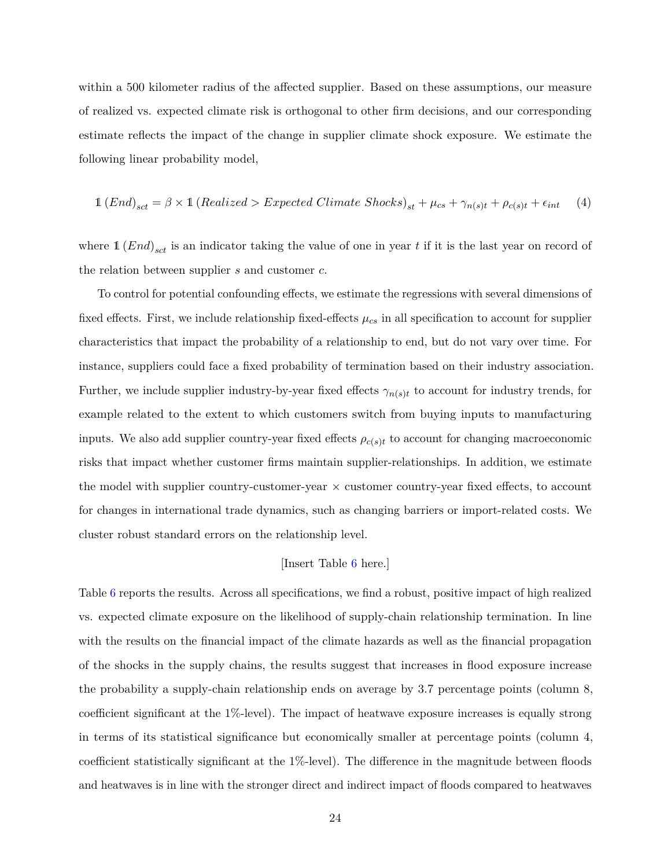within a 500 kilometer radius of the affected supplier. Based on these assumptions, our measure of realized vs. expected climate risk is orthogonal to other firm decisions, and our corresponding estimate reflects the impact of the change in supplier climate shock exposure. We estimate the following linear probability model,

<span id="page-24-0"></span>
$$
1 (End)_{sct} = \beta \times 1 (Realized > Expected \ Climate \ Shocks)_{st} + \mu_{cs} + \gamma_{n(s)t} + \rho_{c(s)t} + \epsilon_{int} \quad (4)
$$

where  $\mathbb{1}$   $(End)_{sct}$  is an indicator taking the value of one in year *t* if it is the last year on record of the relation between supplier *s* and customer *c*.

To control for potential confounding effects, we estimate the regressions with several dimensions of fixed effects. First, we include relationship fixed-effects  $\mu_{cs}$  in all specification to account for supplier characteristics that impact the probability of a relationship to end, but do not vary over time. For instance, suppliers could face a fixed probability of termination based on their industry association. Further, we include supplier industry-by-year fixed effects  $\gamma_{n(s)t}$  to account for industry trends, for example related to the extent to which customers switch from buying inputs to manufacturing inputs. We also add supplier country-year fixed effects  $\rho_{c(s)t}$  to account for changing macroeconomic risks that impact whether customer firms maintain supplier-relationships. In addition, we estimate the model with supplier country-customer-year  $\times$  customer country-year fixed effects, to account for changes in international trade dynamics, such as changing barriers or import-related costs. We cluster robust standard errors on the relationship level.

#### [Insert Table [6](#page-45-0) here.]

Table [6](#page-45-0) reports the results. Across all specifications, we find a robust, positive impact of high realized vs. expected climate exposure on the likelihood of supply-chain relationship termination. In line with the results on the financial impact of the climate hazards as well as the financial propagation of the shocks in the supply chains, the results suggest that increases in flood exposure increase the probability a supply-chain relationship ends on average by 3.7 percentage points (column 8, coefficient significant at the 1%-level). The impact of heatwave exposure increases is equally strong in terms of its statistical significance but economically smaller at percentage points (column 4, coefficient statistically significant at the 1%-level). The difference in the magnitude between floods and heatwaves is in line with the stronger direct and indirect impact of floods compared to heatwaves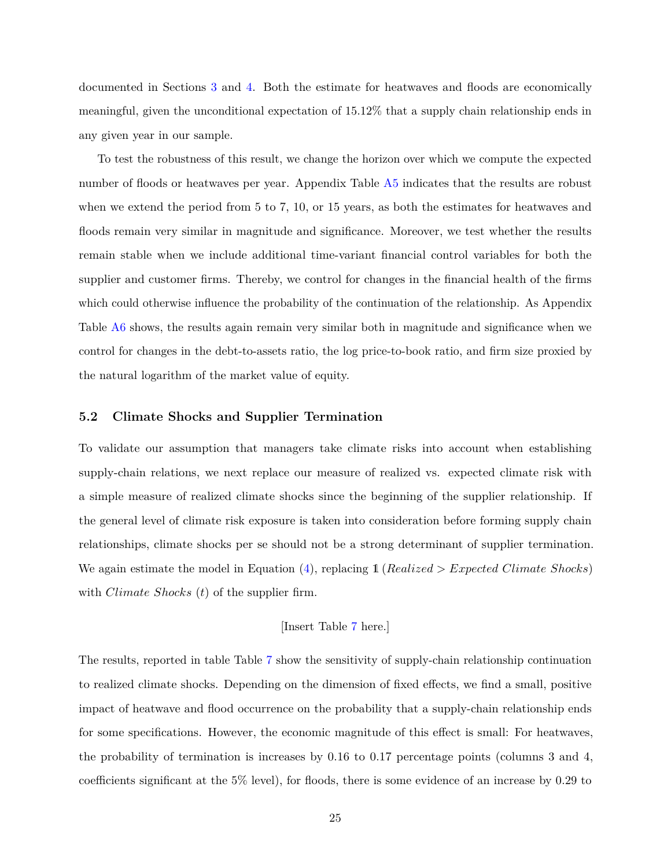documented in Sections [3](#page-13-0) and [4.](#page-17-0) Both the estimate for heatwaves and floods are economically meaningful, given the unconditional expectation of 15.12% that a supply chain relationship ends in any given year in our sample.

To test the robustness of this result, we change the horizon over which we compute the expected number of floods or heatwaves per year. Appendix Table [A5](#page-52-0) indicates that the results are robust when we extend the period from 5 to 7, 10, or 15 years, as both the estimates for heatwaves and floods remain very similar in magnitude and significance. Moreover, we test whether the results remain stable when we include additional time-variant financial control variables for both the supplier and customer firms. Thereby, we control for changes in the financial health of the firms which could otherwise influence the probability of the continuation of the relationship. As Appendix Table [A6](#page-53-0) shows, the results again remain very similar both in magnitude and significance when we control for changes in the debt-to-assets ratio, the log price-to-book ratio, and firm size proxied by the natural logarithm of the market value of equity.

#### **5.2 Climate Shocks and Supplier Termination**

To validate our assumption that managers take climate risks into account when establishing supply-chain relations, we next replace our measure of realized vs. expected climate risk with a simple measure of realized climate shocks since the beginning of the supplier relationship. If the general level of climate risk exposure is taken into consideration before forming supply chain relationships, climate shocks per se should not be a strong determinant of supplier termination. We again estimate the model in Equation [\(4\)](#page-24-0), replacing 1 (*Realized > Expected Climate Shocks*) with *Climate Shocks* (*t*) of the supplier firm.

#### [Insert Table [7](#page-46-0) here.]

The results, reported in table Table [7](#page-46-0) show the sensitivity of supply-chain relationship continuation to realized climate shocks. Depending on the dimension of fixed effects, we find a small, positive impact of heatwave and flood occurrence on the probability that a supply-chain relationship ends for some specifications. However, the economic magnitude of this effect is small: For heatwaves, the probability of termination is increases by 0.16 to 0.17 percentage points (columns 3 and 4, coefficients significant at the 5% level), for floods, there is some evidence of an increase by 0.29 to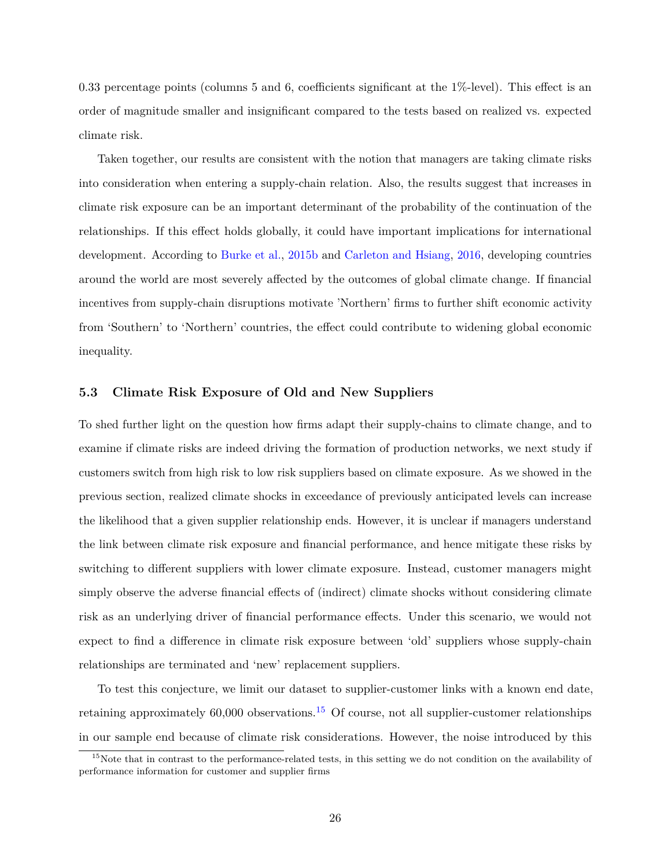0.33 percentage points (columns 5 and 6, coefficients significant at the 1%-level). This effect is an order of magnitude smaller and insignificant compared to the tests based on realized vs. expected climate risk.

Taken together, our results are consistent with the notion that managers are taking climate risks into consideration when entering a supply-chain relation. Also, the results suggest that increases in climate risk exposure can be an important determinant of the probability of the continuation of the relationships. If this effect holds globally, it could have important implications for international development. According to [Burke et al.,](#page-30-7) [2015b](#page-30-7) and [Carleton and Hsiang,](#page-30-0) [2016,](#page-30-0) developing countries around the world are most severely affected by the outcomes of global climate change. If financial incentives from supply-chain disruptions motivate 'Northern' firms to further shift economic activity from 'Southern' to 'Northern' countries, the effect could contribute to widening global economic inequality.

#### **5.3 Climate Risk Exposure of Old and New Suppliers**

To shed further light on the question how firms adapt their supply-chains to climate change, and to examine if climate risks are indeed driving the formation of production networks, we next study if customers switch from high risk to low risk suppliers based on climate exposure. As we showed in the previous section, realized climate shocks in exceedance of previously anticipated levels can increase the likelihood that a given supplier relationship ends. However, it is unclear if managers understand the link between climate risk exposure and financial performance, and hence mitigate these risks by switching to different suppliers with lower climate exposure. Instead, customer managers might simply observe the adverse financial effects of (indirect) climate shocks without considering climate risk as an underlying driver of financial performance effects. Under this scenario, we would not expect to find a difference in climate risk exposure between 'old' suppliers whose supply-chain relationships are terminated and 'new' replacement suppliers.

To test this conjecture, we limit our dataset to supplier-customer links with a known end date, retaining approximately  $60,000$  observations.<sup>[15](#page-26-0)</sup> Of course, not all supplier-customer relationships in our sample end because of climate risk considerations. However, the noise introduced by this

<span id="page-26-0"></span><sup>&</sup>lt;sup>15</sup>Note that in contrast to the performance-related tests, in this setting we do not condition on the availability of performance information for customer and supplier firms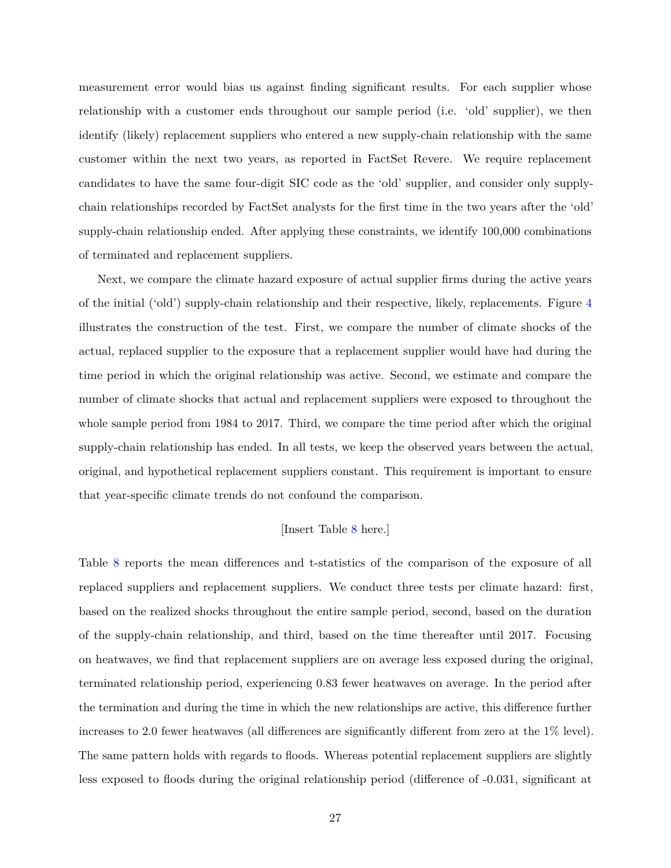measurement error would bias us against finding significant results. For each supplier whose relationship with a customer ends throughout our sample period (i.e. 'old' supplier), we then identify (likely) replacement suppliers who entered a new supply-chain relationship with the same customer within the next two years, as reported in FactSet Revere. We require replacement candidates to have the same four-digit SIC code as the 'old' supplier, and consider only supplychain relationships recorded by FactSet analysts for the first time in the two years after the 'old' supply-chain relationship ended. After applying these constraints, we identify 100,000 combinations of terminated and replacement suppliers.

Next, we compare the climate hazard exposure of actual supplier firms during the active years of the initial ('old') supply-chain relationship and their respective, likely, replacements. Figure [4](#page-36-0) illustrates the construction of the test. First, we compare the number of climate shocks of the actual, replaced supplier to the exposure that a replacement supplier would have had during the time period in which the original relationship was active. Second, we estimate and compare the number of climate shocks that actual and replacement suppliers were exposed to throughout the whole sample period from 1984 to 2017. Third, we compare the time period after which the original supply-chain relationship has ended. In all tests, we keep the observed years between the actual, original, and hypothetical replacement suppliers constant. This requirement is important to ensure that year-specific climate trends do not confound the comparison.

#### [Insert Table [8](#page-47-0) here.]

Table [8](#page-47-0) reports the mean differences and t-statistics of the comparison of the exposure of all replaced suppliers and replacement suppliers. We conduct three tests per climate hazard: first, based on the realized shocks throughout the entire sample period, second, based on the duration of the supply-chain relationship, and third, based on the time thereafter until 2017. Focusing on heatwaves, we find that replacement suppliers are on average less exposed during the original, terminated relationship period, experiencing 0.83 fewer heatwaves on average. In the period after the termination and during the time in which the new relationships are active, this difference further increases to 2.0 fewer heatwaves (all differences are significantly different from zero at the 1% level). The same pattern holds with regards to floods. Whereas potential replacement suppliers are slightly less exposed to floods during the original relationship period (difference of -0.031, significant at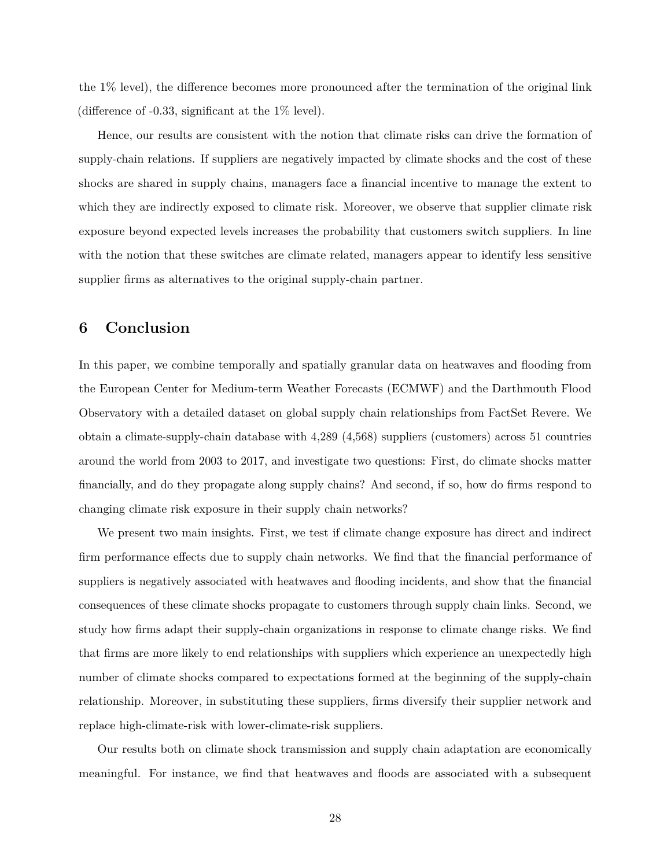the 1% level), the difference becomes more pronounced after the termination of the original link (difference of -0.33, significant at the 1% level).

Hence, our results are consistent with the notion that climate risks can drive the formation of supply-chain relations. If suppliers are negatively impacted by climate shocks and the cost of these shocks are shared in supply chains, managers face a financial incentive to manage the extent to which they are indirectly exposed to climate risk. Moreover, we observe that supplier climate risk exposure beyond expected levels increases the probability that customers switch suppliers. In line with the notion that these switches are climate related, managers appear to identify less sensitive supplier firms as alternatives to the original supply-chain partner.

### **6 Conclusion**

In this paper, we combine temporally and spatially granular data on heatwaves and flooding from the European Center for Medium-term Weather Forecasts (ECMWF) and the Darthmouth Flood Observatory with a detailed dataset on global supply chain relationships from FactSet Revere. We obtain a climate-supply-chain database with 4,289 (4,568) suppliers (customers) across 51 countries around the world from 2003 to 2017, and investigate two questions: First, do climate shocks matter financially, and do they propagate along supply chains? And second, if so, how do firms respond to changing climate risk exposure in their supply chain networks?

We present two main insights. First, we test if climate change exposure has direct and indirect firm performance effects due to supply chain networks. We find that the financial performance of suppliers is negatively associated with heatwaves and flooding incidents, and show that the financial consequences of these climate shocks propagate to customers through supply chain links. Second, we study how firms adapt their supply-chain organizations in response to climate change risks. We find that firms are more likely to end relationships with suppliers which experience an unexpectedly high number of climate shocks compared to expectations formed at the beginning of the supply-chain relationship. Moreover, in substituting these suppliers, firms diversify their supplier network and replace high-climate-risk with lower-climate-risk suppliers.

Our results both on climate shock transmission and supply chain adaptation are economically meaningful. For instance, we find that heatwaves and floods are associated with a subsequent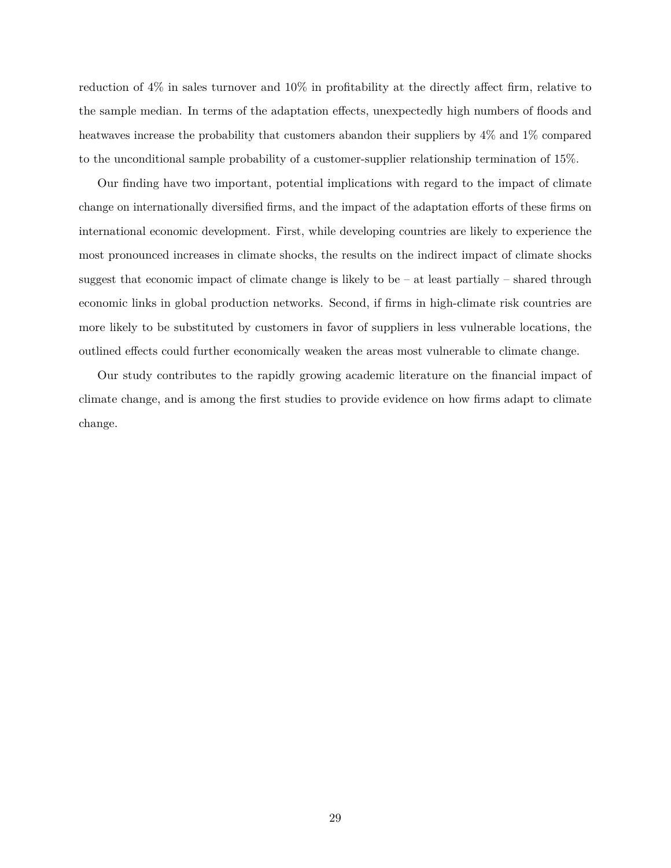reduction of 4% in sales turnover and 10% in profitability at the directly affect firm, relative to the sample median. In terms of the adaptation effects, unexpectedly high numbers of floods and heatwaves increase the probability that customers abandon their suppliers by  $4\%$  and  $1\%$  compared to the unconditional sample probability of a customer-supplier relationship termination of 15%.

Our finding have two important, potential implications with regard to the impact of climate change on internationally diversified firms, and the impact of the adaptation efforts of these firms on international economic development. First, while developing countries are likely to experience the most pronounced increases in climate shocks, the results on the indirect impact of climate shocks suggest that economic impact of climate change is likely to be  $-$  at least partially  $-$  shared through economic links in global production networks. Second, if firms in high-climate risk countries are more likely to be substituted by customers in favor of suppliers in less vulnerable locations, the outlined effects could further economically weaken the areas most vulnerable to climate change.

Our study contributes to the rapidly growing academic literature on the financial impact of climate change, and is among the first studies to provide evidence on how firms adapt to climate change.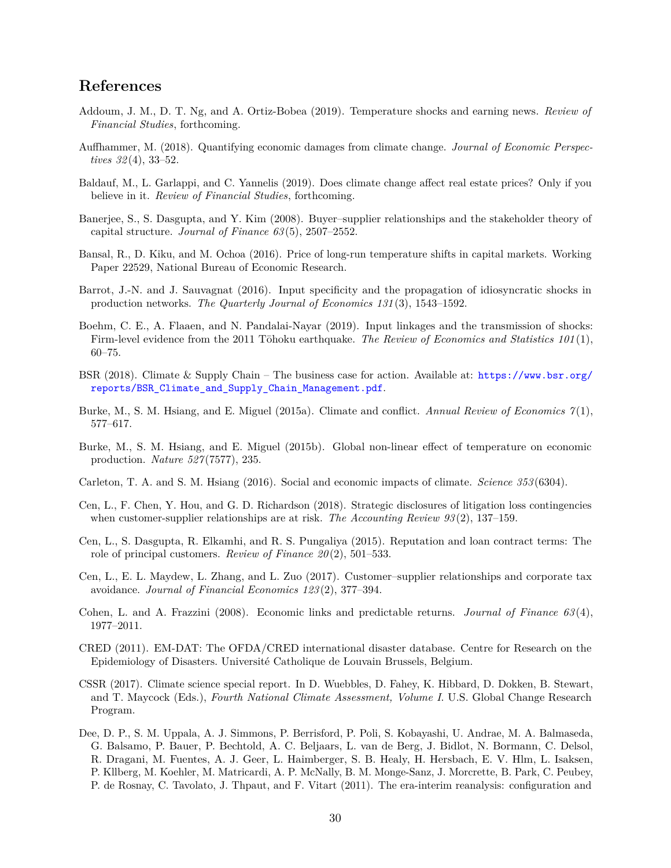### **References**

- <span id="page-30-2"></span>Addoum, J. M., D. T. Ng, and A. Ortiz-Bobea (2019). Temperature shocks and earning news. *Review of Financial Studies*, forthcoming.
- <span id="page-30-4"></span>Auffhammer, M. (2018). Quantifying economic damages from climate change. *Journal of Economic Perspectives 32* (4), 33–52.
- <span id="page-30-8"></span>Baldauf, M., L. Garlappi, and C. Yannelis (2019). Does climate change affect real estate prices? Only if you believe in it. *Review of Financial Studies*, forthcoming.
- <span id="page-30-12"></span>Banerjee, S., S. Dasgupta, and Y. Kim (2008). Buyer–supplier relationships and the stakeholder theory of capital structure. *Journal of Finance 63* (5), 2507–2552.
- <span id="page-30-9"></span>Bansal, R., D. Kiku, and M. Ochoa (2016). Price of long-run temperature shifts in capital markets. Working Paper 22529, National Bureau of Economic Research.
- <span id="page-30-3"></span>Barrot, J.-N. and J. Sauvagnat (2016). Input specificity and the propagation of idiosyncratic shocks in production networks. *The Quarterly Journal of Economics 131* (3), 1543–1592.
- <span id="page-30-10"></span>Boehm, C. E., A. Flaaen, and N. Pandalai-Nayar (2019). Input linkages and the transmission of shocks: Firm-level evidence from the 2011 Tōhoku earthquake. *The Review of Economics and Statistics 101*(1), 60–75.
- <span id="page-30-5"></span>BSR (2018). Climate & Supply Chain – The business case for action. Available at: [https://www.bsr.org/](https://www.bsr.org/reports/BSR_Climate_and_Supply_Chain_Management.pdf) [reports/BSR\\_Climate\\_and\\_Supply\\_Chain\\_Management.pdf](https://www.bsr.org/reports/BSR_Climate_and_Supply_Chain_Management.pdf).
- <span id="page-30-6"></span>Burke, M., S. M. Hsiang, and E. Miguel (2015a). Climate and conflict. *Annual Review of Economics 7* (1), 577–617.
- <span id="page-30-7"></span>Burke, M., S. M. Hsiang, and E. Miguel (2015b). Global non-linear effect of temperature on economic production. *Nature 527* (7577), 235.
- <span id="page-30-0"></span>Carleton, T. A. and S. M. Hsiang (2016). Social and economic impacts of climate. *Science 353* (6304).
- <span id="page-30-15"></span>Cen, L., F. Chen, Y. Hou, and G. D. Richardson (2018). Strategic disclosures of litigation loss contingencies when customer-supplier relationships are at risk. *The Accounting Review 93* (2), 137–159.
- <span id="page-30-13"></span>Cen, L., S. Dasgupta, R. Elkamhi, and R. S. Pungaliya (2015). Reputation and loan contract terms: The role of principal customers. *Review of Finance 20* (2), 501–533.
- <span id="page-30-14"></span>Cen, L., E. L. Maydew, L. Zhang, and L. Zuo (2017). Customer–supplier relationships and corporate tax avoidance. *Journal of Financial Economics 123* (2), 377–394.
- <span id="page-30-11"></span>Cohen, L. and A. Frazzini (2008). Economic links and predictable returns. *Journal of Finance 63* (4), 1977–2011.
- <span id="page-30-17"></span>CRED (2011). EM-DAT: The OFDA/CRED international disaster database. Centre for Research on the Epidemiology of Disasters. Université Catholique de Louvain Brussels, Belgium.
- <span id="page-30-1"></span>CSSR (2017). Climate science special report. In D. Wuebbles, D. Fahey, K. Hibbard, D. Dokken, B. Stewart, and T. Maycock (Eds.), *Fourth National Climate Assessment, Volume I*. U.S. Global Change Research Program.
- <span id="page-30-16"></span>Dee, D. P., S. M. Uppala, A. J. Simmons, P. Berrisford, P. Poli, S. Kobayashi, U. Andrae, M. A. Balmaseda, G. Balsamo, P. Bauer, P. Bechtold, A. C. Beljaars, L. van de Berg, J. Bidlot, N. Bormann, C. Delsol, R. Dragani, M. Fuentes, A. J. Geer, L. Haimberger, S. B. Healy, H. Hersbach, E. V. Hlm, L. Isaksen, P. Kllberg, M. Koehler, M. Matricardi, A. P. McNally, B. M. Monge-Sanz, J. Morcrette, B. Park, C. Peubey, P. de Rosnay, C. Tavolato, J. Thpaut, and F. Vitart (2011). The era-interim reanalysis: configuration and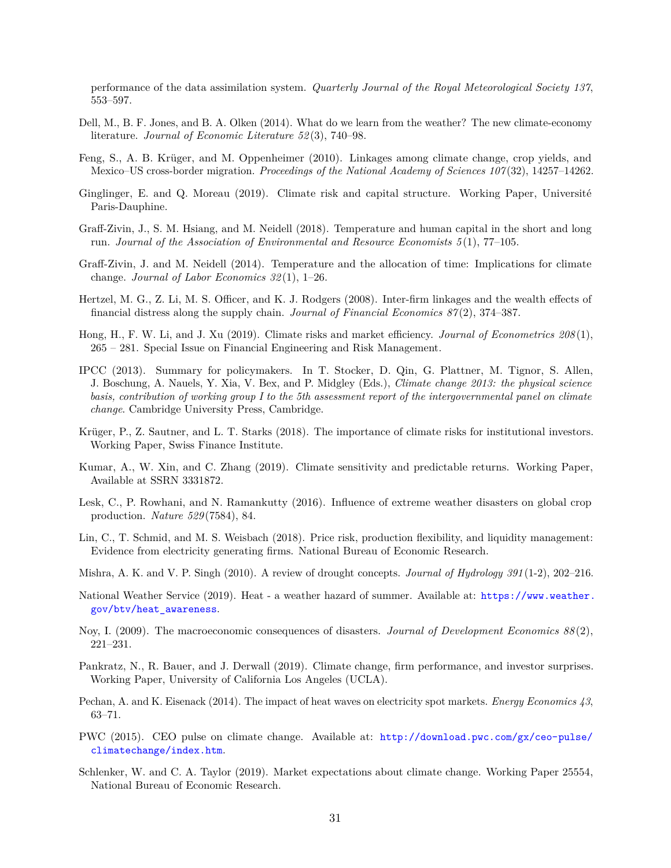performance of the data assimilation system. *Quarterly Journal of the Royal Meteorological Society 137*, 553–597.

- <span id="page-31-6"></span>Dell, M., B. F. Jones, and B. A. Olken (2014). What do we learn from the weather? The new climate-economy literature. *Journal of Economic Literature 52* (3), 740–98.
- <span id="page-31-10"></span>Feng, S., A. B. Krüger, and M. Oppenheimer (2010). Linkages among climate change, crop yields, and Mexico–US cross-border migration. *Proceedings of the National Academy of Sciences 107* (32), 14257–14262.
- <span id="page-31-3"></span>Ginglinger, E. and Q. Moreau (2019). Climate risk and capital structure. Working Paper, Université Paris-Dauphine.
- <span id="page-31-1"></span>Graff-Zivin, J., S. M. Hsiang, and M. Neidell (2018). Temperature and human capital in the short and long run. *Journal of the Association of Environmental and Resource Economists 5* (1), 77–105.
- <span id="page-31-8"></span>Graff-Zivin, J. and M. Neidell (2014). Temperature and the allocation of time: Implications for climate change. *Journal of Labor Economics 32* (1), 1–26.
- <span id="page-31-13"></span>Hertzel, M. G., Z. Li, M. S. Officer, and K. J. Rodgers (2008). Inter-firm linkages and the wealth effects of financial distress along the supply chain. *Journal of Financial Economics 87* (2), 374–387.
- <span id="page-31-11"></span>Hong, H., F. W. Li, and J. Xu (2019). Climate risks and market efficiency. *Journal of Econometrics 208* (1), 265 – 281. Special Issue on Financial Engineering and Risk Management.
- <span id="page-31-0"></span>IPCC (2013). Summary for policymakers. In T. Stocker, D. Qin, G. Plattner, M. Tignor, S. Allen, J. Boschung, A. Nauels, Y. Xia, V. Bex, and P. Midgley (Eds.), *Climate change 2013: the physical science basis, contribution of working group I to the 5th assessment report of the intergovernmental panel on climate change*. Cambridge University Press, Cambridge.
- <span id="page-31-7"></span>Krüger, P., Z. Sautner, and L. T. Starks (2018). The importance of climate risks for institutional investors. Working Paper, Swiss Finance Institute.
- <span id="page-31-2"></span>Kumar, A., W. Xin, and C. Zhang (2019). Climate sensitivity and predictable returns. Working Paper, Available at SSRN 3331872.
- <span id="page-31-16"></span>Lesk, C., P. Rowhani, and N. Ramankutty (2016). Influence of extreme weather disasters on global crop production. *Nature 529* (7584), 84.
- <span id="page-31-4"></span>Lin, C., T. Schmid, and M. S. Weisbach (2018). Price risk, production flexibility, and liquidity management: Evidence from electricity generating firms. National Bureau of Economic Research.
- <span id="page-31-18"></span>Mishra, A. K. and V. P. Singh (2010). A review of drought concepts. *Journal of Hydrology 391* (1-2), 202–216.
- <span id="page-31-14"></span>National Weather Service (2019). Heat - a weather hazard of summer. Available at: [https://www.weather.](https://www.weather.gov/btv/heat_awareness) [gov/btv/heat\\_awareness](https://www.weather.gov/btv/heat_awareness).
- <span id="page-31-15"></span>Noy, I. (2009). The macroeconomic consequences of disasters. *Journal of Development Economics 88* (2), 221–231.
- <span id="page-31-9"></span>Pankratz, N., R. Bauer, and J. Derwall (2019). Climate change, firm performance, and investor surprises. Working Paper, University of California Los Angeles (UCLA).
- <span id="page-31-17"></span>Pechan, A. and K. Eisenack (2014). The impact of heat waves on electricity spot markets. *Energy Economics 43*, 63–71.
- <span id="page-31-5"></span>PWC (2015). CEO pulse on climate change. Available at: [http://download.pwc.com/gx/ceo-pulse/](http://download.pwc.com/gx/ceo-pulse/climatechange/index.htm) [climatechange/index.htm](http://download.pwc.com/gx/ceo-pulse/climatechange/index.htm).
- <span id="page-31-12"></span>Schlenker, W. and C. A. Taylor (2019). Market expectations about climate change. Working Paper 25554, National Bureau of Economic Research.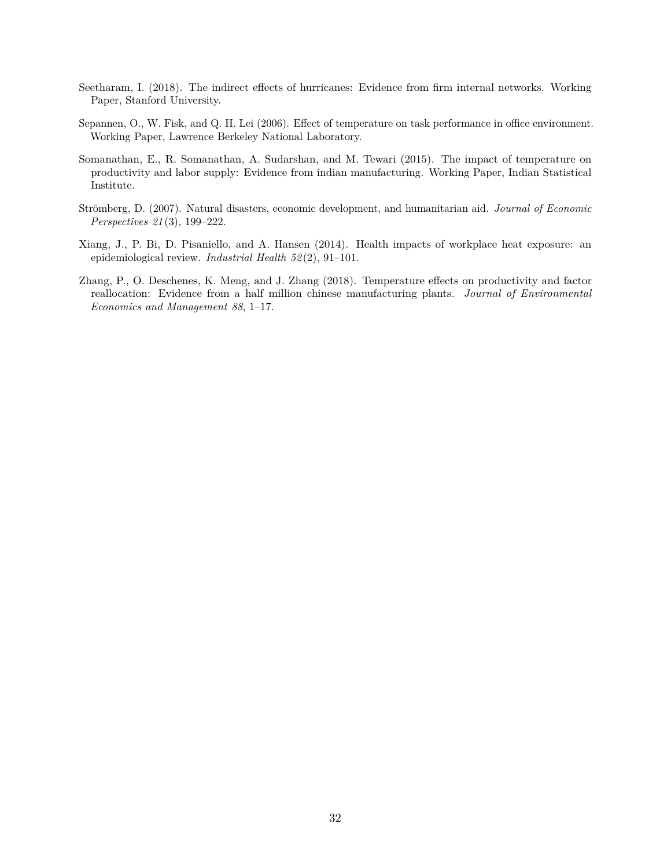- <span id="page-32-0"></span>Seetharam, I. (2018). The indirect effects of hurricanes: Evidence from firm internal networks. Working Paper, Stanford University.
- <span id="page-32-4"></span>Sepannen, O., W. Fisk, and Q. H. Lei (2006). Effect of temperature on task performance in office environment. Working Paper, Lawrence Berkeley National Laboratory.
- <span id="page-32-3"></span>Somanathan, E., R. Somanathan, A. Sudarshan, and M. Tewari (2015). The impact of temperature on productivity and labor supply: Evidence from indian manufacturing. Working Paper, Indian Statistical Institute.
- <span id="page-32-2"></span>Strömberg, D. (2007). Natural disasters, economic development, and humanitarian aid. *Journal of Economic Perspectives 21* (3), 199–222.
- <span id="page-32-5"></span>Xiang, J., P. Bi, D. Pisaniello, and A. Hansen (2014). Health impacts of workplace heat exposure: an epidemiological review. *Industrial Health 52* (2), 91–101.
- <span id="page-32-1"></span>Zhang, P., O. Deschenes, K. Meng, and J. Zhang (2018). Temperature effects on productivity and factor reallocation: Evidence from a half million chinese manufacturing plants. *Journal of Environmental Economics and Management 88*, 1–17.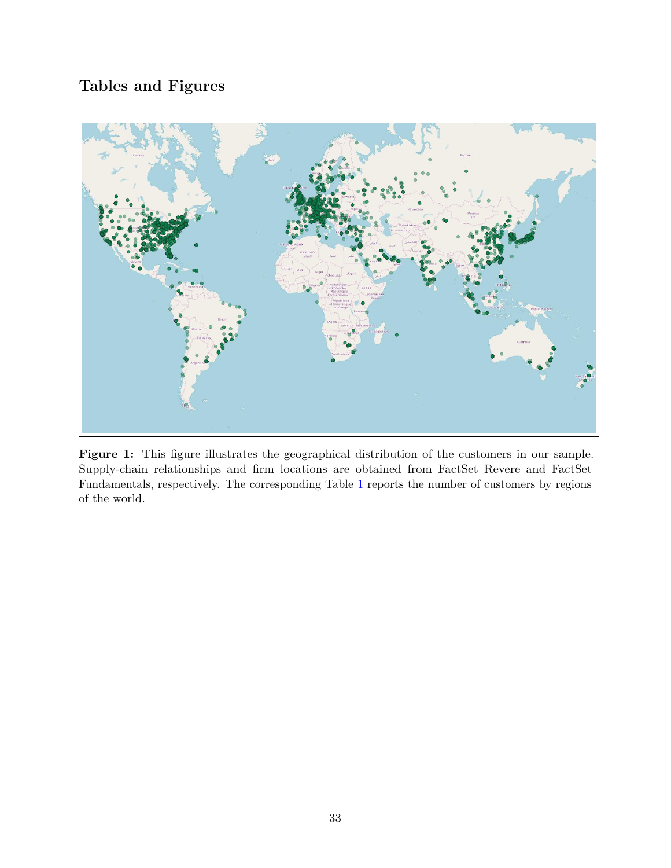## **Tables and Figures**

<span id="page-33-0"></span>

Figure 1: This figure illustrates the geographical distribution of the customers in our sample. Supply-chain relationships and firm locations are obtained from FactSet Revere and FactSet Fundamentals, respectively. The corresponding Table [1](#page-37-0) reports the number of customers by regions of the world.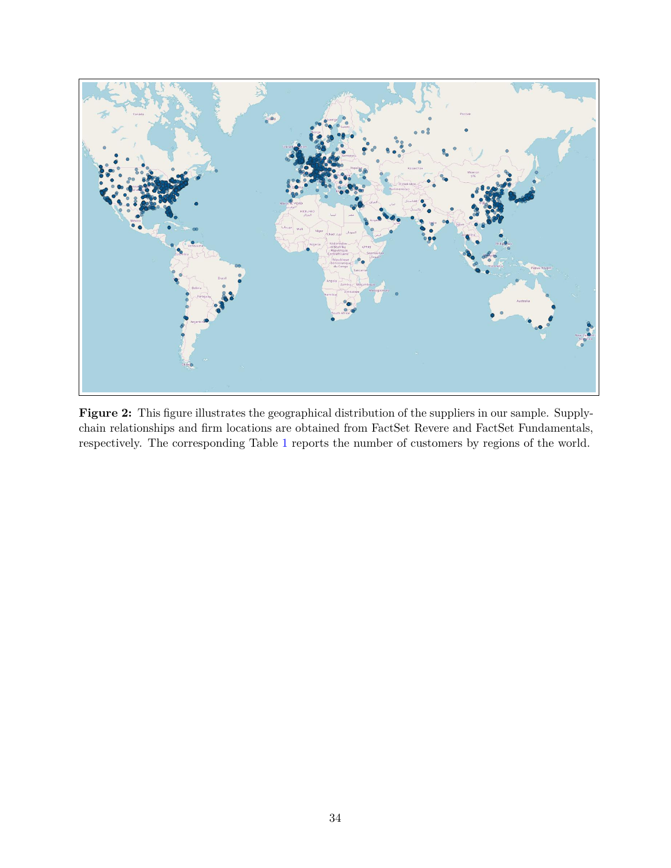<span id="page-34-0"></span>

Figure 2: This figure illustrates the geographical distribution of the suppliers in our sample. Supplychain relationships and firm locations are obtained from FactSet Revere and FactSet Fundamentals, respectively. The corresponding Table [1](#page-37-0) reports the number of customers by regions of the world.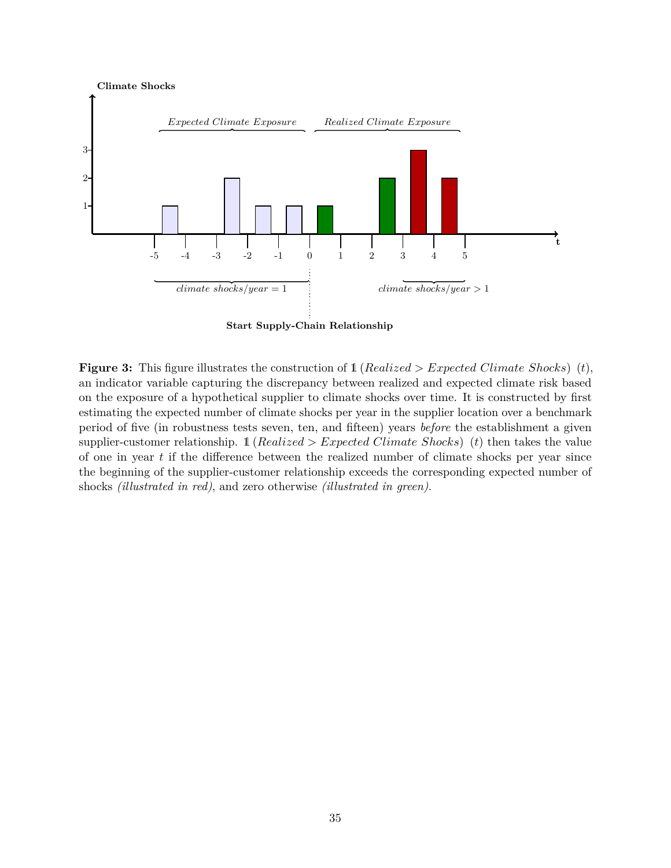<span id="page-35-0"></span>

**Start Supply-Chain Relationship**

**Figure 3:** This figure illustrates the construction of 1 (*Realized > Expected Climate Shocks*) (*t*), an indicator variable capturing the discrepancy between realized and expected climate risk based on the exposure of a hypothetical supplier to climate shocks over time. It is constructed by first estimating the expected number of climate shocks per year in the supplier location over a benchmark period of five (in robustness tests seven, ten, and fifteen) years *before* the establishment a given supplier-customer relationship. 1 (*Realized > Expected Climate Shocks*) (*t*) then takes the value of one in year *t* if the difference between the realized number of climate shocks per year since the beginning of the supplier-customer relationship exceeds the corresponding expected number of shocks *(illustrated in red)*, and zero otherwise *(illustrated in green)*.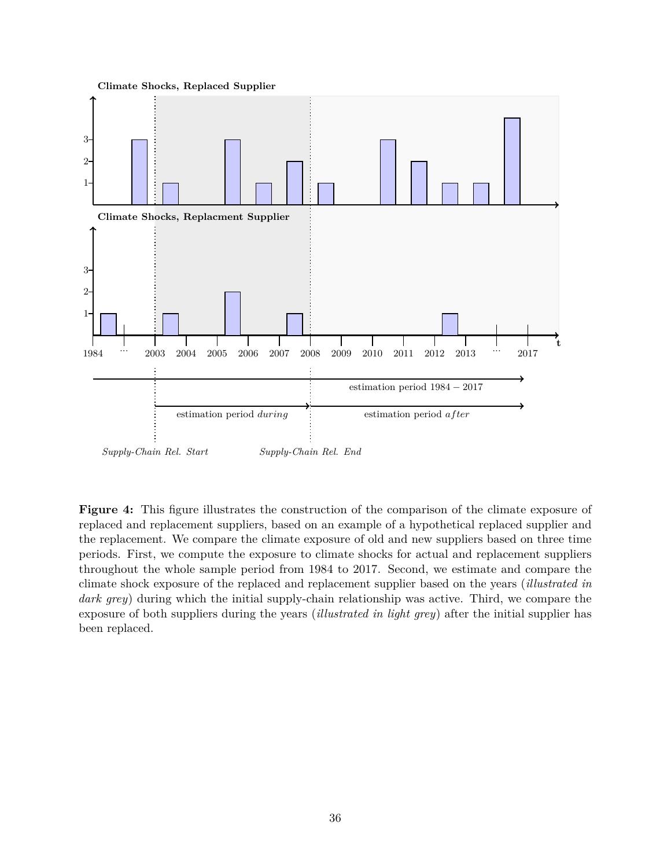<span id="page-36-0"></span>

**Figure 4:** This figure illustrates the construction of the comparison of the climate exposure of replaced and replacement suppliers, based on an example of a hypothetical replaced supplier and the replacement. We compare the climate exposure of old and new suppliers based on three time periods. First, we compute the exposure to climate shocks for actual and replacement suppliers throughout the whole sample period from 1984 to 2017. Second, we estimate and compare the climate shock exposure of the replaced and replacement supplier based on the years (*illustrated in dark grey*) during which the initial supply-chain relationship was active. Third, we compare the exposure of both suppliers during the years (*illustrated in light grey*) after the initial supplier has been replaced.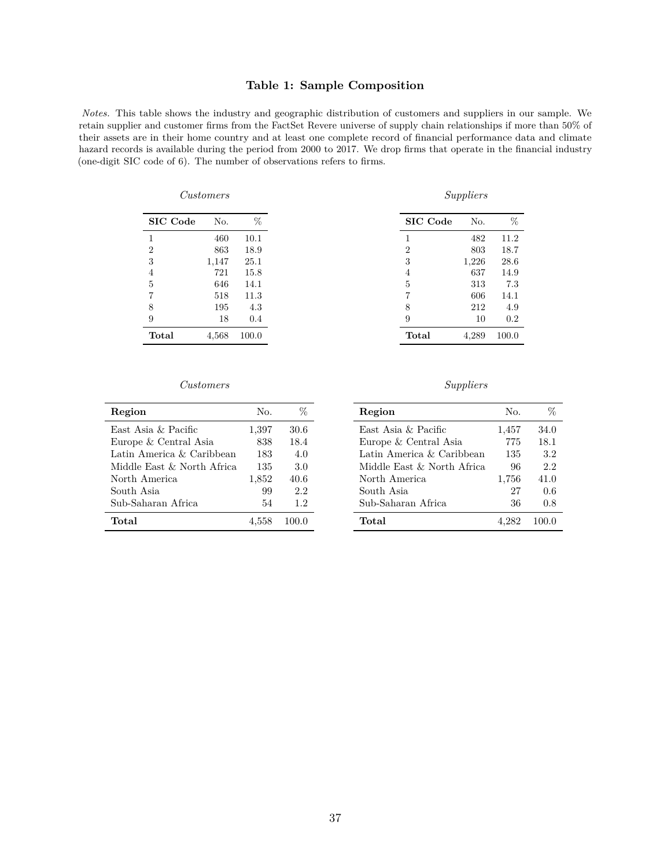#### **Table 1: Sample Composition**

<span id="page-37-0"></span>*Notes.* This table shows the industry and geographic distribution of customers and suppliers in our sample. We retain supplier and customer firms from the FactSet Revere universe of supply chain relationships if more than 50% of their assets are in their home country and at least one complete record of financial performance data and climate hazard records is available during the period from 2000 to 2017. We drop firms that operate in the financial industry (one-digit SIC code of 6). The number of observations refers to firms.

| Customers       |       |       |                 | Suppliers |
|-----------------|-------|-------|-----------------|-----------|
| <b>SIC</b> Code | No.   | %     | <b>SIC</b> Code | No.       |
|                 | 460   | 10.1  |                 | 482       |
| $\overline{2}$  | 863   | 18.9  | $\overline{2}$  | 803       |
| 3               | 1,147 | 25.1  | 3               | 1,226     |
| 4               | 721   | 15.8  | 4               | 637       |
| 5               | 646   | 14.1  | 5               | 313       |
|                 | 518   | 11.3  |                 | 606       |
| 8               | 195   | 4.3   | 8               | 212       |
| 9               | 18    | 0.4   | 9               | 10        |
| <b>Total</b>    | 4,568 | 100.0 | Total           | 4,289     |

| SIC Code       | No.   | ℅     |
|----------------|-------|-------|
| 1              | 482   | 11.2  |
| $\overline{2}$ | 803   | 18.7  |
| 3              | 1,226 | 28.6  |
| 4              | 637   | 14.9  |
| 5              | 313   | 7.3   |
| 7              | 606   | 14.1  |
| 8              | 212   | 4.9   |
| 9              | 10    | 0.2   |
| Total          | 4,289 | 100.0 |

#### *Customers Suppliers*

| Region                     | No.   |       |
|----------------------------|-------|-------|
| East Asia & Pacific        | 1,397 | 30.6  |
| Europe & Central Asia      | 838   | 18.4  |
| Latin America & Caribbean  | 183   | 4.0   |
| Middle East & North Africa | 135   | 3.0   |
| North America              | 1,852 | 40.6  |
| South Asia                 | 99    | 2.2   |
| Sub-Saharan Africa         | 54    | 1.2   |
| Total                      | 4,558 | 100 O |

| Region                     | No.   | %     |
|----------------------------|-------|-------|
| East Asia & Pacific        | 1,457 | 34.0  |
| Europe & Central Asia      | 775   | 18.1  |
| Latin America & Caribbean  | 135   | 3.2   |
| Middle East & North Africa | 96    | 2.2   |
| North America              | 1,756 | 41.0  |
| South Asia                 | 27    | 0.6   |
| Sub-Saharan Africa         | 36    | 0.8   |
| Total                      |       | 100 O |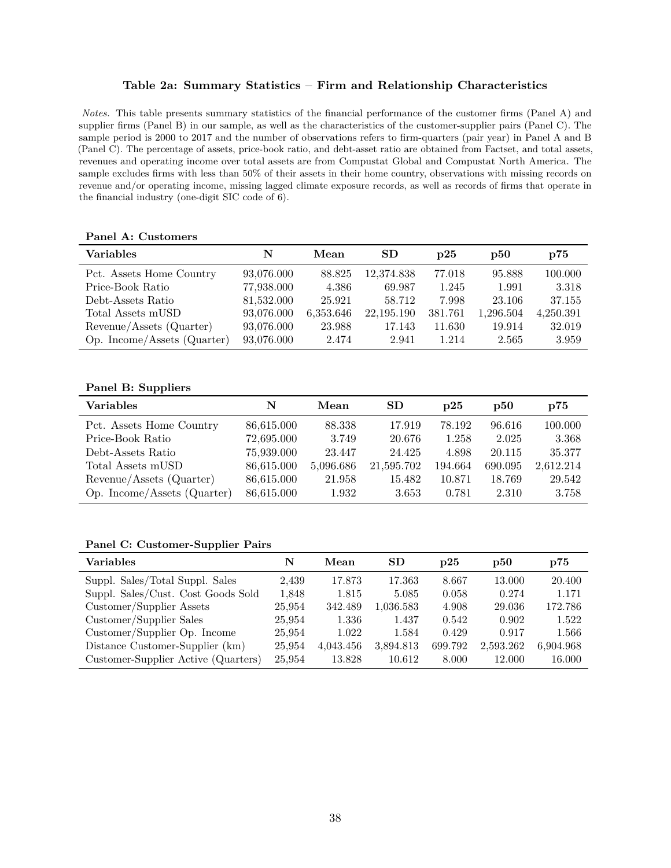#### **Table 2a: Summary Statistics – Firm and Relationship Characteristics**

<span id="page-38-0"></span>*Notes.* This table presents summary statistics of the financial performance of the customer firms (Panel A) and supplier firms (Panel B) in our sample, as well as the characteristics of the customer-supplier pairs (Panel C). The sample period is 2000 to 2017 and the number of observations refers to firm-quarters (pair year) in Panel A and B (Panel C). The percentage of assets, price-book ratio, and debt-asset ratio are obtained from Factset, and total assets, revenues and operating income over total assets are from Compustat Global and Compustat North America. The sample excludes firms with less than 50% of their assets in their home country, observations with missing records on revenue and/or operating income, missing lagged climate exposure records, as well as records of firms that operate in the financial industry (one-digit SIC code of 6).

|  | Panel A: Customers |
|--|--------------------|
|  |                    |

| <b>Variables</b>            | N          | Mean      | SD         | $\mathbf{D}25$ | $_{\rm D}50$ | p75       |
|-----------------------------|------------|-----------|------------|----------------|--------------|-----------|
| Pct. Assets Home Country    | 93,076.000 | 88.825    | 12,374.838 | 77.018         | 95.888       | 100.000   |
| Price-Book Ratio            | 77,938.000 | 4.386     | 69.987     | 1.245          | 1.991        | 3.318     |
| Debt-Assets Ratio           | 81,532.000 | 25.921    | 58.712     | 7.998          | 23.106       | 37.155    |
| Total Assets mUSD           | 93,076.000 | 6,353.646 | 22,195.190 | 381.761        | 1,296.504    | 4,250.391 |
| Revenue/Assets (Quarter)    | 93,076.000 | 23.988    | 17.143     | 11.630         | 19.914       | 32.019    |
| Op. Income/Assets (Quarter) | 93,076.000 | 2.474     | 2.941      | 1.214          | 2.565        | 3.959     |

#### **Panel B: Suppliers**

| <b>Variables</b>            | N          | Mean      | <b>SD</b>  | $\mathbf{D}25$ | $\mathbf{D50}$ | p75       |
|-----------------------------|------------|-----------|------------|----------------|----------------|-----------|
| Pct. Assets Home Country    | 86,615.000 | 88.338    | 17.919     | 78.192         | 96.616         | 100.000   |
| Price-Book Ratio            | 72,695.000 | 3.749     | 20.676     | 1.258          | 2.025          | 3.368     |
| Debt-Assets Ratio           | 75,939.000 | 23.447    | 24.425     | 4.898          | 20.115         | 35.377    |
| Total Assets mUSD           | 86,615.000 | 5,096.686 | 21,595.702 | 194.664        | 690.095        | 2,612.214 |
| Revenue/Assets (Quarter)    | 86,615.000 | 21.958    | 15.482     | 10.871         | 18.769         | 29.542    |
| Op. Income/Assets (Quarter) | 86,615.000 | 1.932     | 3.653      | 0.781          | 2.310          | 3.758     |

#### **Panel C: Customer-Supplier Pairs**

| <b>Variables</b>                    | N      | Mean      | <b>SD</b> | $_{\rm D25}$ | $\mathbf{D50}$ | p75       |
|-------------------------------------|--------|-----------|-----------|--------------|----------------|-----------|
| Suppl. Sales/Total Suppl. Sales     | 2,439  | 17.873    | 17.363    | 8.667        | 13.000         | 20.400    |
| Suppl. Sales/Cust. Cost Goods Sold  | 1,848  | 1.815     | 5.085     | 0.058        | 0.274          | 1.171     |
| Customer/Supplier Assets            | 25,954 | 342.489   | 1,036.583 | 4.908        | 29.036         | 172.786   |
| Customer/Supplier Sales             | 25.954 | 1.336     | 1.437     | 0.542        | 0.902          | 1.522     |
| Customer/Supplier Op. Income        | 25,954 | 1.022     | 1.584     | 0.429        | 0.917          | 1.566     |
| Distance Customer-Supplier (km)     | 25,954 | 4,043.456 | 3,894.813 | 699.792      | 2,593.262      | 6,904.968 |
| Customer-Supplier Active (Quarters) | 25,954 | 13.828    | 10.612    | 8.000        | 12.000         | 16.000    |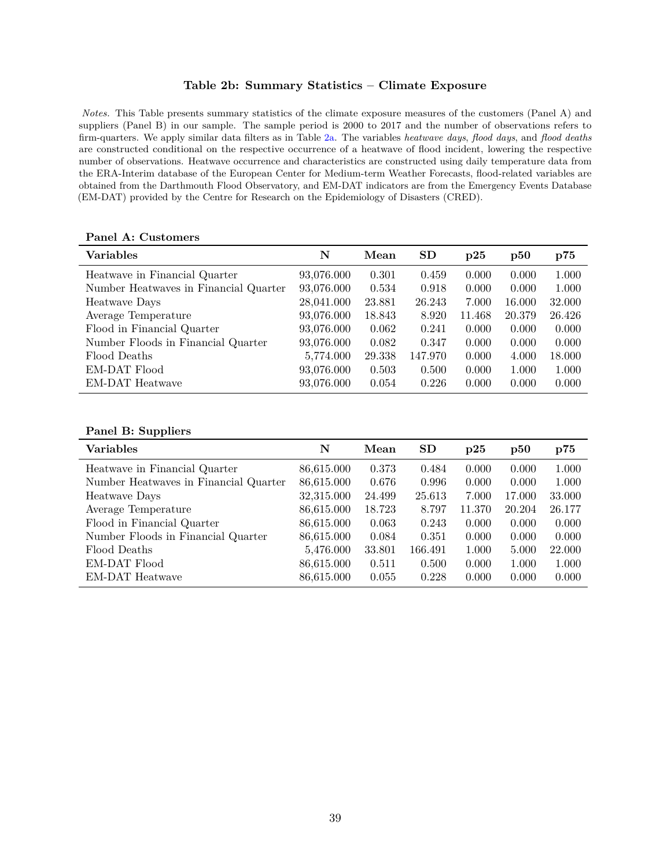#### **Table 2b: Summary Statistics – Climate Exposure**

<span id="page-39-0"></span>*Notes.* This Table presents summary statistics of the climate exposure measures of the customers (Panel A) and suppliers (Panel B) in our sample. The sample period is 2000 to 2017 and the number of observations refers to firm-quarters. We apply similar data filters as in Table [2a.](#page-38-0) The variables *heatwave days*, *flood days*, and *flood deaths* are constructed conditional on the respective occurrence of a heatwave of flood incident, lowering the respective number of observations. Heatwave occurrence and characteristics are constructed using daily temperature data from the ERA-Interim database of the European Center for Medium-term Weather Forecasts, flood-related variables are obtained from the Darthmouth Flood Observatory, and EM-DAT indicators are from the Emergency Events Database (EM-DAT) provided by the Centre for Research on the Epidemiology of Disasters (CRED).

| <b>Variables</b>                      | N          | Mean   | <b>SD</b> | p25    | p50    | p75    |
|---------------------------------------|------------|--------|-----------|--------|--------|--------|
| Heatwave in Financial Quarter         | 93,076.000 | 0.301  | 0.459     | 0.000  | 0.000  | 1.000  |
| Number Heatwaves in Financial Quarter | 93,076.000 | 0.534  | 0.918     | 0.000  | 0.000  | 1.000  |
| Heatwave Days                         | 28,041.000 | 23.881 | 26.243    | 7.000  | 16.000 | 32.000 |
| Average Temperature                   | 93,076.000 | 18.843 | 8.920     | 11.468 | 20.379 | 26.426 |
| Flood in Financial Quarter            | 93,076.000 | 0.062  | 0.241     | 0.000  | 0.000  | 0.000  |
| Number Floods in Financial Quarter    | 93,076.000 | 0.082  | 0.347     | 0.000  | 0.000  | 0.000  |
| Flood Deaths                          | 5,774.000  | 29.338 | 147.970   | 0.000  | 4.000  | 18.000 |
| EM-DAT Flood                          | 93,076.000 | 0.503  | 0.500     | 0.000  | 1.000  | 1.000  |
| EM-DAT Heatwave                       | 93,076.000 | 0.054  | 0.226     | 0.000  | 0.000  | 0.000  |

#### **Panel A: Customers**

#### **Panel B: Suppliers**

| <b>Variables</b>                      | N          | Mean   | <b>SD</b> | p25    | $\mathbf{p50}$ | p75    |
|---------------------------------------|------------|--------|-----------|--------|----------------|--------|
| Heatwave in Financial Quarter         | 86,615.000 | 0.373  | 0.484     | 0.000  | 0.000          | 1.000  |
| Number Heatwaves in Financial Quarter | 86,615.000 | 0.676  | 0.996     | 0.000  | 0.000          | 1.000  |
| Heatwave Days                         | 32,315.000 | 24.499 | 25.613    | 7.000  | 17.000         | 33.000 |
| Average Temperature                   | 86,615.000 | 18.723 | 8.797     | 11.370 | 20.204         | 26.177 |
| Flood in Financial Quarter            | 86,615.000 | 0.063  | 0.243     | 0.000  | 0.000          | 0.000  |
| Number Floods in Financial Quarter    | 86,615.000 | 0.084  | 0.351     | 0.000  | 0.000          | 0.000  |
| Flood Deaths                          | 5,476.000  | 33.801 | 166.491   | 1.000  | 5.000          | 22.000 |
| EM-DAT Flood                          | 86,615.000 | 0.511  | 0.500     | 0.000  | 1.000          | 1.000  |
| EM-DAT Heatwave                       | 86,615.000 | 0.055  | 0.228     | 0.000  | 0.000          | 0.000  |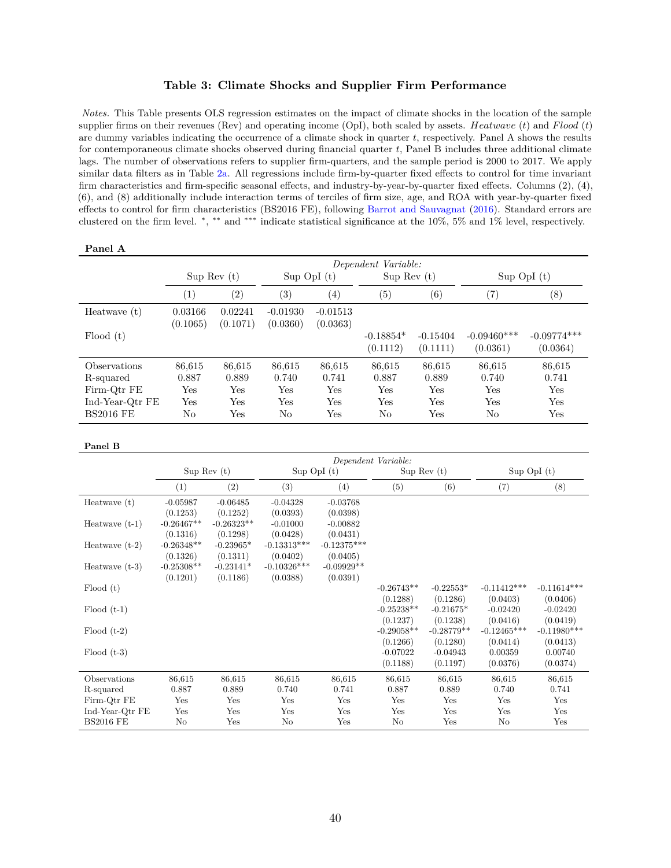#### **Table 3: Climate Shocks and Supplier Firm Performance**

<span id="page-40-0"></span>*Notes.* This Table presents OLS regression estimates on the impact of climate shocks in the location of the sample supplier firms on their revenues (Rev) and operating income (OpI), both scaled by assets. *Heatwave* (*t*) and *F lood* (*t*) are dummy variables indicating the occurrence of a climate shock in quarter *t*, respectively. Panel A shows the results for contemporaneous climate shocks observed during financial quarter *t*, Panel B includes three additional climate lags. The number of observations refers to supplier firm-quarters, and the sample period is 2000 to 2017. We apply similar data filters as in Table [2a.](#page-38-0) All regressions include firm-by-quarter fixed effects to control for time invariant firm characteristics and firm-specific seasonal effects, and industry-by-year-by-quarter fixed effects. Columns (2), (4), (6), and (8) additionally include interaction terms of terciles of firm size, age, and ROA with year-by-quarter fixed effects to control for firm characteristics (BS2016 FE), following [Barrot and Sauvagnat](#page-30-3) [\(2016\)](#page-30-3). Standard errors are clustered on the firm level. <sup>∗</sup> , ∗∗ and ∗∗∗ indicate statistical significance at the 10%, 5% and 1% level, respectively.

| Panel A          |                     |                   |                   |                   |                   |            |                 |                      |  |  |
|------------------|---------------------|-------------------|-------------------|-------------------|-------------------|------------|-----------------|----------------------|--|--|
|                  | Dependent Variable: |                   |                   |                   |                   |            |                 |                      |  |  |
|                  | Sup Rev(t)          |                   | $Sup$ OpI $(t)$   |                   | Sup Rev(t)        |            | $Sup$ OpI $(t)$ |                      |  |  |
|                  | $\left( 1\right)$   | $\left( 2\right)$ | $\left( 3\right)$ | $\left( 4\right)$ | $\left( 5\right)$ | (6)        | (7)             | (8)                  |  |  |
| Heatwave $(t)$   | 0.03166             | 0.02241           | $-0.01930$        | $-0.01513$        |                   |            |                 |                      |  |  |
|                  | (0.1065)            | (0.1071)          | (0.0360)          | (0.0363)          |                   |            |                 |                      |  |  |
| Flood(t)         |                     |                   |                   |                   | $-0.18854*$       | $-0.15404$ | $-0.09460***$   | $-0.09774***$        |  |  |
|                  |                     |                   |                   |                   | (0.1112)          | (0.1111)   | (0.0361)        | (0.0364)             |  |  |
| Observations     | 86,615              | 86,615            | 86,615            | 86,615            | 86,615            | 86,615     | 86,615          | 86,615               |  |  |
| R-squared        | 0.887               | 0.889             | 0.740             | 0.741             | 0.887             | 0.889      | 0.740           | 0.741                |  |  |
| Firm-Qtr FE      | Yes                 | Yes               | Yes               | Yes               | Yes               | Yes        | Yes             | Yes                  |  |  |
| Ind-Year-Qtr FE  | Yes                 | Yes               | Yes               | Yes               | Yes               | Yes        | Yes             | Yes                  |  |  |
| <b>BS2016 FE</b> | No                  | Yes               | No                | Yes               | No                | Yes        | No              | $\operatorname{Yes}$ |  |  |

#### **Panel B**

|                  | Dependent Variable: |              |                 |               |              |              |               |                 |
|------------------|---------------------|--------------|-----------------|---------------|--------------|--------------|---------------|-----------------|
|                  |                     | Sup Rev(t)   | $Sup$ OpI $(t)$ |               |              | Sup Rev(t)   |               | $Sup$ OpI $(t)$ |
|                  | (1)                 | (2)          | (3)             | (4)           | (5)          | (6)          | (7)           | (8)             |
| Heatwave $(t)$   | $-0.05987$          | $-0.06485$   | $-0.04328$      | $-0.03768$    |              |              |               |                 |
|                  | (0.1253)            | (0.1252)     | (0.0393)        | (0.0398)      |              |              |               |                 |
| Heatwave $(t-1)$ | $-0.26467**$        | $-0.26323**$ | $-0.01000$      | $-0.00882$    |              |              |               |                 |
|                  | (0.1316)            | (0.1298)     | (0.0428)        | (0.0431)      |              |              |               |                 |
| Heatwave $(t-2)$ | $-0.26348**$        | $-0.23965*$  | $-0.13313***$   | $-0.12375***$ |              |              |               |                 |
|                  | (0.1326)            | (0.1311)     | (0.0402)        | (0.0405)      |              |              |               |                 |
| Heatwave $(t-3)$ | $-0.25308**$        | $-0.23141*$  | $-0.10326***$   | $-0.09929**$  |              |              |               |                 |
|                  | (0.1201)            | (0.1186)     | (0.0388)        | (0.0391)      |              |              |               |                 |
| Flood(t)         |                     |              |                 |               | $-0.26743**$ | $-0.22553*$  | $-0.11412***$ | $-0.11614***$   |
|                  |                     |              |                 |               | (0.1288)     | (0.1286)     | (0.0403)      | (0.0406)        |
| $Flood(t-1)$     |                     |              |                 |               | $-0.25238**$ | $-0.21675*$  | $-0.02420$    | $-0.02420$      |
|                  |                     |              |                 |               | (0.1237)     | (0.1238)     | (0.0416)      | (0.0419)        |
| $Flood (t-2)$    |                     |              |                 |               | $-0.29058**$ | $-0.28779**$ | $-0.12465***$ | $-0.11980***$   |
|                  |                     |              |                 |               | (0.1266)     | (0.1280)     | (0.0414)      | (0.0413)        |
| $Flood (t-3)$    |                     |              |                 |               | $-0.07022$   | $-0.04943$   | 0.00359       | 0.00740         |
|                  |                     |              |                 |               | (0.1188)     | (0.1197)     | (0.0376)      | (0.0374)        |
| Observations     | 86,615              | 86,615       | 86,615          | 86,615        | 86,615       | 86,615       | 86,615        | 86,615          |
| R-squared        | 0.887               | 0.889        | 0.740           | 0.741         | 0.887        | 0.889        | 0.740         | 0.741           |
| Firm-Qtr FE      | Yes                 | Yes          | Yes             | Yes           | Yes          | Yes          | Yes           | Yes             |
| Ind-Year-Qtr FE  | Yes                 | Yes          | Yes             | Yes           | Yes          | Yes          | Yes           | Yes             |
| <b>BS2016 FE</b> | No                  | Yes          | No              | Yes           | No           | Yes          | No            | Yes             |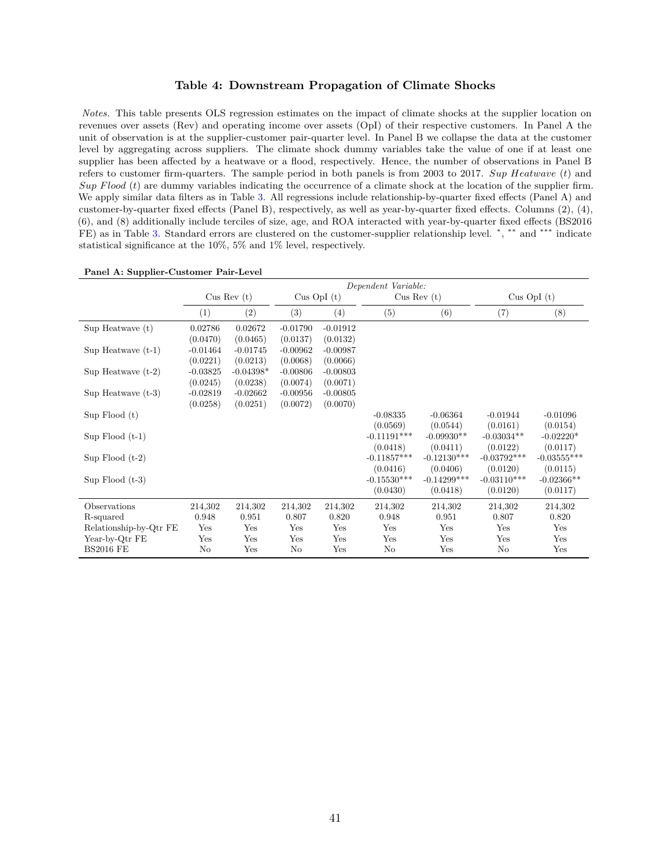#### **Table 4: Downstream Propagation of Climate Shocks**

<span id="page-41-0"></span>*Notes.* This table presents OLS regression estimates on the impact of climate shocks at the supplier location on revenues over assets (Rev) and operating income over assets (OpI) of their respective customers. In Panel A the unit of observation is at the supplier-customer pair-quarter level. In Panel B we collapse the data at the customer level by aggregating across suppliers. The climate shock dummy variables take the value of one if at least one supplier has been affected by a heatwave or a flood, respectively. Hence, the number of observations in Panel B refers to customer firm-quarters. The sample period in both panels is from 2003 to 2017. *Sup Heatwave* (*t*) and *Sup F lood* (*t*) are dummy variables indicating the occurrence of a climate shock at the location of the supplier firm. We apply similar data filters as in Table [3.](#page-40-0) All regressions include relationship-by-quarter fixed effects (Panel A) and customer-by-quarter fixed effects (Panel B), respectively, as well as year-by-quarter fixed effects. Columns (2), (4), (6), and (8) additionally include terciles of size, age, and ROA interacted with year-by-quarter fixed effects (BS2016 FE) as in Table [3.](#page-40-0) Standard errors are clustered on the customer-supplier relationship level. \*, \*\* and \*\*\* indicate statistical significance at the 10%, 5% and 1% level, respectively.

|                        |            |             |            |               | Dependent Variable: |               |               |                 |
|------------------------|------------|-------------|------------|---------------|---------------------|---------------|---------------|-----------------|
|                        |            | Cus Rev(t)  |            | Cus OpI $(t)$ |                     | Cus Rev(t)    |               | $Cus$ OpI $(t)$ |
|                        | (1)        | (2)         | (3)        | (4)           | (5)                 | (6)           | (7)           | (8)             |
| Sup Heatwave $(t)$     | 0.02786    | 0.02672     | $-0.01790$ | $-0.01912$    |                     |               |               |                 |
|                        | (0.0470)   | (0.0465)    | (0.0137)   | (0.0132)      |                     |               |               |                 |
| $Sup$ Heatwave $(t-1)$ | $-0.01464$ | $-0.01745$  | $-0.00962$ | $-0.00987$    |                     |               |               |                 |
|                        | (0.0221)   | (0.0213)    | (0.0068)   | (0.0066)      |                     |               |               |                 |
| Sup Heatwave $(t-2)$   | $-0.03825$ | $-0.04398*$ | $-0.00806$ | $-0.00803$    |                     |               |               |                 |
|                        | (0.0245)   | (0.0238)    | (0.0074)   | (0.0071)      |                     |               |               |                 |
| $Sup$ Heatwave $(t-3)$ | $-0.02819$ | $-0.02662$  | $-0.00956$ | $-0.00805$    |                     |               |               |                 |
|                        | (0.0258)   | (0.0251)    | (0.0072)   | (0.0070)      |                     |               |               |                 |
| $Sup$ Flood $(t)$      |            |             |            |               | $-0.08335$          | $-0.06364$    | $-0.01944$    | $-0.01096$      |
|                        |            |             |            |               | (0.0569)            | (0.0544)      | (0.0161)      | (0.0154)        |
| Sup $Flood(t-1)$       |            |             |            |               | $-0.11191***$       | $-0.09930**$  | $-0.03034**$  | $-0.02220*$     |
|                        |            |             |            |               | (0.0418)            | (0.0411)      | (0.0122)      | (0.0117)        |
| Sup $Flood(t-2)$       |            |             |            |               | $-0.11857***$       | $-0.12130***$ | $-0.03792***$ | $-0.03555***$   |
|                        |            |             |            |               | (0.0416)            | (0.0406)      | (0.0120)      | (0.0115)        |
| Sup $Flood(t-3)$       |            |             |            |               | $-0.15530***$       | $-0.14299***$ | $-0.03110***$ | $-0.02366**$    |
|                        |            |             |            |               | (0.0430)            | (0.0418)      | (0.0120)      | (0.0117)        |
| Observations           | 214,302    | 214,302     | 214,302    | 214,302       | 214,302             | 214,302       | 214,302       | 214,302         |
| R-squared              | 0.948      | 0.951       | 0.807      | 0.820         | 0.948               | 0.951         | 0.807         | 0.820           |
| Relationship-by-Qtr FE | Yes        | Yes         | Yes        | Yes           | Yes                 | Yes           | Yes           | Yes             |
| Year-by-Qtr FE         | Yes        | Yes         | Yes        | Yes           | Yes                 | Yes           | Yes           | Yes             |
| <b>BS2016 FE</b>       | No         | Yes         | No         | Yes           | No                  | Yes           | No            | Yes             |

|  | Panel A: Supplier-Customer Pair-Level |  |
|--|---------------------------------------|--|
|--|---------------------------------------|--|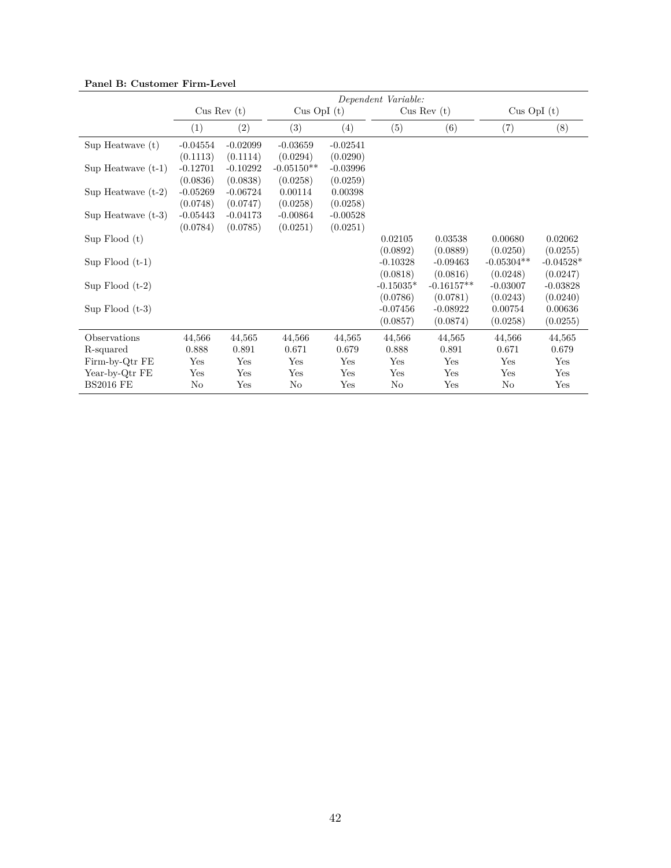|                      | Dependent Variable: |              |                 |            |             |              |               |             |
|----------------------|---------------------|--------------|-----------------|------------|-------------|--------------|---------------|-------------|
|                      |                     | Cus Rev(t)   | $Cus$ OpI $(t)$ |            | Cus Rev(t)  |              | Cus OpI $(t)$ |             |
|                      | $\left( 1\right)$   | (2)          | (3)             | (4)        | (5)         | (6)          | (7)           | (8)         |
| $Sup$ Heatwave $(t)$ | $-0.04554$          | $-0.02099$   | $-0.03659$      | $-0.02541$ |             |              |               |             |
|                      | (0.1113)            | (0.1114)     | (0.0294)        | (0.0290)   |             |              |               |             |
| Sup Heatwave $(t-1)$ | $-0.12701$          | $-0.10292$   | $-0.05150**$    | $-0.03996$ |             |              |               |             |
|                      | (0.0836)            | (0.0838)     | (0.0258)        | (0.0259)   |             |              |               |             |
| Sup Heatwave $(t-2)$ | $-0.05269$          | $-0.06724$   | 0.00114         | 0.00398    |             |              |               |             |
|                      | (0.0748)            | (0.0747)     | (0.0258)        | (0.0258)   |             |              |               |             |
| Sup Heatwave $(t-3)$ | $-0.05443$          | $-0.04173$   | $-0.00864$      | $-0.00528$ |             |              |               |             |
|                      | (0.0784)            | (0.0785)     | (0.0251)        | (0.0251)   |             |              |               |             |
| $Sup$ Flood $(t)$    |                     |              |                 |            | 0.02105     | 0.03538      | 0.00680       | 0.02062     |
|                      |                     |              |                 |            | (0.0892)    | (0.0889)     | (0.0250)      | (0.0255)    |
| Sup $Flood(t-1)$     |                     |              |                 |            | $-0.10328$  | $-0.09463$   | $-0.05304**$  | $-0.04528*$ |
|                      |                     |              |                 |            | (0.0818)    | (0.0816)     | (0.0248)      | (0.0247)    |
| Sup Flood $(t-2)$    |                     |              |                 |            | $-0.15035*$ | $-0.16157**$ | $-0.03007$    | $-0.03828$  |
|                      |                     |              |                 |            | (0.0786)    | (0.0781)     | (0.0243)      | (0.0240)    |
| Sup $Flood(t-3)$     |                     |              |                 |            | $-0.07456$  | $-0.08922$   | 0.00754       | 0.00636     |
|                      |                     |              |                 |            | (0.0857)    | (0.0874)     | (0.0258)      | (0.0255)    |
| Observations         | 44,566              | 44,565       | 44,566          | 44,565     | 44,566      | 44,565       | 44,566        | 44,565      |
| R-squared            | 0.888               | 0.891        | 0.671           | 0.679      | 0.888       | 0.891        | 0.671         | 0.679       |
| Firm-by-Qtr FE       | Yes                 | Yes          | Yes             | Yes        | Yes         | Yes          | Yes           | Yes         |
| Year-by-Qtr FE       | Yes                 | Yes          | Yes             | Yes        | Yes         | Yes          | Yes           | Yes         |
| <b>BS2016 FE</b>     | No                  | $_{\rm Yes}$ | No              | Yes        | No          | Yes          | No            | Yes         |

**Panel B: Customer Firm-Level**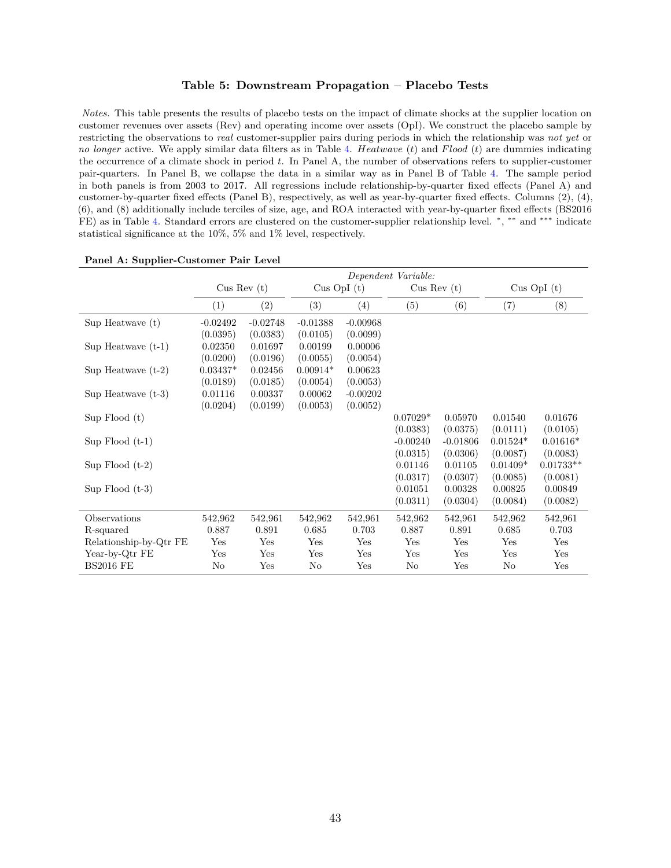#### **Table 5: Downstream Propagation – Placebo Tests**

<span id="page-43-0"></span>*Notes.* This table presents the results of placebo tests on the impact of climate shocks at the supplier location on customer revenues over assets (Rev) and operating income over assets (OpI). We construct the placebo sample by restricting the observations to *real* customer-supplier pairs during periods in which the relationship was *not yet* or *no longer* active. We apply similar data filters as in Table [4.](#page-41-0) *Heatwave* (*t*) and *F lood* (*t*) are dummies indicating the occurrence of a climate shock in period *t*. In Panel A, the number of observations refers to supplier-customer pair-quarters. In Panel B, we collapse the data in a similar way as in Panel B of Table [4.](#page-41-0) The sample period in both panels is from 2003 to 2017. All regressions include relationship-by-quarter fixed effects (Panel A) and customer-by-quarter fixed effects (Panel B), respectively, as well as year-by-quarter fixed effects. Columns (2), (4), (6), and (8) additionally include terciles of size, age, and ROA interacted with year-by-quarter fixed effects (BS2016 FE) as in Table [4.](#page-41-0) Standard errors are clustered on the customer-supplier relationship level.  $*,$ <sup>\*\*</sup> and \*\*\* indicate statistical significance at the 10%, 5% and 1% level, respectively.

|                        |            | Dependent Variable: |                 |            |            |            |            |                 |
|------------------------|------------|---------------------|-----------------|------------|------------|------------|------------|-----------------|
|                        | Cus Rev(t) |                     | $Cus$ OpI $(t)$ |            | Cus Rev(t) |            |            | $Cus$ OpI $(t)$ |
|                        | (1)        | (2)                 | (3)             | (4)        | (5)        | (6)        | (7)        | (8)             |
| Sup Heatwave (t)       | $-0.02492$ | $-0.02748$          | $-0.01388$      | $-0.00968$ |            |            |            |                 |
|                        | (0.0395)   | (0.0383)            | (0.0105)        | (0.0099)   |            |            |            |                 |
| Sup Heatwave $(t-1)$   | 0.02350    | 0.01697             | 0.00199         | 0.00006    |            |            |            |                 |
|                        | (0.0200)   | (0.0196)            | (0.0055)        | (0.0054)   |            |            |            |                 |
| Sup Heatwave $(t-2)$   | $0.03437*$ | 0.02456             | $0.00914*$      | 0.00623    |            |            |            |                 |
|                        | (0.0189)   | (0.0185)            | (0.0054)        | (0.0053)   |            |            |            |                 |
| Sup Heatwave $(t-3)$   | 0.01116    | 0.00337             | 0.00062         | $-0.00202$ |            |            |            |                 |
|                        | (0.0204)   | (0.0199)            | (0.0053)        | (0.0052)   |            |            |            |                 |
| $Sup$ Flood $(t)$      |            |                     |                 |            | $0.07029*$ | 0.05970    | 0.01540    | 0.01676         |
|                        |            |                     |                 |            | (0.0383)   | (0.0375)   | (0.0111)   | (0.0105)        |
| Sup $Flood(t-1)$       |            |                     |                 |            | $-0.00240$ | $-0.01806$ | $0.01524*$ | $0.01616*$      |
|                        |            |                     |                 |            | (0.0315)   | (0.0306)   | (0.0087)   | (0.0083)        |
| Sup $Flood(t-2)$       |            |                     |                 |            | 0.01146    | 0.01105    | $0.01409*$ | $0.01733**$     |
|                        |            |                     |                 |            | (0.0317)   | (0.0307)   | (0.0085)   | (0.0081)        |
| Sup $Flood(t-3)$       |            |                     |                 |            | 0.01051    | 0.00328    | 0.00825    | 0.00849         |
|                        |            |                     |                 |            | (0.0311)   | (0.0304)   | (0.0084)   | (0.0082)        |
| Observations           | 542,962    | 542,961             | 542,962         | 542,961    | 542,962    | 542,961    | 542,962    | 542,961         |
| R-squared              | 0.887      | 0.891               | 0.685           | 0.703      | 0.887      | 0.891      | 0.685      | 0.703           |
| Relationship-by-Qtr FE | Yes        | Yes                 | Yes             | Yes        | Yes        | Yes        | Yes        | Yes             |
| Year-by-Qtr FE         | Yes        | Yes                 | Yes             | Yes        | Yes        | Yes        | Yes        | Yes             |
| <b>BS2016 FE</b>       | No         | $_{\rm Yes}$        | No              | Yes        | No         | Yes        | No         | $_{\rm Yes}$    |

**Panel A: Supplier-Customer Pair Level**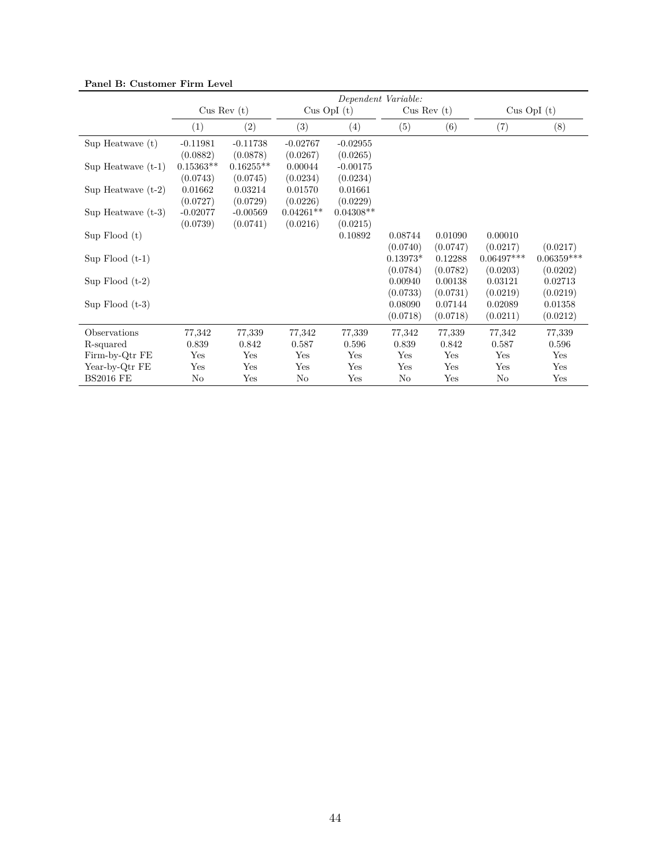|                      | Dependent Variable: |               |             |                 |            |            |              |                 |
|----------------------|---------------------|---------------|-------------|-----------------|------------|------------|--------------|-----------------|
|                      |                     | Cus Rev $(t)$ |             | $Cus$ OpI $(t)$ |            | Cus Rev(t) |              | $Cus$ OpI $(t)$ |
|                      | (1)                 | (2)           | (3)         | (4)             | (5)        | (6)        | (7)          | (8)             |
| Sup Heatwave (t)     | $-0.11981$          | $-0.11738$    | $-0.02767$  | $-0.02955$      |            |            |              |                 |
|                      | (0.0882)            | (0.0878)      | (0.0267)    | (0.0265)        |            |            |              |                 |
| Sup Heatwave $(t-1)$ | $0.15363**$         | $0.16255**$   | 0.00044     | $-0.00175$      |            |            |              |                 |
|                      | (0.0743)            | (0.0745)      | (0.0234)    | (0.0234)        |            |            |              |                 |
| Sup Heatwave $(t-2)$ | 0.01662             | 0.03214       | 0.01570     | 0.01661         |            |            |              |                 |
|                      | (0.0727)            | (0.0729)      | (0.0226)    | (0.0229)        |            |            |              |                 |
| Sup Heatwave $(t-3)$ | $-0.02077$          | $-0.00569$    | $0.04261**$ | $0.04308**$     |            |            |              |                 |
|                      | (0.0739)            | (0.0741)      | (0.0216)    | (0.0215)        |            |            |              |                 |
| $Sup$ Flood $(t)$    |                     |               |             | 0.10892         | 0.08744    | 0.01090    | 0.00010      |                 |
|                      |                     |               |             |                 | (0.0740)   | (0.0747)   | (0.0217)     | (0.0217)        |
| Sup $Flood(t-1)$     |                     |               |             |                 | $0.13973*$ | 0.12288    | $0.06497***$ | $0.06359***$    |
|                      |                     |               |             |                 | (0.0784)   | (0.0782)   | (0.0203)     | (0.0202)        |
| Sup Flood $(t-2)$    |                     |               |             |                 | 0.00940    | 0.00138    | 0.03121      | 0.02713         |
|                      |                     |               |             |                 | (0.0733)   | (0.0731)   | (0.0219)     | (0.0219)        |
| Sup Flood $(t-3)$    |                     |               |             |                 | 0.08090    | 0.07144    | 0.02089      | 0.01358         |
|                      |                     |               |             |                 | (0.0718)   | (0.0718)   | (0.0211)     | (0.0212)        |
| Observations         | 77,342              | 77,339        | 77,342      | 77,339          | 77,342     | 77,339     | 77,342       | 77,339          |
| R-squared            | 0.839               | 0.842         | 0.587       | 0.596           | 0.839      | 0.842      | 0.587        | 0.596           |
| Firm-by-Qtr FE       | Yes                 | Yes           | Yes         | Yes             | Yes        | Yes        | Yes          | Yes             |
| Year-by-Qtr FE       | Yes                 | Yes           | Yes         | Yes             | Yes        | Yes        | Yes          | Yes             |
| <b>BS2016 FE</b>     | No                  | Yes           | No          | Yes             | No         | Yes        | No           | Yes             |

**Panel B: Customer Firm Level**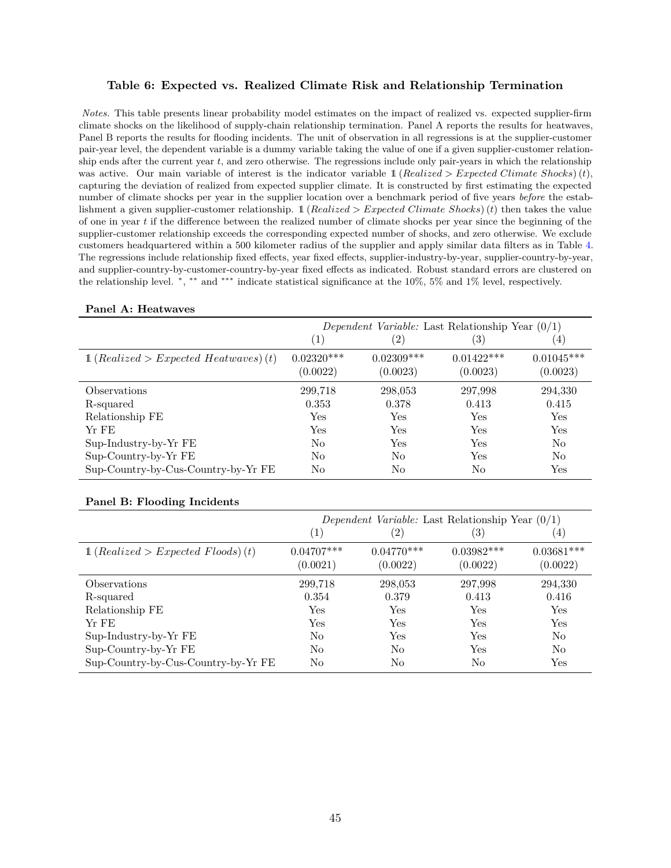#### <span id="page-45-0"></span>**Table 6: Expected vs. Realized Climate Risk and Relationship Termination**

*Notes.* This table presents linear probability model estimates on the impact of realized vs. expected supplier-firm climate shocks on the likelihood of supply-chain relationship termination. Panel A reports the results for heatwaves, Panel B reports the results for flooding incidents. The unit of observation in all regressions is at the supplier-customer pair-year level, the dependent variable is a dummy variable taking the value of one if a given supplier-customer relationship ends after the current year *t*, and zero otherwise. The regressions include only pair-years in which the relationship was active. Our main variable of interest is the indicator variable  $\mathbb{1}$  (*Realized > Expected Climate Shocks*)(*t*), capturing the deviation of realized from expected supplier climate. It is constructed by first estimating the expected number of climate shocks per year in the supplier location over a benchmark period of five years *before* the establishment a given supplier-customer relationship. 1 (*Realized > Expected Climate Shocks*)(*t*) then takes the value of one in year *t* if the difference between the realized number of climate shocks per year since the beginning of the supplier-customer relationship exceeds the corresponding expected number of shocks, and zero otherwise. We exclude customers headquartered within a 500 kilometer radius of the supplier and apply similar data filters as in Table [4.](#page-41-0) The regressions include relationship fixed effects, year fixed effects, supplier-industry-by-year, supplier-country-by-year, and supplier-country-by-customer-country-by-year fixed effects as indicated. Robust standard errors are clustered on the relationship level. \*, \*\* and \*\*\* indicate statistical significance at the 10%, 5% and 1% level, respectively.

|                                                  | Dependent Variable: Last Relationship Year $(0/1)$ |                   |              |                  |  |  |  |
|--------------------------------------------------|----------------------------------------------------|-------------------|--------------|------------------|--|--|--|
|                                                  | $\left( 1\right)$                                  | $\left( 2\right)$ | (3)          | $\left(4\right)$ |  |  |  |
| $\mathbb{1}$ (Realized > Expected Heatwaves) (t) | $0.02320***$                                       | $0.02309***$      | $0.01422***$ | $0.01045***$     |  |  |  |
|                                                  | (0.0022)                                           | (0.0023)          | (0.0023)     | (0.0023)         |  |  |  |
| Observations                                     | 299,718                                            | 298,053           | 297,998      | 294,330          |  |  |  |
| R-squared                                        | 0.353                                              | 0.378             | 0.413        | 0.415            |  |  |  |
| Relationship FE                                  | Yes                                                | Yes               | Yes          | Yes              |  |  |  |
| Yr FE                                            | Yes                                                | Yes               | Yes          | Yes              |  |  |  |
| Sup-Industry-by-Yr FE                            | No                                                 | Yes               | Yes          | No               |  |  |  |
| Sup-Country-by-Yr FE                             | No                                                 | No                | Yes          | No               |  |  |  |
| Sup-Country-by-Cus-Country-by-Yr FE              | No                                                 | No                | No           | Yes              |  |  |  |

#### **Panel A: Heatwaves**

#### **Panel B: Flooding Incidents**

|                                               | Dependent Variable: Last Relationship Year $(0/1)$ |                          |                          |                          |  |  |  |
|-----------------------------------------------|----------------------------------------------------|--------------------------|--------------------------|--------------------------|--|--|--|
|                                               | (1)                                                | $\left( 2\right)$        | $\left(3\right)$         | (4)                      |  |  |  |
| $\mathbb{1}$ (Realized > Expected Floods) (t) | $0.04707***$<br>(0.0021)                           | $0.04770***$<br>(0.0022) | $0.03982***$<br>(0.0022) | $0.03681***$<br>(0.0022) |  |  |  |
| <i>Observations</i>                           | 299,718                                            | 298,053                  | 297,998                  | 294,330                  |  |  |  |
| R-squared                                     | 0.354                                              | 0.379                    | 0.413                    | 0.416                    |  |  |  |
| Relationship FE                               | Yes                                                | Yes                      | Yes                      | <b>Yes</b>               |  |  |  |
| $Yr$ FE                                       | Yes                                                | Yes                      | Yes                      | Yes                      |  |  |  |
| Sup-Industry-by-Yr FE                         | N <sub>0</sub>                                     | Yes                      | Yes                      | No                       |  |  |  |
| Sup-Country-by-Yr FE                          | N <sub>0</sub>                                     | No                       | Yes                      | No                       |  |  |  |
| Sup-Country-by-Cus-Country-by-Yr FE           | N <sub>0</sub>                                     | No                       | No                       | Yes                      |  |  |  |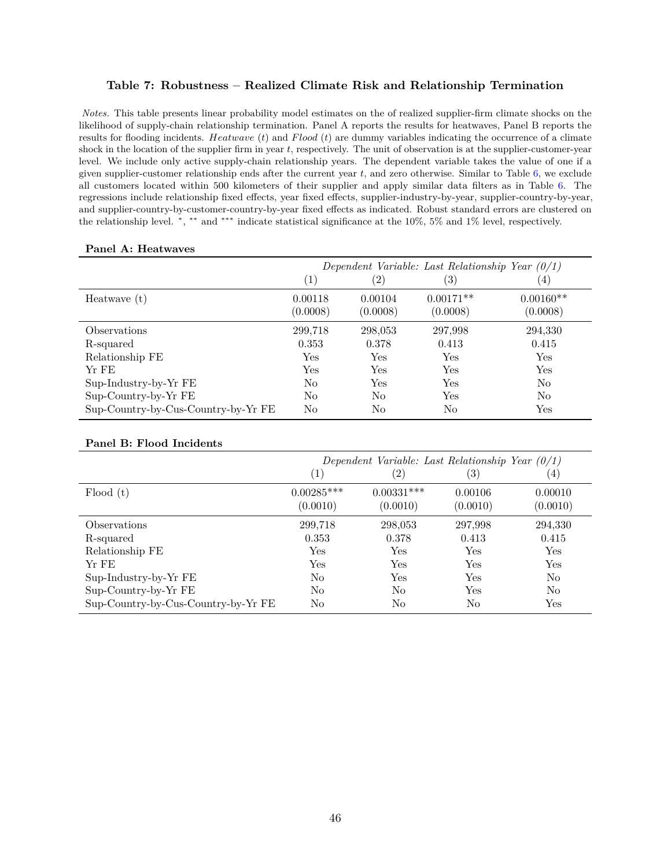#### <span id="page-46-0"></span>**Table 7: Robustness – Realized Climate Risk and Relationship Termination**

*Notes.* This table presents linear probability model estimates on the of realized supplier-firm climate shocks on the likelihood of supply-chain relationship termination. Panel A reports the results for heatwaves, Panel B reports the results for flooding incidents. *Heatwave* (*t*) and *F lood* (*t*) are dummy variables indicating the occurrence of a climate shock in the location of the supplier firm in year *t*, respectively. The unit of observation is at the supplier-customer-year level. We include only active supply-chain relationship years. The dependent variable takes the value of one if a given supplier-customer relationship ends after the current year *t*, and zero otherwise. Similar to Table [6,](#page-45-0) we exclude all customers located within 500 kilometers of their supplier and apply similar data filters as in Table [6.](#page-45-0) The regressions include relationship fixed effects, year fixed effects, supplier-industry-by-year, supplier-country-by-year, and supplier-country-by-customer-country-by-year fixed effects as indicated. Robust standard errors are clustered on the relationship level. \*, \*\* and \*\*\* indicate statistical significance at the 10%, 5% and 1% level, respectively.

| Panel A: Heatwaves |
|--------------------|
|                    |

|                                     | Dependent Variable: Last Relationship Year $(0/1)$ |                     |                         |                         |  |  |
|-------------------------------------|----------------------------------------------------|---------------------|-------------------------|-------------------------|--|--|
|                                     | $\left(1\right)$                                   | $^{(2)}$            | $\left( 3\right)$       | (4)                     |  |  |
| Heatwave $(t)$                      | 0.00118<br>(0.0008)                                | 0.00104<br>(0.0008) | $0.00171**$<br>(0.0008) | $0.00160**$<br>(0.0008) |  |  |
| Observations                        | 299,718                                            | 298,053             | 297,998                 | 294,330                 |  |  |
| R-squared                           | 0.353                                              | 0.378               | 0.413                   | 0.415                   |  |  |
| Relationship FE                     | Yes                                                | Yes                 | Yes                     | Yes                     |  |  |
| Yr FE                               | Yes                                                | Yes                 | Yes                     | Yes                     |  |  |
| Sup-Industry-by-Yr FE               | No                                                 | Yes                 | Yes                     | No                      |  |  |
| Sup-Country-by-Yr FE                | No                                                 | N <sub>o</sub>      | Yes                     | No                      |  |  |
| Sup-Country-by-Cus-Country-by-Yr FE | No                                                 | No                  | No                      | Yes                     |  |  |

#### **Panel B: Flood Incidents**

|                                     |                          | Dependent Variable: Last Relationship Year $(0/1)$ |                     |                      |
|-------------------------------------|--------------------------|----------------------------------------------------|---------------------|----------------------|
|                                     | $\left( 1 \right)$       | (2)                                                | $\left(3\right)$    | $\left(4\right)$     |
| Flood(t)                            | $0.00285***$<br>(0.0010) | $0.00331***$<br>(0.0010)                           | 0.00106<br>(0.0010) | 0.00010<br>(0.0010)  |
| <i>Observations</i>                 | 299,718                  | 298,053                                            | 297,998             | 294,330              |
| R-squared                           | 0.353                    | 0.378                                              | 0.413               | 0.415                |
| Relationship FE                     | Yes                      | Yes                                                | Yes                 | Yes                  |
| Yr FE                               | Yes                      | Yes                                                | Yes                 | Yes                  |
| Sup-Industry-by-Yr FE               | No                       | Yes                                                | Yes                 | N <sub>0</sub>       |
| Sup-Country-by-Yr FE                | No                       | No                                                 | Yes                 | N <sub>0</sub>       |
| Sup-Country-by-Cus-Country-by-Yr FE | No                       | No                                                 | No                  | $\operatorname{Yes}$ |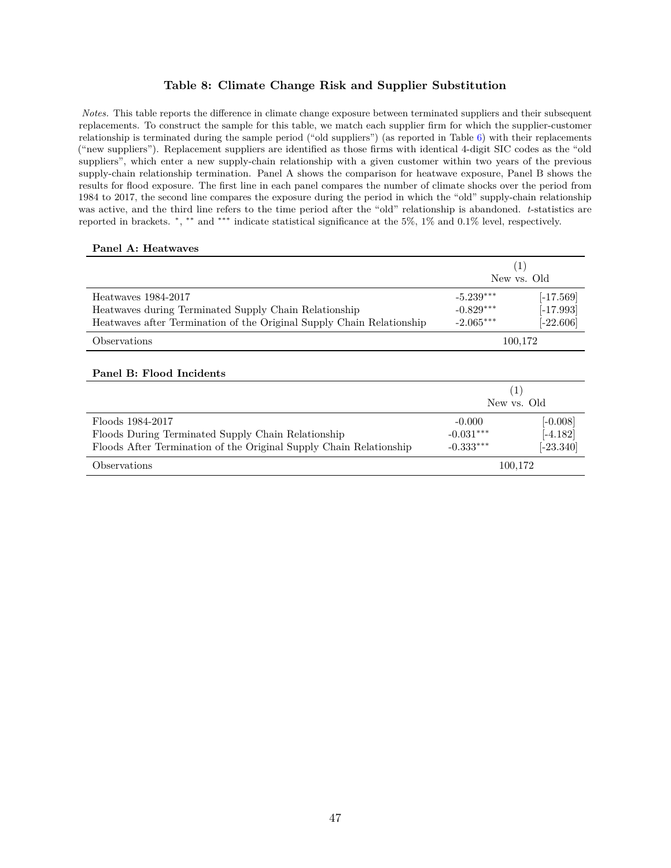#### **Table 8: Climate Change Risk and Supplier Substitution**

<span id="page-47-0"></span>*Notes.* This table reports the difference in climate change exposure between terminated suppliers and their subsequent replacements. To construct the sample for this table, we match each supplier firm for which the supplier-customer relationship is terminated during the sample period ("old suppliers") (as reported in Table [6\)](#page-45-0) with their replacements ("new suppliers"). Replacement suppliers are identified as those firms with identical 4-digit SIC codes as the "old suppliers", which enter a new supply-chain relationship with a given customer within two years of the previous supply-chain relationship termination. Panel A shows the comparison for heatwave exposure, Panel B shows the results for flood exposure. The first line in each panel compares the number of climate shocks over the period from 1984 to 2017, the second line compares the exposure during the period in which the "old" supply-chain relationship was active, and the third line refers to the time period after the "old" relationship is abandoned. *t*-statistics are reported in brackets. <sup>∗</sup> , ∗∗ and ∗∗∗ indicate statistical significance at the 5%, 1% and 0.1% level, respectively.

#### **Panel A: Heatwaves**

|                                                                       |             | $\left(1\right)$<br>New ys. Old |
|-----------------------------------------------------------------------|-------------|---------------------------------|
| Heatwayes 1984-2017                                                   | $-5.239***$ | $[-17.569]$                     |
| Heatwaves during Terminated Supply Chain Relationship                 | $-0.829***$ | $[-17.993]$                     |
| Heatwaves after Termination of the Original Supply Chain Relationship | $-2.065***$ | $[-22.606]$                     |
| Observations                                                          |             | 100,172                         |
| Panel B: Flood Incidents                                              |             |                                 |
|                                                                       |             | (1)                             |
|                                                                       |             | New ys. Old                     |
| Floods 1984-2017                                                      | $-0.000$    | $[-0.008]$                      |
| Floods During Terminated Supply Chain Relationship                    | $-0.031***$ | $[-4.182]$                      |
| Floods After Termination of the Original Supply Chain Relationship    | $-0.333***$ | $[-23.340]$                     |
| Observations                                                          |             | 100.172                         |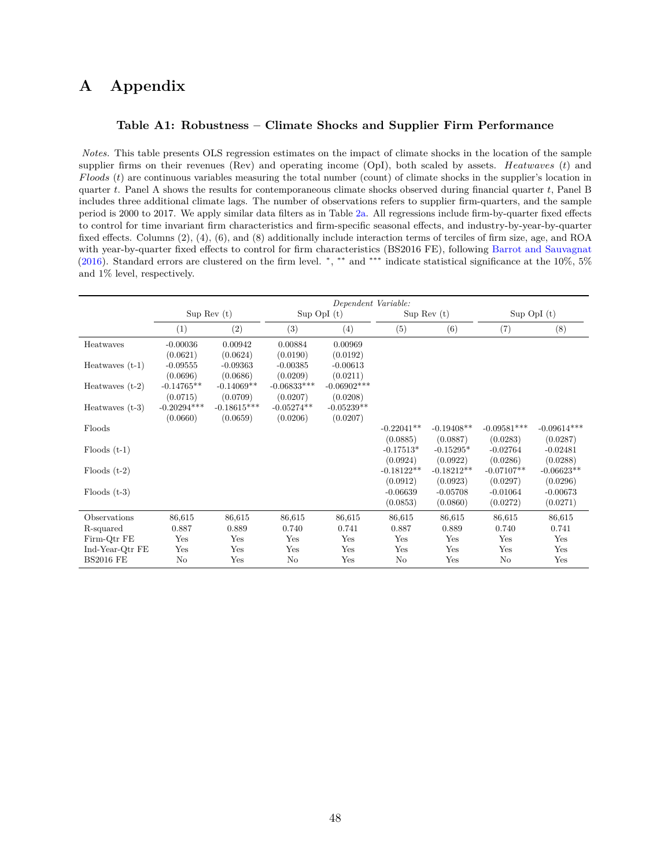### <span id="page-48-0"></span>**A Appendix**

#### **Table A1: Robustness – Climate Shocks and Supplier Firm Performance**

*Notes.* This table presents OLS regression estimates on the impact of climate shocks in the location of the sample supplier firms on their revenues (Rev) and operating income (OpI), both scaled by assets. *Heatwaves* (*t*) and *F loods* (*t*) are continuous variables measuring the total number (count) of climate shocks in the supplier's location in quarter *t*. Panel A shows the results for contemporaneous climate shocks observed during financial quarter *t*, Panel B includes three additional climate lags. The number of observations refers to supplier firm-quarters, and the sample period is 2000 to 2017. We apply similar data filters as in Table [2a.](#page-38-0) All regressions include firm-by-quarter fixed effects to control for time invariant firm characteristics and firm-specific seasonal effects, and industry-by-year-by-quarter fixed effects. Columns (2), (4), (6), and (8) additionally include interaction terms of terciles of firm size, age, and ROA with year-by-quarter fixed effects to control for firm characteristics (BS2016 FE), following [Barrot and Sauvagnat](#page-30-3) [\(2016\)](#page-30-3). Standard errors are clustered on the firm level.  $\ast$ ,  $\ast\ast$  and  $\ast\ast\ast$  indicate statistical significance at the 10%, 5% and 1% level, respectively.

|                   | Dependent Variable: |               |               |                 |              |              |               |                 |
|-------------------|---------------------|---------------|---------------|-----------------|--------------|--------------|---------------|-----------------|
|                   |                     | Sup Rev $(t)$ |               | $Sup$ OpI $(t)$ |              | Sup Rev(t)   |               | $Sup$ OpI $(t)$ |
|                   | (1)                 | (2)           | (3)           | (4)             | (5)          | (6)          | (7)           | (8)             |
| Heatwaves         | $-0.00036$          | 0.00942       | 0.00884       | 0.00969         |              |              |               |                 |
|                   | (0.0621)            | (0.0624)      | (0.0190)      | (0.0192)        |              |              |               |                 |
| Heatwayes $(t-1)$ | $-0.09555$          | $-0.09363$    | $-0.00385$    | $-0.00613$      |              |              |               |                 |
|                   | (0.0696)            | (0.0686)      | (0.0209)      | (0.0211)        |              |              |               |                 |
| Heatwaves $(t-2)$ | $-0.14765**$        | $-0.14069**$  | $-0.06833***$ | $-0.06902***$   |              |              |               |                 |
|                   | (0.0715)            | (0.0709)      | (0.0207)      | (0.0208)        |              |              |               |                 |
| Heatwaves $(t-3)$ | $-0.20294***$       | $-0.18615***$ | $-0.05274**$  | $-0.05239**$    |              |              |               |                 |
|                   | (0.0660)            | (0.0659)      | (0.0206)      | (0.0207)        |              |              |               |                 |
| Floods            |                     |               |               |                 | $-0.22041**$ | $-0.19408**$ | $-0.09581***$ | $-0.09614***$   |
|                   |                     |               |               |                 | (0.0885)     | (0.0887)     | (0.0283)      | (0.0287)        |
| $Floods$ $(t-1)$  |                     |               |               |                 | $-0.17513*$  | $-0.15295*$  | $-0.02764$    | $-0.02481$      |
|                   |                     |               |               |                 | (0.0924)     | (0.0922)     | (0.0286)      | (0.0288)        |
| $F$ loods $(t-2)$ |                     |               |               |                 | $-0.18122**$ | $-0.18212**$ | $-0.07107**$  | $-0.06623**$    |
|                   |                     |               |               |                 | (0.0912)     | (0.0923)     | (0.0297)      | (0.0296)        |
| Floods $(t-3)$    |                     |               |               |                 | $-0.06639$   | $-0.05708$   | $-0.01064$    | $-0.00673$      |
|                   |                     |               |               |                 | (0.0853)     | (0.0860)     | (0.0272)      | (0.0271)        |
| Observations      | 86,615              | 86,615        | 86,615        | 86,615          | 86,615       | 86,615       | 86,615        | 86,615          |
| R-squared         | 0.887               | 0.889         | 0.740         | 0.741           | 0.887        | 0.889        | 0.740         | 0.741           |
| Firm-Qtr FE       | Yes                 | Yes           | Yes           | Yes             | Yes          | Yes          | Yes           | Yes             |
| Ind-Year-Qtr FE   | Yes                 | Yes           | Yes           | Yes             | Yes          | Yes          | Yes           | Yes             |
| <b>BS2016 FE</b>  | $\rm No$            | Yes           | No            | Yes             | No           | Yes          | No            | Yes             |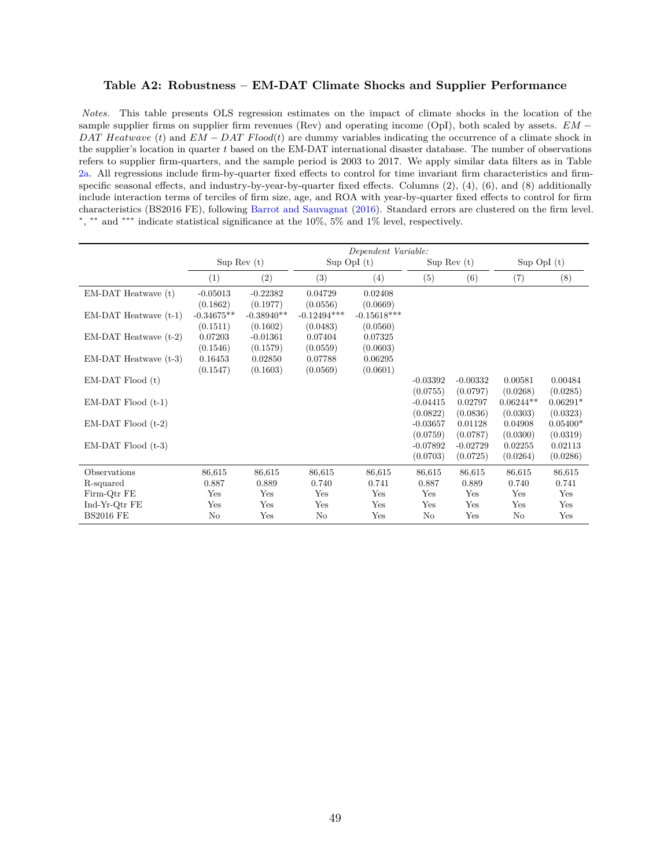#### <span id="page-49-0"></span>**Table A2: Robustness – EM-DAT Climate Shocks and Supplier Performance**

*Notes.* This table presents OLS regression estimates on the impact of climate shocks in the location of the sample supplier firms on supplier firm revenues (Rev) and operating income (OpI), both scaled by assets. *EM* − *DAT Heatwave* (*t*) and *EM* − *DAT Flood*(*t*) are dummy variables indicating the occurrence of a climate shock in the supplier's location in quarter *t* based on the EM-DAT international disaster database. The number of observations refers to supplier firm-quarters, and the sample period is 2003 to 2017. We apply similar data filters as in Table [2a.](#page-38-0) All regressions include firm-by-quarter fixed effects to control for time invariant firm characteristics and firmspecific seasonal effects, and industry-by-year-by-quarter fixed effects. Columns (2), (4), (6), and (8) additionally include interaction terms of terciles of firm size, age, and ROA with year-by-quarter fixed effects to control for firm characteristics (BS2016 FE), following [Barrot and Sauvagnat](#page-30-3) [\(2016\)](#page-30-3). Standard errors are clustered on the firm level. ∗ , ∗∗ and ∗∗∗ indicate statistical significance at the 10%, 5% and 1% level, respectively.

|                           | Dependent Variable: |              |               |                 |               |            |                 |            |  |
|---------------------------|---------------------|--------------|---------------|-----------------|---------------|------------|-----------------|------------|--|
|                           | Sup Rev(t)          |              |               | $Sup$ OpI $(t)$ | Sup Rev $(t)$ |            | $Sup$ OpI $(t)$ |            |  |
|                           | (1)                 | (2)          | (3)           | (4)             | (5)           | (6)        | (7)             | (8)        |  |
| EM-DAT Heatwave (t)       | $-0.05013$          | $-0.22382$   | 0.04729       | 0.02408         |               |            |                 |            |  |
|                           | (0.1862)            | (0.1977)     | (0.0556)      | (0.0669)        |               |            |                 |            |  |
| $EM-DAT$ Heatwave $(t-1)$ | $-0.34675**$        | $-0.38940**$ | $-0.12494***$ | $-0.15618***$   |               |            |                 |            |  |
|                           | (0.1511)            | (0.1602)     | (0.0483)      | (0.0560)        |               |            |                 |            |  |
| $EM-DAT$ Heatwave $(t-2)$ | 0.07203             | $-0.01361$   | 0.07404       | 0.07325         |               |            |                 |            |  |
|                           | (0.1546)            | (0.1579)     | (0.0559)      | (0.0603)        |               |            |                 |            |  |
| $EM-DAT$ Heatwave $(t-3)$ | 0.16453             | 0.02850      | 0.07788       | 0.06295         |               |            |                 |            |  |
|                           | (0.1547)            | (0.1603)     | (0.0569)      | (0.0601)        |               |            |                 |            |  |
| $EM-DAT$ Flood $(t)$      |                     |              |               |                 | $-0.03392$    | $-0.00332$ | 0.00581         | 0.00484    |  |
|                           |                     |              |               |                 | (0.0755)      | (0.0797)   | (0.0268)        | (0.0285)   |  |
| $EM-DAT$ Flood $(t-1)$    |                     |              |               |                 | $-0.04415$    | 0.02797    | $0.06244**$     | $0.06291*$ |  |
|                           |                     |              |               |                 | (0.0822)      | (0.0836)   | (0.0303)        | (0.0323)   |  |
| $EM-DAT$ Flood $(t-2)$    |                     |              |               |                 | $-0.03657$    | 0.01128    | 0.04908         | $0.05400*$ |  |
|                           |                     |              |               |                 | (0.0759)      | (0.0787)   | (0.0300)        | (0.0319)   |  |
| $EM-DAT$ Flood $(t-3)$    |                     |              |               |                 | $-0.07892$    | $-0.02729$ | 0.02255         | 0.02113    |  |
|                           |                     |              |               |                 | (0.0703)      | (0.0725)   | (0.0264)        | (0.0286)   |  |
| <b>Observations</b>       | 86,615              | 86,615       | 86,615        | 86,615          | 86,615        | 86,615     | 86,615          | 86,615     |  |
| R-squared                 | 0.887               | 0.889        | 0.740         | 0.741           | 0.887         | 0.889      | 0.740           | 0.741      |  |
| Firm-Qtr FE               | Yes                 | Yes          | Yes           | Yes             | Yes           | Yes        | Yes             | Yes        |  |
| Ind-Yr-Qtr FE             | Yes                 | Yes          | Yes           | Yes             | Yes           | Yes        | Yes             | Yes        |  |
| <b>BS2016 FE</b>          | No                  | Yes          | No            | Yes             | No            | Yes        | No              | Yes        |  |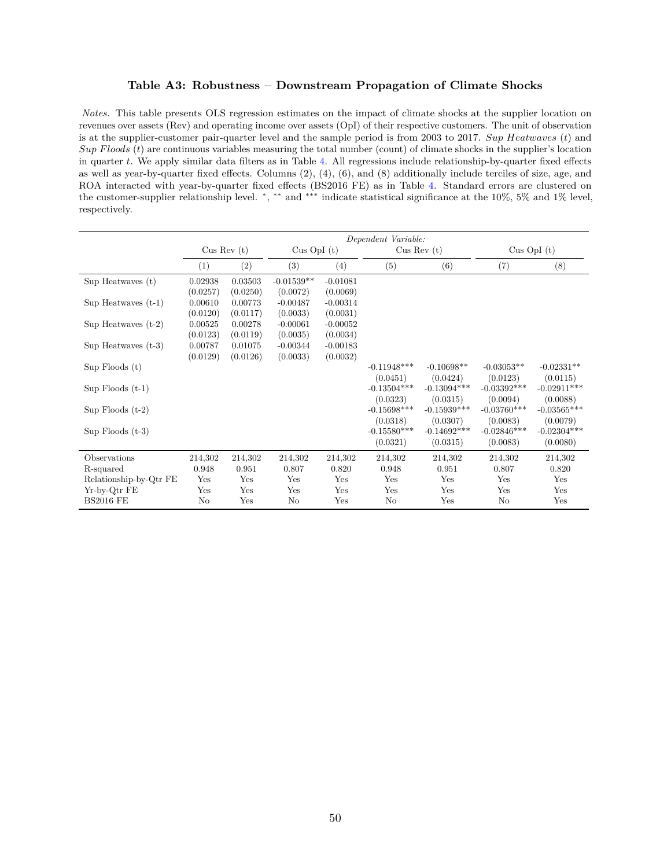#### **Table A3: Robustness – Downstream Propagation of Climate Shocks**

<span id="page-50-0"></span>*Notes.* This table presents OLS regression estimates on the impact of climate shocks at the supplier location on revenues over assets (Rev) and operating income over assets (OpI) of their respective customers. The unit of observation is at the supplier-customer pair-quarter level and the sample period is from 2003 to 2017. *Sup Heatwaves* (*t*) and *Sup F loods* (*t*) are continuous variables measuring the total number (count) of climate shocks in the supplier's location in quarter *t*. We apply similar data filters as in Table [4.](#page-41-0) All regressions include relationship-by-quarter fixed effects as well as year-by-quarter fixed effects. Columns (2), (4), (6), and (8) additionally include terciles of size, age, and ROA interacted with year-by-quarter fixed effects (BS2016 FE) as in Table [4.](#page-41-0) Standard errors are clustered on the customer-supplier relationship level. \*, \*\* and \*\*\* indicate statistical significance at the 10%, 5% and 1% level, respectively.

|                        | Dependent Variable: |            |                 |            |                |               |               |               |  |
|------------------------|---------------------|------------|-----------------|------------|----------------|---------------|---------------|---------------|--|
|                        |                     | Cus Rev(t) | $Cus$ OpI $(t)$ |            | Cus Rev(t)     |               |               | Cus OpI $(t)$ |  |
|                        | (1)                 | (2)        | (3)             | (4)        | (5)            | (6)           | (7)           | (8)           |  |
| $Sup$ Heatwaves $(t)$  | 0.02938             | 0.03503    | $-0.01539**$    | $-0.01081$ |                |               |               |               |  |
|                        | (0.0257)            | (0.0250)   | (0.0072)        | (0.0069)   |                |               |               |               |  |
| Sup Heatwaves $(t-1)$  | 0.00610             | 0.00773    | $-0.00487$      | $-0.00314$ |                |               |               |               |  |
|                        | (0.0120)            | (0.0117)   | (0.0033)        | (0.0031)   |                |               |               |               |  |
| Sup Heatwaves $(t-2)$  | 0.00525             | 0.00278    | $-0.00061$      | $-0.00052$ |                |               |               |               |  |
|                        | (0.0123)            | (0.0119)   | (0.0035)        | (0.0034)   |                |               |               |               |  |
| Sup Heatwaves $(t-3)$  | 0.00787             | 0.01075    | $-0.00344$      | $-0.00183$ |                |               |               |               |  |
|                        | (0.0129)            | (0.0126)   | (0.0033)        | (0.0032)   |                |               |               |               |  |
| $Sup$ Floods $(t)$     |                     |            |                 |            | $-0.11948$ *** | $-0.10698**$  | $-0.03053**$  | $-0.02331**$  |  |
|                        |                     |            |                 |            | (0.0451)       | (0.0424)      | (0.0123)      | (0.0115)      |  |
| Sup $F$ loods $(t-1)$  |                     |            |                 |            | $-0.13504***$  | $-0.13094***$ | $-0.03392***$ | $-0.02911***$ |  |
|                        |                     |            |                 |            | (0.0323)       | (0.0315)      | (0.0094)      | (0.0088)      |  |
| Sup Floods $(t-2)$     |                     |            |                 |            | $-0.15698***$  | $-0.15939***$ | $-0.03760***$ | $-0.03565***$ |  |
|                        |                     |            |                 |            | (0.0318)       | (0.0307)      | (0.0083)      | (0.0079)      |  |
| $Sup$ Floods $(t-3)$   |                     |            |                 |            | $-0.15580***$  | $-0.14692***$ | $-0.02846***$ | $-0.02304***$ |  |
|                        |                     |            |                 |            | (0.0321)       | (0.0315)      | (0.0083)      | (0.0080)      |  |
| Observations           | 214,302             | 214,302    | 214,302         | 214,302    | 214,302        | 214,302       | 214,302       | 214,302       |  |
| R-squared              | 0.948               | 0.951      | 0.807           | 0.820      | 0.948          | 0.951         | 0.807         | 0.820         |  |
| Relationship-by-Qtr FE | Yes                 | Yes        | Yes             | Yes        | Yes            | Yes           | Yes           | Yes           |  |
| Yr-by-Qtr FE           | Yes                 | Yes        | Yes             | Yes        | Yes            | Yes           | Yes           | Yes           |  |
| <b>BS2016 FE</b>       | No                  | Yes        | No              | Yes        | No             | Yes           | No            | Yes           |  |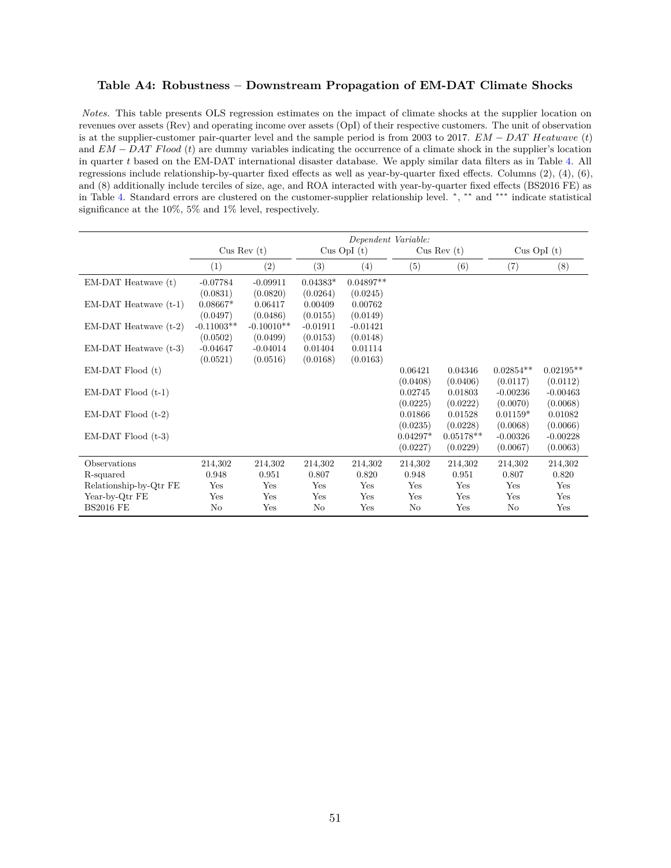#### <span id="page-51-0"></span>**Table A4: Robustness – Downstream Propagation of EM-DAT Climate Shocks**

*Notes.* This table presents OLS regression estimates on the impact of climate shocks at the supplier location on revenues over assets (Rev) and operating income over assets (OpI) of their respective customers. The unit of observation is at the supplier-customer pair-quarter level and the sample period is from 2003 to 2017. *EM* − *DAT Heatwave* (*t*) and *EM* − *DAT F lood* (*t*) are dummy variables indicating the occurrence of a climate shock in the supplier's location in quarter *t* based on the EM-DAT international disaster database. We apply similar data filters as in Table [4.](#page-41-0) All regressions include relationship-by-quarter fixed effects as well as year-by-quarter fixed effects. Columns (2), (4), (6), and (8) additionally include terciles of size, age, and ROA interacted with year-by-quarter fixed effects (BS2016 FE) as in Table [4.](#page-41-0) Standard errors are clustered on the customer-supplier relationship level. <sup>∗</sup> , ∗∗ and ∗∗∗ indicate statistical significance at the 10%, 5% and 1% level, respectively.

|                           | Dependent Variable: |              |            |                 |            |             |             |               |  |
|---------------------------|---------------------|--------------|------------|-----------------|------------|-------------|-------------|---------------|--|
|                           | Cus Rev(t)          |              |            | $Cus$ OpI $(t)$ |            | Cus Rev(t)  |             | Cus OpI $(t)$ |  |
|                           | $\left(1\right)$    | (2)          | (3)        | (4)             | (5)        | (6)         | (7)         | (8)           |  |
| EM-DAT Heatwave (t)       | $-0.07784$          | $-0.09911$   | $0.04383*$ | $0.04897**$     |            |             |             |               |  |
|                           | (0.0831)            | (0.0820)     | (0.0264)   | (0.0245)        |            |             |             |               |  |
| $EM-DAT$ Heatwave $(t-1)$ | $0.08667*$          | 0.06417      | 0.00409    | 0.00762         |            |             |             |               |  |
|                           | (0.0497)            | (0.0486)     | (0.0155)   | (0.0149)        |            |             |             |               |  |
| $EM-DAT$ Heatwave $(t-2)$ | $-0.11003**$        | $-0.10010**$ | $-0.01911$ | $-0.01421$      |            |             |             |               |  |
|                           | (0.0502)            | (0.0499)     | (0.0153)   | (0.0148)        |            |             |             |               |  |
| $EM-DAT$ Heatwave $(t-3)$ | $-0.04647$          | $-0.04014$   | 0.01404    | 0.01114         |            |             |             |               |  |
|                           | (0.0521)            | (0.0516)     | (0.0168)   | (0.0163)        |            |             |             |               |  |
| $EM-DAT$ Flood $(t)$      |                     |              |            |                 | 0.06421    | 0.04346     | $0.02854**$ | $0.02195**$   |  |
|                           |                     |              |            |                 | (0.0408)   | (0.0406)    | (0.0117)    | (0.0112)      |  |
| $EM-DAT$ Flood $(t-1)$    |                     |              |            |                 | 0.02745    | 0.01803     | $-0.00236$  | $-0.00463$    |  |
|                           |                     |              |            |                 | (0.0225)   | (0.0222)    | (0.0070)    | (0.0068)      |  |
| $EM-DAT$ Flood $(t-2)$    |                     |              |            |                 | 0.01866    | 0.01528     | $0.01159*$  | 0.01082       |  |
|                           |                     |              |            |                 | (0.0235)   | (0.0228)    | (0.0068)    | (0.0066)      |  |
| $EM-DAT$ Flood $(t-3)$    |                     |              |            |                 | $0.04297*$ | $0.05178**$ | $-0.00326$  | $-0.00228$    |  |
|                           |                     |              |            |                 | (0.0227)   | (0.0229)    | (0.0067)    | (0.0063)      |  |
| Observations              | 214,302             | 214,302      | 214,302    | 214,302         | 214,302    | 214,302     | 214,302     | 214,302       |  |
| R-squared                 | 0.948               | 0.951        | 0.807      | 0.820           | 0.948      | 0.951       | 0.807       | 0.820         |  |
| Relationship-by-Qtr FE    | Yes                 | Yes          | Yes        | Yes             | Yes        | Yes         | Yes         | Yes           |  |
| Year-by-Qtr FE            | Yes                 | Yes          | Yes        | Yes             | Yes        | Yes         | Yes         | Yes           |  |
| <b>BS2016 FE</b>          | No                  | Yes          | No         | Yes             | No         | Yes         | No          | Yes           |  |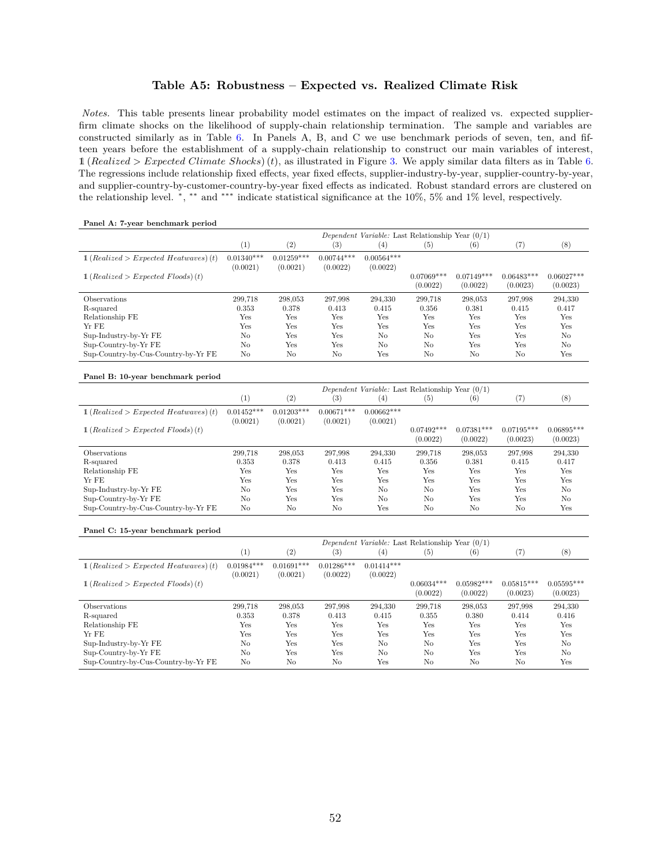#### **Table A5: Robustness – Expected vs. Realized Climate Risk**

<span id="page-52-0"></span>*Notes.* This table presents linear probability model estimates on the impact of realized vs. expected supplierfirm climate shocks on the likelihood of supply-chain relationship termination. The sample and variables are constructed similarly as in Table [6.](#page-45-0) In Panels A, B, and C we use benchmark periods of seven, ten, and fifteen years before the establishment of a supply-chain relationship to construct our main variables of interest, 1 (*Realized > Expected Climate Shocks*)(*t*), as illustrated in Figure [3.](#page-35-0) We apply similar data filters as in Table [6.](#page-45-0) The regressions include relationship fixed effects, year fixed effects, supplier-industry-by-year, supplier-country-by-year, and supplier-country-by-customer-country-by-year fixed effects as indicated. Robust standard errors are clustered on the relationship level. \*, \*\* and \*\*\* indicate statistical significance at the 10%, 5% and 1% level, respectively.

#### **Panel A: 7-year benchmark period**

|                                                 |                          |                          |                          | Dependent Variable: Last Relationship Year $(0/1)$ |                          |                          |                          |                          |
|-------------------------------------------------|--------------------------|--------------------------|--------------------------|----------------------------------------------------|--------------------------|--------------------------|--------------------------|--------------------------|
|                                                 | (1)                      | (2)                      | $_{(3)}$                 | (4)                                                | (5)                      | $\left( 6\right)$        | (7)                      | (8)                      |
| $1 (Realized > Expected\; Heatwaves)$ (t)       | $0.01340***$<br>(0.0021) | $0.01259***$<br>(0.0021) | $0.00744***$<br>(0.0022) | $0.00564***$<br>(0.0022)                           |                          |                          |                          |                          |
| $\pmb{\quad 1}$ (Realized > Expected Floods)(t) |                          |                          |                          |                                                    | $0.07069***$<br>(0.0022) | $0.07149***$<br>(0.0022) | $0.06483***$<br>(0.0023) | $0.06027***$<br>(0.0023) |
| <b>Observations</b>                             | 299.718                  | 298.053                  | 297.998                  | 294.330                                            | 299.718                  | 298,053                  | 297.998                  | 294,330                  |
| R-squared                                       | 0.353                    | 0.378                    | 0.413                    | 0.415                                              | 0.356                    | 0.381                    | 0.415                    | 0.417                    |
| Relationship FE                                 | Yes                      | Yes                      | Yes                      | Yes                                                | Yes                      | Yes                      | Yes                      | Yes                      |
| Yr FE                                           | Yes                      | Yes                      | Yes                      | Yes                                                | Yes                      | Yes                      | Yes                      | Yes                      |
| Sup-Industry-by-Yr FE                           | No                       | Yes                      | Yes                      | $\rm No$                                           | No                       | Yes                      | Yes                      | N <sub>o</sub>           |
| Sup-Country-by-Yr FE                            | No                       | Yes                      | Yes                      | No                                                 | No                       | Yes                      | Yes                      | N <sub>o</sub>           |
| Sup-Country-by-Cus-Country-by-Yr FE             | No                       | No                       | No                       | Yes                                                | No                       | No                       | No                       | Yes                      |

#### **Panel B: 10-year benchmark period**

|                                                  | Dependent Variable: Last Relationship Year $(0/1)$ |                       |              |                   |                   |                   |              |                |  |
|--------------------------------------------------|----------------------------------------------------|-----------------------|--------------|-------------------|-------------------|-------------------|--------------|----------------|--|
|                                                  | $\left(1\right)$                                   | $^{\left( 2\right) }$ | (3)          | $\left( 4\right)$ | $\left( 5\right)$ | $\left( 6\right)$ | (7)          | (8)            |  |
| $\mathbb{1}$ (Realized > Expected Heatwaves) (t) | $0.01452***$                                       | $0.01203***$          | $0.00671***$ | $0.00662***$      |                   |                   |              |                |  |
|                                                  | (0.0021)                                           | (0.0021)              | (0.0021)     | (0.0021)          |                   |                   |              |                |  |
| $\mathbb{1}$ (Realized > Expected Floods) (t)    |                                                    |                       |              |                   | $0.07492***$      | $0.07381***$      | $0.07195***$ | $0.06895***$   |  |
|                                                  |                                                    |                       |              |                   | (0.0022)          | (0.0022)          | (0.0023)     | (0.0023)       |  |
| <b>Observations</b>                              | 299.718                                            | 298.053               | 297,998      | 294.330           | 299.718           | 298,053           | 297.998      | 294,330        |  |
| R-squared                                        | 0.353                                              | 0.378                 | 0.413        | 0.415             | 0.356             | 0.381             | 0.415        | 0.417          |  |
| Relationship FE                                  | Yes                                                | Yes                   | Yes          | Yes               | Yes               | Yes               | Yes          | Yes            |  |
| Yr FE                                            | Yes                                                | Yes                   | Yes          | Yes               | Yes               | Yes               | Yes          | Yes            |  |
| Sup-Industry-by-Yr FE                            | No                                                 | Yes                   | Yes          | $\rm No$          | No                | Yes               | Yes          | N <sub>o</sub> |  |
| Sup-Country-by-Yr FE                             | No                                                 | Yes                   | Yes          | No                | No                | Yes               | Yes          | N <sub>o</sub> |  |
| Sup-Country-by-Cus-Country-by-Yr FE              | No                                                 | No                    | No           | Yes               | No                | No                | No           | Yes            |  |

#### **Panel C: 15-year benchmark period**

|                                           | Dependent Variable: Last Relationship Year $(0/1)$ |                          |                          |                          |                          |                          |                          |                          |  |
|-------------------------------------------|----------------------------------------------------|--------------------------|--------------------------|--------------------------|--------------------------|--------------------------|--------------------------|--------------------------|--|
|                                           | (1)                                                | (2)                      | (3)                      | $^{(4)}$                 | $\left( 5\right)$        | $^{(6)}$                 | (7)                      | (8)                      |  |
| $1 (Realized > Expected\; Heatwaves)$ (t) | $0.01984***$<br>(0.0021)                           | $0.01691***$<br>(0.0021) | $0.01286***$<br>(0.0022) | $0.01414***$<br>(0.0022) |                          |                          |                          |                          |  |
| $1 (Realized > Expected \; Floods)$ (t)   |                                                    |                          |                          |                          | $0.06034***$<br>(0.0022) | $0.05982***$<br>(0.0022) | $0.05815***$<br>(0.0023) | $0.05595***$<br>(0.0023) |  |
| Observations                              | 299.718                                            | 298.053                  | 297.998                  | 294.330                  | 299.718                  | 298,053                  | 297.998                  | 294,330                  |  |
| R-squared                                 | 0.353                                              | 0.378                    | 0.413                    | 0.415                    | 0.355                    | 0.380                    | 0.414                    | 0.416                    |  |
| Relationship FE                           | Yes                                                | Yes                      | Yes                      | Yes                      | Yes                      | Yes                      | Yes                      | Yes                      |  |
| Yr FE                                     | Yes                                                | Yes                      | Yes                      | Yes                      | Yes                      | Yes                      | Yes                      | Yes                      |  |
| Sup-Industry-by-Yr FE                     | No                                                 | Yes                      | Yes                      | $\rm No$                 | No                       | Yes                      | Yes                      | No                       |  |
| Sup-Country-by-Yr FE                      | No                                                 | Yes                      | Yes                      | No                       | No                       | Yes                      | Yes                      | No                       |  |
| Sup-Country-by-Cus-Country-by-Yr FE       | No                                                 | No                       | No                       | Yes                      | No                       | No                       | No                       | Yes                      |  |